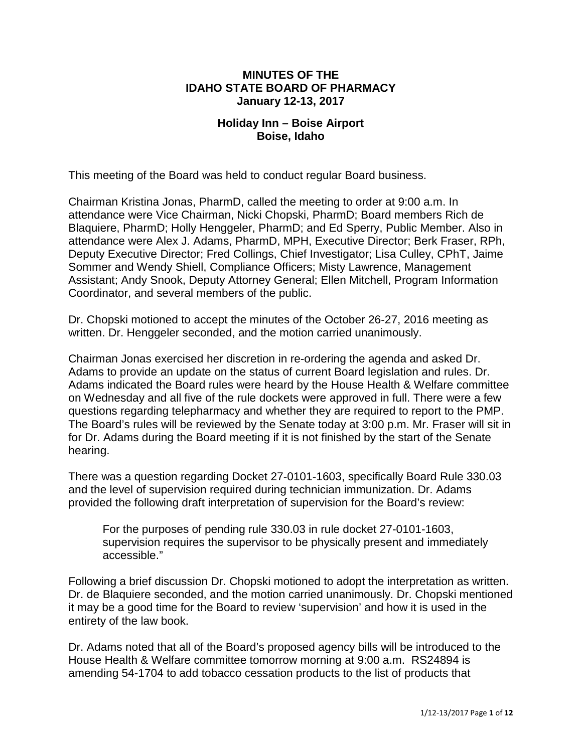#### **MINUTES OF THE IDAHO STATE BOARD OF PHARMACY January 12-13, 2017**

#### **Holiday Inn – Boise Airport Boise, Idaho**

This meeting of the Board was held to conduct regular Board business.

Chairman Kristina Jonas, PharmD, called the meeting to order at 9:00 a.m. In attendance were Vice Chairman, Nicki Chopski, PharmD; Board members Rich de Blaquiere, PharmD; Holly Henggeler, PharmD; and Ed Sperry, Public Member. Also in attendance were Alex J. Adams, PharmD, MPH, Executive Director; Berk Fraser, RPh, Deputy Executive Director; Fred Collings, Chief Investigator; Lisa Culley, CPhT, Jaime Sommer and Wendy Shiell, Compliance Officers; Misty Lawrence, Management Assistant; Andy Snook, Deputy Attorney General; Ellen Mitchell, Program Information Coordinator, and several members of the public.

Dr. Chopski motioned to accept the minutes of the October 26-27, 2016 meeting as written. Dr. Henggeler seconded, and the motion carried unanimously.

Chairman Jonas exercised her discretion in re-ordering the agenda and asked Dr. Adams to provide an update on the status of current Board legislation and rules. Dr. Adams indicated the Board rules were heard by the House Health & Welfare committee on Wednesday and all five of the rule dockets were approved in full. There were a few questions regarding telepharmacy and whether they are required to report to the PMP. The Board's rules will be reviewed by the Senate today at 3:00 p.m. Mr. Fraser will sit in for Dr. Adams during the Board meeting if it is not finished by the start of the Senate hearing.

There was a question regarding Docket 27-0101-1603, specifically Board Rule 330.03 and the level of supervision required during technician immunization. Dr. Adams provided the following draft interpretation of supervision for the Board's review:

For the purposes of pending rule 330.03 in rule docket 27-0101-1603, supervision requires the supervisor to be physically present and immediately accessible."

Following a brief discussion Dr. Chopski motioned to adopt the interpretation as written. Dr. de Blaquiere seconded, and the motion carried unanimously. Dr. Chopski mentioned it may be a good time for the Board to review 'supervision' and how it is used in the entirety of the law book.

Dr. Adams noted that all of the Board's proposed agency bills will be introduced to the House Health & Welfare committee tomorrow morning at 9:00 a.m. RS24894 is amending 54-1704 to add tobacco cessation products to the list of products that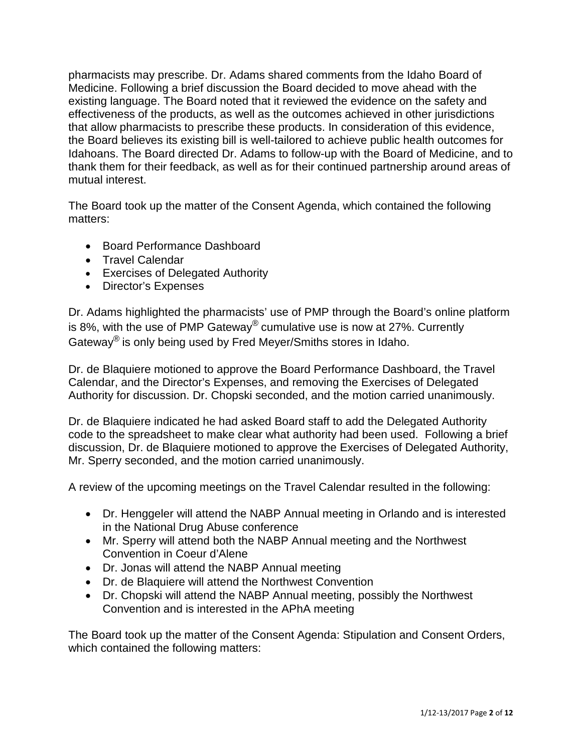pharmacists may prescribe. Dr. Adams shared comments from the Idaho Board of Medicine. Following a brief discussion the Board decided to move ahead with the existing language. The Board noted that it reviewed the evidence on the safety and effectiveness of the products, as well as the outcomes achieved in other jurisdictions that allow pharmacists to prescribe these products. In consideration of this evidence, the Board believes its existing bill is well-tailored to achieve public health outcomes for Idahoans. The Board directed Dr. Adams to follow-up with the Board of Medicine, and to thank them for their feedback, as well as for their continued partnership around areas of mutual interest.

The Board took up the matter of the Consent Agenda, which contained the following matters:

- Board Performance Dashboard
- Travel Calendar
- Exercises of Delegated Authority
- Director's Expenses

Dr. Adams highlighted the pharmacists' use of PMP through the Board's online platform is 8%, with the use of PMP Gateway<sup>®</sup> cumulative use is now at 27%. Currently Gateway® is only being used by Fred Meyer/Smiths stores in Idaho.

Dr. de Blaquiere motioned to approve the Board Performance Dashboard, the Travel Calendar, and the Director's Expenses, and removing the Exercises of Delegated Authority for discussion. Dr. Chopski seconded, and the motion carried unanimously.

Dr. de Blaquiere indicated he had asked Board staff to add the Delegated Authority code to the spreadsheet to make clear what authority had been used. Following a brief discussion, Dr. de Blaquiere motioned to approve the Exercises of Delegated Authority, Mr. Sperry seconded, and the motion carried unanimously.

A review of the upcoming meetings on the Travel Calendar resulted in the following:

- Dr. Henggeler will attend the NABP Annual meeting in Orlando and is interested in the National Drug Abuse conference
- Mr. Sperry will attend both the NABP Annual meeting and the Northwest Convention in Coeur d'Alene
- Dr. Jonas will attend the NABP Annual meeting
- Dr. de Blaquiere will attend the Northwest Convention
- Dr. Chopski will attend the NABP Annual meeting, possibly the Northwest Convention and is interested in the APhA meeting

The Board took up the matter of the Consent Agenda: Stipulation and Consent Orders, which contained the following matters: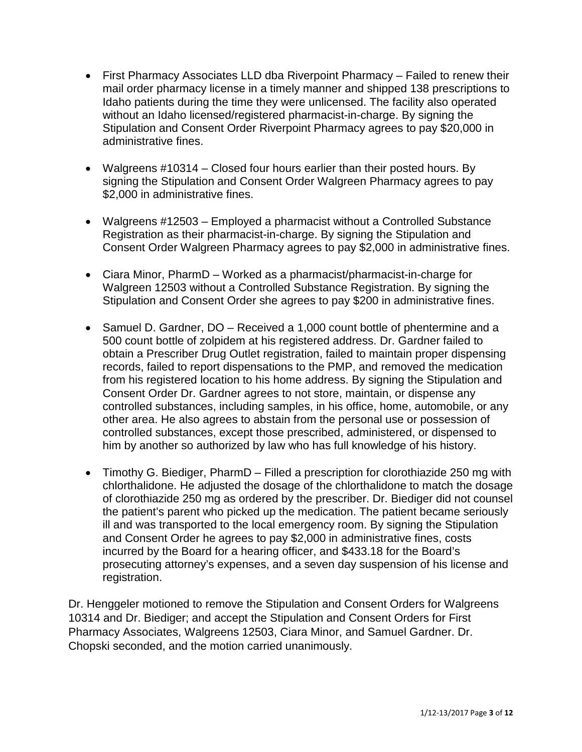- First Pharmacy Associates LLD dba Riverpoint Pharmacy Failed to renew their mail order pharmacy license in a timely manner and shipped 138 prescriptions to Idaho patients during the time they were unlicensed. The facility also operated without an Idaho licensed/registered pharmacist-in-charge. By signing the Stipulation and Consent Order Riverpoint Pharmacy agrees to pay \$20,000 in administrative fines.
- Walgreens #10314 Closed four hours earlier than their posted hours. By signing the Stipulation and Consent Order Walgreen Pharmacy agrees to pay \$2,000 in administrative fines.
- Walgreens #12503 Employed a pharmacist without a Controlled Substance Registration as their pharmacist-in-charge. By signing the Stipulation and Consent Order Walgreen Pharmacy agrees to pay \$2,000 in administrative fines.
- Ciara Minor, PharmD Worked as a pharmacist/pharmacist-in-charge for Walgreen 12503 without a Controlled Substance Registration. By signing the Stipulation and Consent Order she agrees to pay \$200 in administrative fines.
- Samuel D. Gardner, DO Received a 1,000 count bottle of phentermine and a 500 count bottle of zolpidem at his registered address. Dr. Gardner failed to obtain a Prescriber Drug Outlet registration, failed to maintain proper dispensing records, failed to report dispensations to the PMP, and removed the medication from his registered location to his home address. By signing the Stipulation and Consent Order Dr. Gardner agrees to not store, maintain, or dispense any controlled substances, including samples, in his office, home, automobile, or any other area. He also agrees to abstain from the personal use or possession of controlled substances, except those prescribed, administered, or dispensed to him by another so authorized by law who has full knowledge of his history.
- Timothy G. Biediger, PharmD Filled a prescription for clorothiazide 250 mg with chlorthalidone. He adjusted the dosage of the chlorthalidone to match the dosage of clorothiazide 250 mg as ordered by the prescriber. Dr. Biediger did not counsel the patient's parent who picked up the medication. The patient became seriously ill and was transported to the local emergency room. By signing the Stipulation and Consent Order he agrees to pay \$2,000 in administrative fines, costs incurred by the Board for a hearing officer, and \$433.18 for the Board's prosecuting attorney's expenses, and a seven day suspension of his license and registration.

Dr. Henggeler motioned to remove the Stipulation and Consent Orders for Walgreens 10314 and Dr. Biediger; and accept the Stipulation and Consent Orders for First Pharmacy Associates, Walgreens 12503, Ciara Minor, and Samuel Gardner. Dr. Chopski seconded, and the motion carried unanimously.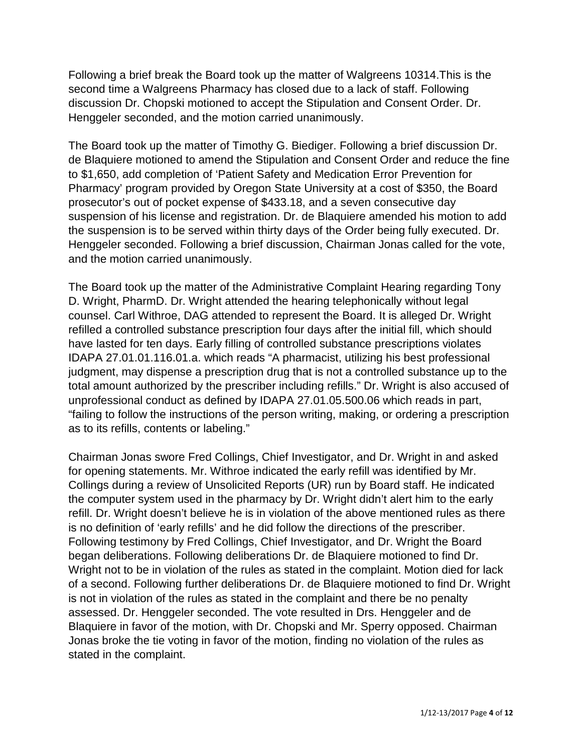Following a brief break the Board took up the matter of Walgreens 10314.This is the second time a Walgreens Pharmacy has closed due to a lack of staff. Following discussion Dr. Chopski motioned to accept the Stipulation and Consent Order. Dr. Henggeler seconded, and the motion carried unanimously.

The Board took up the matter of Timothy G. Biediger. Following a brief discussion Dr. de Blaquiere motioned to amend the Stipulation and Consent Order and reduce the fine to \$1,650, add completion of 'Patient Safety and Medication Error Prevention for Pharmacy' program provided by Oregon State University at a cost of \$350, the Board prosecutor's out of pocket expense of \$433.18, and a seven consecutive day suspension of his license and registration. Dr. de Blaquiere amended his motion to add the suspension is to be served within thirty days of the Order being fully executed. Dr. Henggeler seconded. Following a brief discussion, Chairman Jonas called for the vote, and the motion carried unanimously.

The Board took up the matter of the Administrative Complaint Hearing regarding Tony D. Wright, PharmD. Dr. Wright attended the hearing telephonically without legal counsel. Carl Withroe, DAG attended to represent the Board. It is alleged Dr. Wright refilled a controlled substance prescription four days after the initial fill, which should have lasted for ten days. Early filling of controlled substance prescriptions violates IDAPA 27.01.01.116.01.a. which reads "A pharmacist, utilizing his best professional judgment, may dispense a prescription drug that is not a controlled substance up to the total amount authorized by the prescriber including refills." Dr. Wright is also accused of unprofessional conduct as defined by IDAPA 27.01.05.500.06 which reads in part, "failing to follow the instructions of the person writing, making, or ordering a prescription as to its refills, contents or labeling."

Chairman Jonas swore Fred Collings, Chief Investigator, and Dr. Wright in and asked for opening statements. Mr. Withroe indicated the early refill was identified by Mr. Collings during a review of Unsolicited Reports (UR) run by Board staff. He indicated the computer system used in the pharmacy by Dr. Wright didn't alert him to the early refill. Dr. Wright doesn't believe he is in violation of the above mentioned rules as there is no definition of 'early refills' and he did follow the directions of the prescriber. Following testimony by Fred Collings, Chief Investigator, and Dr. Wright the Board began deliberations. Following deliberations Dr. de Blaquiere motioned to find Dr. Wright not to be in violation of the rules as stated in the complaint. Motion died for lack of a second. Following further deliberations Dr. de Blaquiere motioned to find Dr. Wright is not in violation of the rules as stated in the complaint and there be no penalty assessed. Dr. Henggeler seconded. The vote resulted in Drs. Henggeler and de Blaquiere in favor of the motion, with Dr. Chopski and Mr. Sperry opposed. Chairman Jonas broke the tie voting in favor of the motion, finding no violation of the rules as stated in the complaint.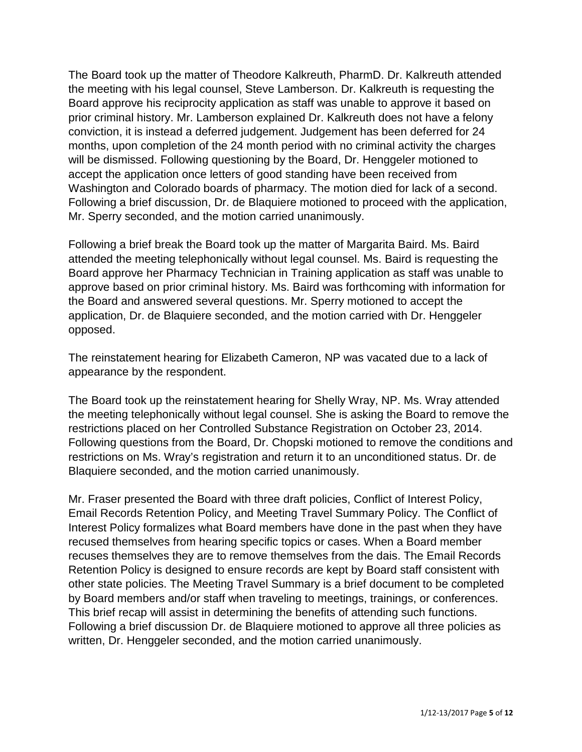The Board took up the matter of Theodore Kalkreuth, PharmD. Dr. Kalkreuth attended the meeting with his legal counsel, Steve Lamberson. Dr. Kalkreuth is requesting the Board approve his reciprocity application as staff was unable to approve it based on prior criminal history. Mr. Lamberson explained Dr. Kalkreuth does not have a felony conviction, it is instead a deferred judgement. Judgement has been deferred for 24 months, upon completion of the 24 month period with no criminal activity the charges will be dismissed. Following questioning by the Board, Dr. Henggeler motioned to accept the application once letters of good standing have been received from Washington and Colorado boards of pharmacy. The motion died for lack of a second. Following a brief discussion, Dr. de Blaquiere motioned to proceed with the application, Mr. Sperry seconded, and the motion carried unanimously.

Following a brief break the Board took up the matter of Margarita Baird. Ms. Baird attended the meeting telephonically without legal counsel. Ms. Baird is requesting the Board approve her Pharmacy Technician in Training application as staff was unable to approve based on prior criminal history. Ms. Baird was forthcoming with information for the Board and answered several questions. Mr. Sperry motioned to accept the application, Dr. de Blaquiere seconded, and the motion carried with Dr. Henggeler opposed.

The reinstatement hearing for Elizabeth Cameron, NP was vacated due to a lack of appearance by the respondent.

The Board took up the reinstatement hearing for Shelly Wray, NP. Ms. Wray attended the meeting telephonically without legal counsel. She is asking the Board to remove the restrictions placed on her Controlled Substance Registration on October 23, 2014. Following questions from the Board, Dr. Chopski motioned to remove the conditions and restrictions on Ms. Wray's registration and return it to an unconditioned status. Dr. de Blaquiere seconded, and the motion carried unanimously.

Mr. Fraser presented the Board with three draft policies, Conflict of Interest Policy, Email Records Retention Policy, and Meeting Travel Summary Policy. The Conflict of Interest Policy formalizes what Board members have done in the past when they have recused themselves from hearing specific topics or cases. When a Board member recuses themselves they are to remove themselves from the dais. The Email Records Retention Policy is designed to ensure records are kept by Board staff consistent with other state policies. The Meeting Travel Summary is a brief document to be completed by Board members and/or staff when traveling to meetings, trainings, or conferences. This brief recap will assist in determining the benefits of attending such functions. Following a brief discussion Dr. de Blaquiere motioned to approve all three policies as written, Dr. Henggeler seconded, and the motion carried unanimously.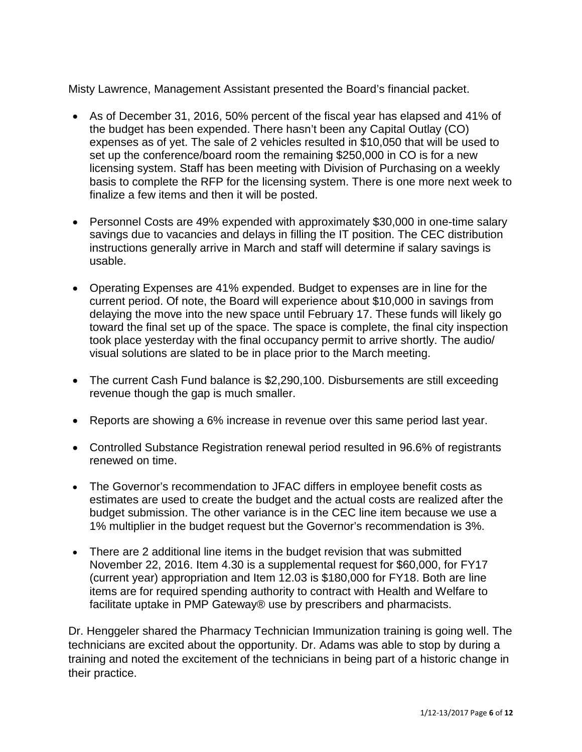Misty Lawrence, Management Assistant presented the Board's financial packet.

- As of December 31, 2016, 50% percent of the fiscal year has elapsed and 41% of the budget has been expended. There hasn't been any Capital Outlay (CO) expenses as of yet. The sale of 2 vehicles resulted in \$10,050 that will be used to set up the conference/board room the remaining \$250,000 in CO is for a new licensing system. Staff has been meeting with Division of Purchasing on a weekly basis to complete the RFP for the licensing system. There is one more next week to finalize a few items and then it will be posted.
- Personnel Costs are 49% expended with approximately \$30,000 in one-time salary savings due to vacancies and delays in filling the IT position. The CEC distribution instructions generally arrive in March and staff will determine if salary savings is usable.
- Operating Expenses are 41% expended. Budget to expenses are in line for the current period. Of note, the Board will experience about \$10,000 in savings from delaying the move into the new space until February 17. These funds will likely go toward the final set up of the space. The space is complete, the final city inspection took place yesterday with the final occupancy permit to arrive shortly. The audio/ visual solutions are slated to be in place prior to the March meeting.
- The current Cash Fund balance is \$2,290,100. Disbursements are still exceeding revenue though the gap is much smaller.
- Reports are showing a 6% increase in revenue over this same period last year.
- Controlled Substance Registration renewal period resulted in 96.6% of registrants renewed on time.
- The Governor's recommendation to JFAC differs in employee benefit costs as estimates are used to create the budget and the actual costs are realized after the budget submission. The other variance is in the CEC line item because we use a 1% multiplier in the budget request but the Governor's recommendation is 3%.
- There are 2 additional line items in the budget revision that was submitted November 22, 2016. Item 4.30 is a supplemental request for \$60,000, for FY17 (current year) appropriation and Item 12.03 is \$180,000 for FY18. Both are line items are for required spending authority to contract with Health and Welfare to facilitate uptake in PMP Gateway® use by prescribers and pharmacists.

Dr. Henggeler shared the Pharmacy Technician Immunization training is going well. The technicians are excited about the opportunity. Dr. Adams was able to stop by during a training and noted the excitement of the technicians in being part of a historic change in their practice.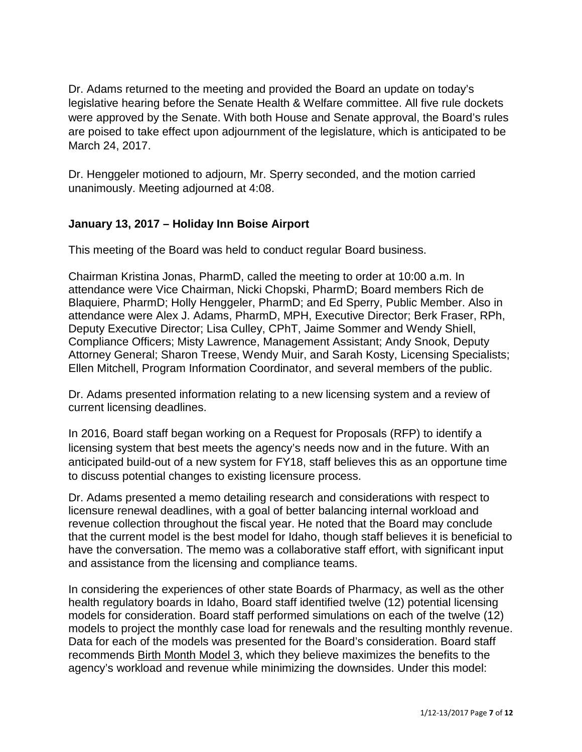Dr. Adams returned to the meeting and provided the Board an update on today's legislative hearing before the Senate Health & Welfare committee. All five rule dockets were approved by the Senate. With both House and Senate approval, the Board's rules are poised to take effect upon adjournment of the legislature, which is anticipated to be March 24, 2017.

Dr. Henggeler motioned to adjourn, Mr. Sperry seconded, and the motion carried unanimously. Meeting adjourned at 4:08.

### **January 13, 2017 – Holiday Inn Boise Airport**

This meeting of the Board was held to conduct regular Board business.

Chairman Kristina Jonas, PharmD, called the meeting to order at 10:00 a.m. In attendance were Vice Chairman, Nicki Chopski, PharmD; Board members Rich de Blaquiere, PharmD; Holly Henggeler, PharmD; and Ed Sperry, Public Member. Also in attendance were Alex J. Adams, PharmD, MPH, Executive Director; Berk Fraser, RPh, Deputy Executive Director; Lisa Culley, CPhT, Jaime Sommer and Wendy Shiell, Compliance Officers; Misty Lawrence, Management Assistant; Andy Snook, Deputy Attorney General; Sharon Treese, Wendy Muir, and Sarah Kosty, Licensing Specialists; Ellen Mitchell, Program Information Coordinator, and several members of the public.

Dr. Adams presented information relating to a new licensing system and a review of current licensing deadlines.

In 2016, Board staff began working on a Request for Proposals (RFP) to identify a licensing system that best meets the agency's needs now and in the future. With an anticipated build-out of a new system for FY18, staff believes this as an opportune time to discuss potential changes to existing licensure process.

Dr. Adams presented a memo detailing research and considerations with respect to licensure renewal deadlines, with a goal of better balancing internal workload and revenue collection throughout the fiscal year. He noted that the Board may conclude that the current model is the best model for Idaho, though staff believes it is beneficial to have the conversation. The memo was a collaborative staff effort, with significant input and assistance from the licensing and compliance teams.

In considering the experiences of other state Boards of Pharmacy, as well as the other health regulatory boards in Idaho, Board staff identified twelve (12) potential licensing models for consideration. Board staff performed simulations on each of the twelve (12) models to project the monthly case load for renewals and the resulting monthly revenue. Data for each of the models was presented for the Board's consideration. Board staff recommends Birth Month Model 3, which they believe maximizes the benefits to the agency's workload and revenue while minimizing the downsides. Under this model: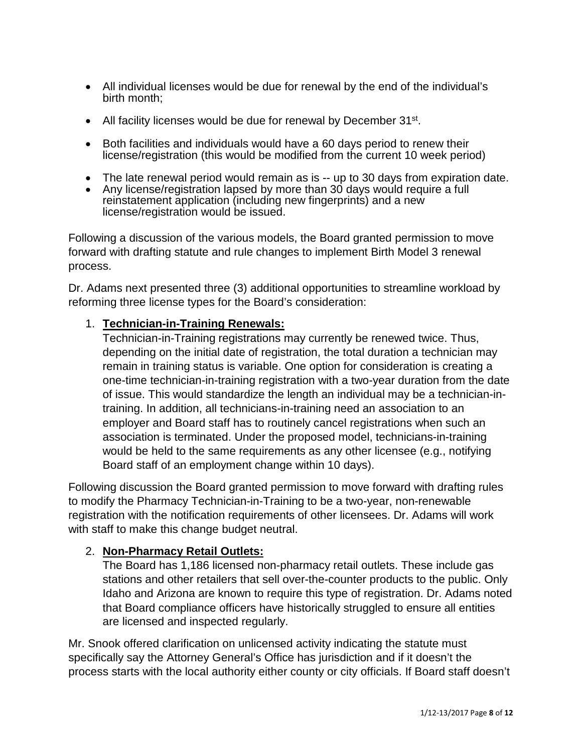- All individual licenses would be due for renewal by the end of the individual's birth month;
- All facility licenses would be due for renewal by December 31<sup>st</sup>.
- Both facilities and individuals would have a 60 days period to renew their license/registration (this would be modified from the current 10 week period)
- The late renewal period would remain as is -- up to 30 days from expiration date.
- Any license/registration lapsed by more than 30 days would require a full reinstatement application (including new fingerprints) and a new license/registration would be issued.

Following a discussion of the various models, the Board granted permission to move forward with drafting statute and rule changes to implement Birth Model 3 renewal process.

Dr. Adams next presented three (3) additional opportunities to streamline workload by reforming three license types for the Board's consideration:

#### 1. **Technician-in-Training Renewals:**

Technician-in-Training registrations may currently be renewed twice. Thus, depending on the initial date of registration, the total duration a technician may remain in training status is variable. One option for consideration is creating a one-time technician-in-training registration with a two-year duration from the date of issue. This would standardize the length an individual may be a technician-intraining. In addition, all technicians-in-training need an association to an employer and Board staff has to routinely cancel registrations when such an association is terminated. Under the proposed model, technicians-in-training would be held to the same requirements as any other licensee (e.g., notifying Board staff of an employment change within 10 days).

Following discussion the Board granted permission to move forward with drafting rules to modify the Pharmacy Technician-in-Training to be a two-year, non-renewable registration with the notification requirements of other licensees. Dr. Adams will work with staff to make this change budget neutral.

#### 2. **Non-Pharmacy Retail Outlets:**

The Board has 1,186 licensed non-pharmacy retail outlets. These include gas stations and other retailers that sell over-the-counter products to the public. Only Idaho and Arizona are known to require this type of registration. Dr. Adams noted that Board compliance officers have historically struggled to ensure all entities are licensed and inspected regularly.

Mr. Snook offered clarification on unlicensed activity indicating the statute must specifically say the Attorney General's Office has jurisdiction and if it doesn't the process starts with the local authority either county or city officials. If Board staff doesn't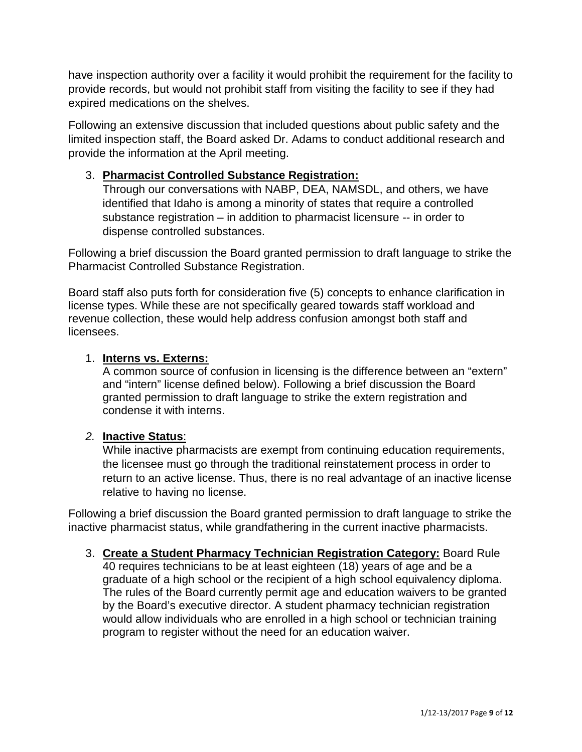have inspection authority over a facility it would prohibit the requirement for the facility to provide records, but would not prohibit staff from visiting the facility to see if they had expired medications on the shelves.

Following an extensive discussion that included questions about public safety and the limited inspection staff, the Board asked Dr. Adams to conduct additional research and provide the information at the April meeting.

## 3. **Pharmacist Controlled Substance Registration:**

Through our conversations with NABP, DEA, NAMSDL, and others, we have identified that Idaho is among a minority of states that require a controlled substance registration – in addition to pharmacist licensure -- in order to dispense controlled substances.

Following a brief discussion the Board granted permission to draft language to strike the Pharmacist Controlled Substance Registration.

Board staff also puts forth for consideration five (5) concepts to enhance clarification in license types. While these are not specifically geared towards staff workload and revenue collection, these would help address confusion amongst both staff and licensees.

### 1. **Interns vs. Externs:**

A common source of confusion in licensing is the difference between an "extern" and "intern" license defined below). Following a brief discussion the Board granted permission to draft language to strike the extern registration and condense it with interns.

### *2.* **Inactive Status**:

While inactive pharmacists are exempt from continuing education requirements, the licensee must go through the traditional reinstatement process in order to return to an active license. Thus, there is no real advantage of an inactive license relative to having no license.

Following a brief discussion the Board granted permission to draft language to strike the inactive pharmacist status, while grandfathering in the current inactive pharmacists.

3. **Create a Student Pharmacy Technician Registration Category:** Board Rule 40 requires technicians to be at least eighteen (18) years of age and be a graduate of a high school or the recipient of a high school equivalency diploma. The rules of the Board currently permit age and education waivers to be granted by the Board's executive director. A student pharmacy technician registration would allow individuals who are enrolled in a high school or technician training program to register without the need for an education waiver.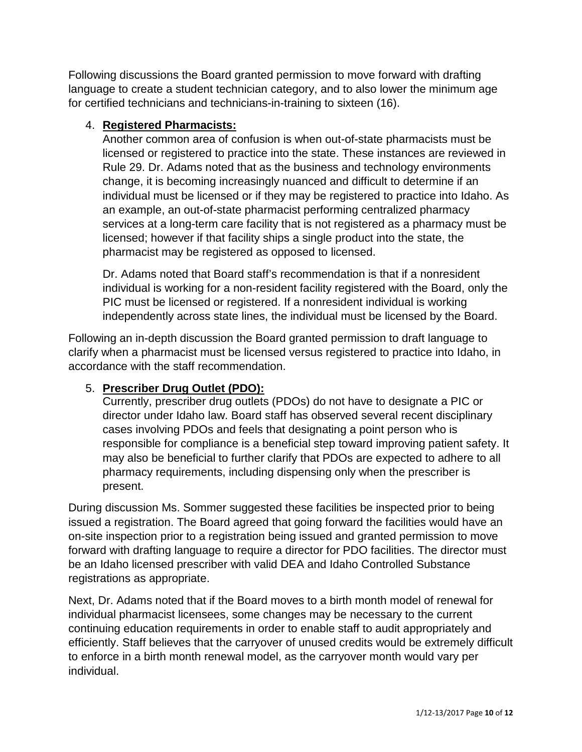Following discussions the Board granted permission to move forward with drafting language to create a student technician category, and to also lower the minimum age for certified technicians and technicians-in-training to sixteen (16).

### 4. **Registered Pharmacists:**

Another common area of confusion is when out-of-state pharmacists must be licensed or registered to practice into the state. These instances are reviewed in Rule 29. Dr. Adams noted that as the business and technology environments change, it is becoming increasingly nuanced and difficult to determine if an individual must be licensed or if they may be registered to practice into Idaho. As an example, an out-of-state pharmacist performing centralized pharmacy services at a long-term care facility that is not registered as a pharmacy must be licensed; however if that facility ships a single product into the state, the pharmacist may be registered as opposed to licensed.

Dr. Adams noted that Board staff's recommendation is that if a nonresident individual is working for a non-resident facility registered with the Board, only the PIC must be licensed or registered. If a nonresident individual is working independently across state lines, the individual must be licensed by the Board.

Following an in-depth discussion the Board granted permission to draft language to clarify when a pharmacist must be licensed versus registered to practice into Idaho, in accordance with the staff recommendation.

### 5. **Prescriber Drug Outlet (PDO):**

Currently, prescriber drug outlets (PDOs) do not have to designate a PIC or director under Idaho law. Board staff has observed several recent disciplinary cases involving PDOs and feels that designating a point person who is responsible for compliance is a beneficial step toward improving patient safety. It may also be beneficial to further clarify that PDOs are expected to adhere to all pharmacy requirements, including dispensing only when the prescriber is present.

During discussion Ms. Sommer suggested these facilities be inspected prior to being issued a registration. The Board agreed that going forward the facilities would have an on-site inspection prior to a registration being issued and granted permission to move forward with drafting language to require a director for PDO facilities. The director must be an Idaho licensed prescriber with valid DEA and Idaho Controlled Substance registrations as appropriate.

Next, Dr. Adams noted that if the Board moves to a birth month model of renewal for individual pharmacist licensees, some changes may be necessary to the current continuing education requirements in order to enable staff to audit appropriately and efficiently. Staff believes that the carryover of unused credits would be extremely difficult to enforce in a birth month renewal model, as the carryover month would vary per individual.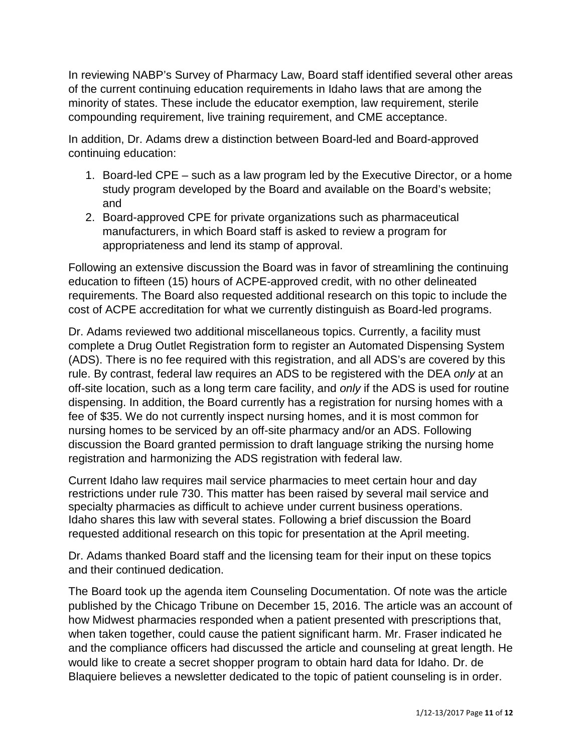In reviewing NABP's Survey of Pharmacy Law, Board staff identified several other areas of the current continuing education requirements in Idaho laws that are among the minority of states. These include the educator exemption, law requirement, sterile compounding requirement, live training requirement, and CME acceptance.

In addition, Dr. Adams drew a distinction between Board-led and Board-approved continuing education:

- 1. Board-led CPE such as a law program led by the Executive Director, or a home study program developed by the Board and available on the Board's website; and
- 2. Board-approved CPE for private organizations such as pharmaceutical manufacturers, in which Board staff is asked to review a program for appropriateness and lend its stamp of approval.

Following an extensive discussion the Board was in favor of streamlining the continuing education to fifteen (15) hours of ACPE-approved credit, with no other delineated requirements. The Board also requested additional research on this topic to include the cost of ACPE accreditation for what we currently distinguish as Board-led programs.

Dr. Adams reviewed two additional miscellaneous topics. Currently, a facility must complete a Drug Outlet Registration form to register an Automated Dispensing System (ADS). There is no fee required with this registration, and all ADS's are covered by this rule. By contrast, federal law requires an ADS to be registered with the DEA *only* at an off-site location, such as a long term care facility, and *only* if the ADS is used for routine dispensing. In addition, the Board currently has a registration for nursing homes with a fee of \$35. We do not currently inspect nursing homes, and it is most common for nursing homes to be serviced by an off-site pharmacy and/or an ADS. Following discussion the Board granted permission to draft language striking the nursing home registration and harmonizing the ADS registration with federal law.

Current Idaho law requires mail service pharmacies to meet certain hour and day restrictions under rule 730. This matter has been raised by several mail service and specialty pharmacies as difficult to achieve under current business operations. Idaho shares this law with several states. Following a brief discussion the Board requested additional research on this topic for presentation at the April meeting.

Dr. Adams thanked Board staff and the licensing team for their input on these topics and their continued dedication.

The Board took up the agenda item Counseling Documentation. Of note was the article published by the Chicago Tribune on December 15, 2016. The article was an account of how Midwest pharmacies responded when a patient presented with prescriptions that, when taken together, could cause the patient significant harm. Mr. Fraser indicated he and the compliance officers had discussed the article and counseling at great length. He would like to create a secret shopper program to obtain hard data for Idaho. Dr. de Blaquiere believes a newsletter dedicated to the topic of patient counseling is in order.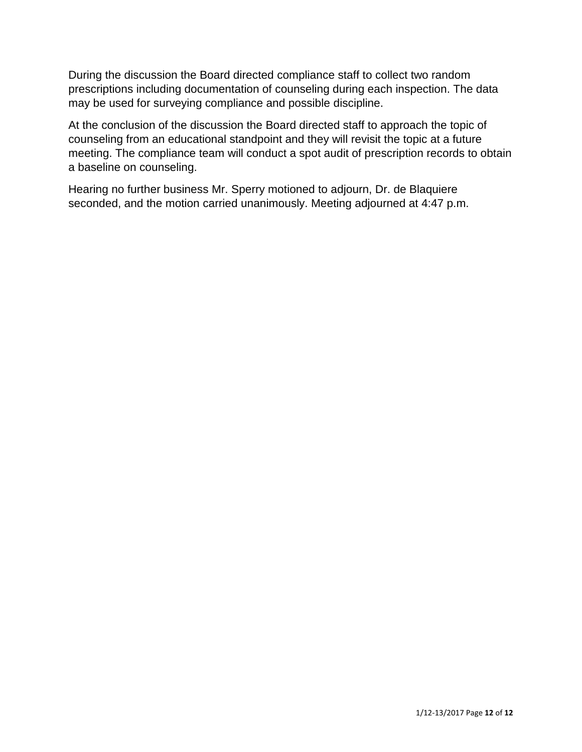During the discussion the Board directed compliance staff to collect two random prescriptions including documentation of counseling during each inspection. The data may be used for surveying compliance and possible discipline.

At the conclusion of the discussion the Board directed staff to approach the topic of counseling from an educational standpoint and they will revisit the topic at a future meeting. The compliance team will conduct a spot audit of prescription records to obtain a baseline on counseling.

Hearing no further business Mr. Sperry motioned to adjourn, Dr. de Blaquiere seconded, and the motion carried unanimously. Meeting adjourned at 4:47 p.m.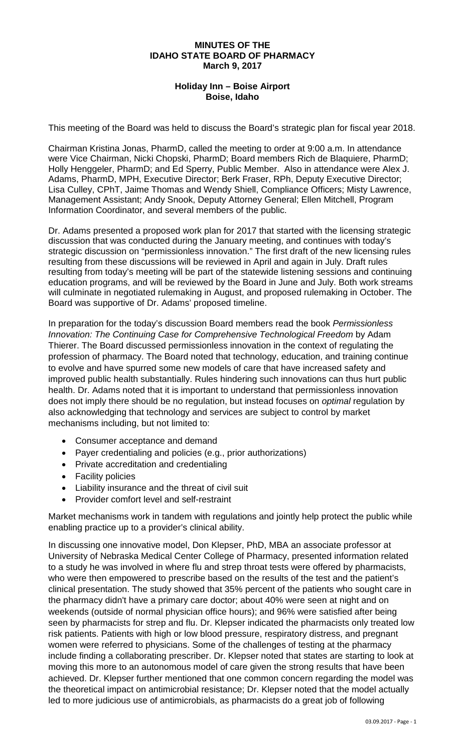#### **MINUTES OF THE IDAHO STATE BOARD OF PHARMACY March 9, 2017**

### **Holiday Inn – Boise Airport Boise, Idaho**

This meeting of the Board was held to discuss the Board's strategic plan for fiscal year 2018.

Chairman Kristina Jonas, PharmD, called the meeting to order at 9:00 a.m. In attendance were Vice Chairman, Nicki Chopski, PharmD; Board members Rich de Blaquiere, PharmD; Holly Henggeler, PharmD; and Ed Sperry, Public Member. Also in attendance were Alex J. Adams, PharmD, MPH, Executive Director; Berk Fraser, RPh, Deputy Executive Director; Lisa Culley, CPhT, Jaime Thomas and Wendy Shiell, Compliance Officers; Misty Lawrence, Management Assistant; Andy Snook, Deputy Attorney General; Ellen Mitchell, Program Information Coordinator, and several members of the public.

Dr. Adams presented a proposed work plan for 2017 that started with the licensing strategic discussion that was conducted during the January meeting, and continues with today's strategic discussion on "permissionless innovation." The first draft of the new licensing rules resulting from these discussions will be reviewed in April and again in July. Draft rules resulting from today's meeting will be part of the statewide listening sessions and continuing education programs, and will be reviewed by the Board in June and July. Both work streams will culminate in negotiated rulemaking in August, and proposed rulemaking in October. The Board was supportive of Dr. Adams' proposed timeline.

In preparation for the today's discussion Board members read the book *Permissionless Innovation: The Continuing Case for Comprehensive Technological Freedom* by Adam Thierer. The Board discussed permissionless innovation in the context of regulating the profession of pharmacy. The Board noted that technology, education, and training continue to evolve and have spurred some new models of care that have increased safety and improved public health substantially. Rules hindering such innovations can thus hurt public health. Dr. Adams noted that it is important to understand that permissionless innovation does not imply there should be no regulation, but instead focuses on *optimal* regulation by also acknowledging that technology and services are subject to control by market mechanisms including, but not limited to:

- Consumer acceptance and demand
- Payer credentialing and policies (e.g., prior authorizations)
- Private accreditation and credentialing
- Facility policies
- Liability insurance and the threat of civil suit
- Provider comfort level and self-restraint

Market mechanisms work in tandem with regulations and jointly help protect the public while enabling practice up to a provider's clinical ability.

In discussing one innovative model, Don Klepser, PhD, MBA an associate professor at University of Nebraska Medical Center College of Pharmacy, presented information related to a study he was involved in where flu and strep throat tests were offered by pharmacists, who were then empowered to prescribe based on the results of the test and the patient's clinical presentation. The study showed that 35% percent of the patients who sought care in the pharmacy didn't have a primary care doctor; about 40% were seen at night and on weekends (outside of normal physician office hours); and 96% were satisfied after being seen by pharmacists for strep and flu. Dr. Klepser indicated the pharmacists only treated low risk patients. Patients with high or low blood pressure, respiratory distress, and pregnant women were referred to physicians. Some of the challenges of testing at the pharmacy include finding a collaborating prescriber. Dr. Klepser noted that states are starting to look at moving this more to an autonomous model of care given the strong results that have been achieved. Dr. Klepser further mentioned that one common concern regarding the model was the theoretical impact on antimicrobial resistance; Dr. Klepser noted that the model actually led to more judicious use of antimicrobials, as pharmacists do a great job of following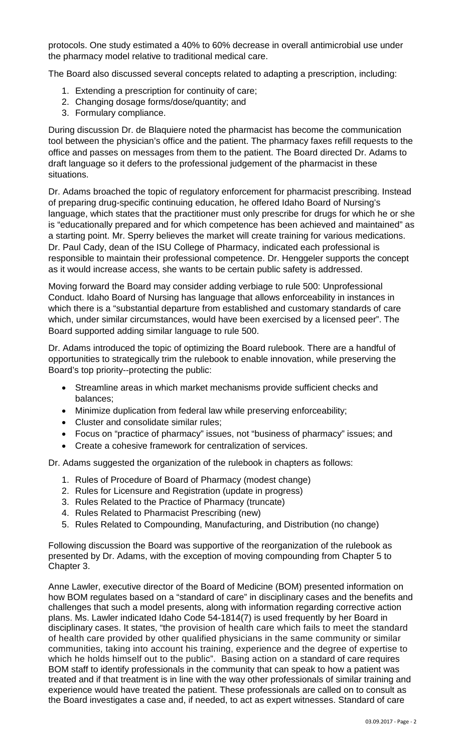protocols. One study estimated a 40% to 60% decrease in overall antimicrobial use under the pharmacy model relative to traditional medical care.

The Board also discussed several concepts related to adapting a prescription, including:

- 1. Extending a prescription for continuity of care;
- 2. Changing dosage forms/dose/quantity; and
- 3. Formulary compliance.

During discussion Dr. de Blaquiere noted the pharmacist has become the communication tool between the physician's office and the patient. The pharmacy faxes refill requests to the office and passes on messages from them to the patient. The Board directed Dr. Adams to draft language so it defers to the professional judgement of the pharmacist in these situations.

Dr. Adams broached the topic of regulatory enforcement for pharmacist prescribing. Instead of preparing drug-specific continuing education, he offered Idaho Board of Nursing's language, which states that the practitioner must only prescribe for drugs for which he or she is "educationally prepared and for which competence has been achieved and maintained" as a starting point. Mr. Sperry believes the market will create training for various medications. Dr. Paul Cady, dean of the ISU College of Pharmacy, indicated each professional is responsible to maintain their professional competence. Dr. Henggeler supports the concept as it would increase access, she wants to be certain public safety is addressed.

Moving forward the Board may consider adding verbiage to rule 500: Unprofessional Conduct. Idaho Board of Nursing has language that allows enforceability in instances in which there is a "substantial departure from established and customary standards of care which, under similar circumstances, would have been exercised by a licensed peer". The Board supported adding similar language to rule 500.

Dr. Adams introduced the topic of optimizing the Board rulebook. There are a handful of opportunities to strategically trim the rulebook to enable innovation, while preserving the Board's top priority--protecting the public:

- Streamline areas in which market mechanisms provide sufficient checks and balances;
- Minimize duplication from federal law while preserving enforceability;
- Cluster and consolidate similar rules;
- Focus on "practice of pharmacy" issues, not "business of pharmacy" issues; and
- Create a cohesive framework for centralization of services.

Dr. Adams suggested the organization of the rulebook in chapters as follows:

- 1. Rules of Procedure of Board of Pharmacy (modest change)
- 2. Rules for Licensure and Registration (update in progress)
- 3. Rules Related to the Practice of Pharmacy (truncate)
- 4. Rules Related to Pharmacist Prescribing (new)
- 5. Rules Related to Compounding, Manufacturing, and Distribution (no change)

Following discussion the Board was supportive of the reorganization of the rulebook as presented by Dr. Adams, with the exception of moving compounding from Chapter 5 to Chapter 3.

Anne Lawler, executive director of the Board of Medicine (BOM) presented information on how BOM regulates based on a "standard of care" in disciplinary cases and the benefits and challenges that such a model presents, along with information regarding corrective action plans. Ms. Lawler indicated Idaho Code 54-1814(7) is used frequently by her Board in disciplinary cases. It states, "the provision of health care which fails to meet the standard of health care provided by other qualified physicians in the same community or similar communities, taking into account his training, experience and the degree of expertise to which he holds himself out to the public". Basing action on a standard of care requires BOM staff to identify professionals in the community that can speak to how a patient was treated and if that treatment is in line with the way other professionals of similar training and experience would have treated the patient. These professionals are called on to consult as the Board investigates a case and, if needed, to act as expert witnesses. Standard of care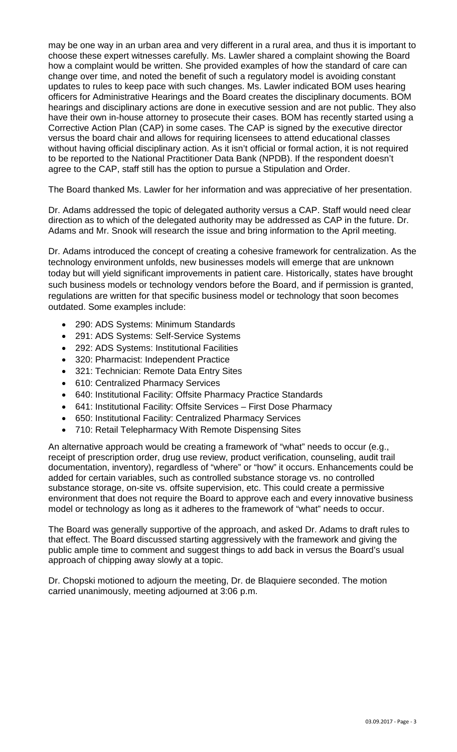may be one way in an urban area and very different in a rural area, and thus it is important to choose these expert witnesses carefully. Ms. Lawler shared a complaint showing the Board how a complaint would be written. She provided examples of how the standard of care can change over time, and noted the benefit of such a regulatory model is avoiding constant updates to rules to keep pace with such changes. Ms. Lawler indicated BOM uses hearing officers for Administrative Hearings and the Board creates the disciplinary documents. BOM hearings and disciplinary actions are done in executive session and are not public. They also have their own in-house attorney to prosecute their cases. BOM has recently started using a Corrective Action Plan (CAP) in some cases. The CAP is signed by the executive director versus the board chair and allows for requiring licensees to attend educational classes without having official disciplinary action. As it isn't official or formal action, it is not required to be reported to the National Practitioner Data Bank (NPDB). If the respondent doesn't agree to the CAP, staff still has the option to pursue a Stipulation and Order.

The Board thanked Ms. Lawler for her information and was appreciative of her presentation.

Dr. Adams addressed the topic of delegated authority versus a CAP. Staff would need clear direction as to which of the delegated authority may be addressed as CAP in the future. Dr. Adams and Mr. Snook will research the issue and bring information to the April meeting.

Dr. Adams introduced the concept of creating a cohesive framework for centralization. As the technology environment unfolds, new businesses models will emerge that are unknown today but will yield significant improvements in patient care. Historically, states have brought such business models or technology vendors before the Board, and if permission is granted, regulations are written for that specific business model or technology that soon becomes outdated. Some examples include:

- 290: ADS Systems: Minimum Standards
- 291: ADS Systems: Self-Service Systems
- 292: ADS Systems: Institutional Facilities
- 320: Pharmacist: Independent Practice
- 321: Technician: Remote Data Entry Sites
- 610: Centralized Pharmacy Services
- 640: Institutional Facility: Offsite Pharmacy Practice Standards
- 641: Institutional Facility: Offsite Services First Dose Pharmacy
- 650: Institutional Facility: Centralized Pharmacy Services
- 710: Retail Telepharmacy With Remote Dispensing Sites

An alternative approach would be creating a framework of "what" needs to occur (e.g., receipt of prescription order, drug use review, product verification, counseling, audit trail documentation, inventory), regardless of "where" or "how" it occurs. Enhancements could be added for certain variables, such as controlled substance storage vs. no controlled substance storage, on-site vs. offsite supervision, etc. This could create a permissive environment that does not require the Board to approve each and every innovative business model or technology as long as it adheres to the framework of "what" needs to occur.

The Board was generally supportive of the approach, and asked Dr. Adams to draft rules to that effect. The Board discussed starting aggressively with the framework and giving the public ample time to comment and suggest things to add back in versus the Board's usual approach of chipping away slowly at a topic.

Dr. Chopski motioned to adjourn the meeting, Dr. de Blaquiere seconded. The motion carried unanimously, meeting adjourned at 3:06 p.m.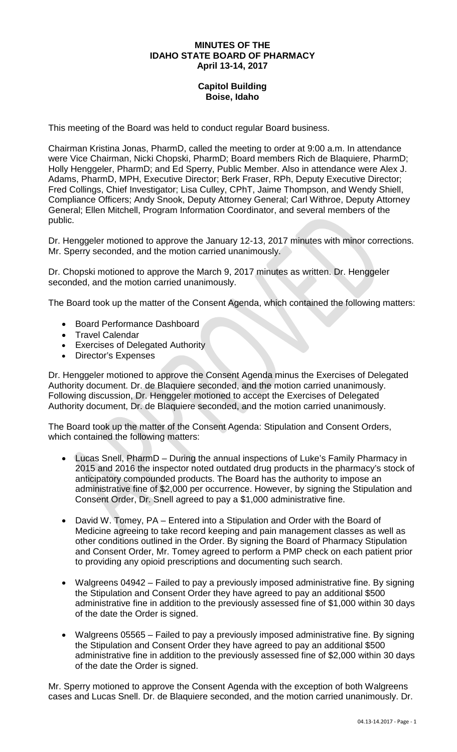#### **MINUTES OF THE IDAHO STATE BOARD OF PHARMACY April 13-14, 2017**

## **Capitol Building Boise, Idaho**

This meeting of the Board was held to conduct regular Board business.

Chairman Kristina Jonas, PharmD, called the meeting to order at 9:00 a.m. In attendance were Vice Chairman, Nicki Chopski, PharmD; Board members Rich de Blaquiere, PharmD; Holly Henggeler, PharmD; and Ed Sperry, Public Member. Also in attendance were Alex J. Adams, PharmD, MPH, Executive Director; Berk Fraser, RPh, Deputy Executive Director; Fred Collings, Chief Investigator; Lisa Culley, CPhT, Jaime Thompson, and Wendy Shiell, Compliance Officers; Andy Snook, Deputy Attorney General; Carl Withroe, Deputy Attorney General; Ellen Mitchell, Program Information Coordinator, and several members of the public.

Dr. Henggeler motioned to approve the January 12-13, 2017 minutes with minor corrections. Mr. Sperry seconded, and the motion carried unanimously.

Dr. Chopski motioned to approve the March 9, 2017 minutes as written. Dr. Henggeler seconded, and the motion carried unanimously.

The Board took up the matter of the Consent Agenda, which contained the following matters:

- Board Performance Dashboard
- Travel Calendar
- Exercises of Delegated Authority
- Director's Expenses

Dr. Henggeler motioned to approve the Consent Agenda minus the Exercises of Delegated Authority document. Dr. de Blaquiere seconded, and the motion carried unanimously. Following discussion, Dr. Henggeler motioned to accept the Exercises of Delegated Authority document, Dr. de Blaquiere seconded, and the motion carried unanimously.

The Board took up the matter of the Consent Agenda: Stipulation and Consent Orders, which contained the following matters:

- Lucas Snell, PharmD During the annual inspections of Luke's Family Pharmacy in 2015 and 2016 the inspector noted outdated drug products in the pharmacy's stock of anticipatory compounded products. The Board has the authority to impose an administrative fine of \$2,000 per occurrence. However, by signing the Stipulation and Consent Order, Dr. Snell agreed to pay a \$1,000 administrative fine.
- David W. Tomey, PA Entered into a Stipulation and Order with the Board of Medicine agreeing to take record keeping and pain management classes as well as other conditions outlined in the Order. By signing the Board of Pharmacy Stipulation and Consent Order, Mr. Tomey agreed to perform a PMP check on each patient prior to providing any opioid prescriptions and documenting such search.
- Walgreens 04942 Failed to pay a previously imposed administrative fine. By signing the Stipulation and Consent Order they have agreed to pay an additional \$500 administrative fine in addition to the previously assessed fine of \$1,000 within 30 days of the date the Order is signed.
- Walgreens 05565 Failed to pay a previously imposed administrative fine. By signing the Stipulation and Consent Order they have agreed to pay an additional \$500 administrative fine in addition to the previously assessed fine of \$2,000 within 30 days of the date the Order is signed.

Mr. Sperry motioned to approve the Consent Agenda with the exception of both Walgreens cases and Lucas Snell. Dr. de Blaquiere seconded, and the motion carried unanimously. Dr.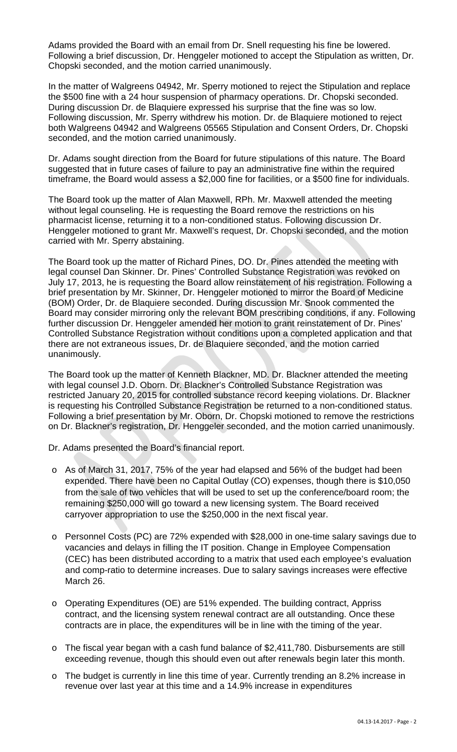Adams provided the Board with an email from Dr. Snell requesting his fine be lowered. Following a brief discussion, Dr. Henggeler motioned to accept the Stipulation as written, Dr. Chopski seconded, and the motion carried unanimously.

In the matter of Walgreens 04942, Mr. Sperry motioned to reject the Stipulation and replace the \$500 fine with a 24 hour suspension of pharmacy operations. Dr. Chopski seconded. During discussion Dr. de Blaquiere expressed his surprise that the fine was so low. Following discussion, Mr. Sperry withdrew his motion. Dr. de Blaquiere motioned to reject both Walgreens 04942 and Walgreens 05565 Stipulation and Consent Orders, Dr. Chopski seconded, and the motion carried unanimously.

Dr. Adams sought direction from the Board for future stipulations of this nature. The Board suggested that in future cases of failure to pay an administrative fine within the required timeframe, the Board would assess a \$2,000 fine for facilities, or a \$500 fine for individuals.

The Board took up the matter of Alan Maxwell, RPh. Mr. Maxwell attended the meeting without legal counseling. He is requesting the Board remove the restrictions on his pharmacist license, returning it to a non-conditioned status. Following discussion Dr. Henggeler motioned to grant Mr. Maxwell's request, Dr. Chopski seconded, and the motion carried with Mr. Sperry abstaining.

The Board took up the matter of Richard Pines, DO. Dr. Pines attended the meeting with legal counsel Dan Skinner. Dr. Pines' Controlled Substance Registration was revoked on July 17, 2013, he is requesting the Board allow reinstatement of his registration. Following a brief presentation by Mr. Skinner, Dr. Henggeler motioned to mirror the Board of Medicine (BOM) Order, Dr. de Blaquiere seconded. During discussion Mr. Snook commented the Board may consider mirroring only the relevant BOM prescribing conditions, if any. Following further discussion Dr. Henggeler amended her motion to grant reinstatement of Dr. Pines' Controlled Substance Registration without conditions upon a completed application and that there are not extraneous issues, Dr. de Blaquiere seconded, and the motion carried unanimously.

The Board took up the matter of Kenneth Blackner, MD. Dr. Blackner attended the meeting with legal counsel J.D. Oborn. Dr. Blackner's Controlled Substance Registration was restricted January 20, 2015 for controlled substance record keeping violations. Dr. Blackner is requesting his Controlled Substance Registration be returned to a non-conditioned status. Following a brief presentation by Mr. Oborn, Dr. Chopski motioned to remove the restrictions on Dr. Blackner's registration, Dr. Henggeler seconded, and the motion carried unanimously.

Dr. Adams presented the Board's financial report.

- o As of March 31, 2017, 75% of the year had elapsed and 56% of the budget had been expended. There have been no Capital Outlay (CO) expenses, though there is \$10,050 from the sale of two vehicles that will be used to set up the conference/board room; the remaining \$250,000 will go toward a new licensing system. The Board received carryover appropriation to use the \$250,000 in the next fiscal year.
- o Personnel Costs (PC) are 72% expended with \$28,000 in one-time salary savings due to vacancies and delays in filling the IT position. Change in Employee Compensation (CEC) has been distributed according to a matrix that used each employee's evaluation and comp-ratio to determine increases. Due to salary savings increases were effective March 26.
- o Operating Expenditures (OE) are 51% expended. The building contract, Appriss contract, and the licensing system renewal contract are all outstanding. Once these contracts are in place, the expenditures will be in line with the timing of the year.
- o The fiscal year began with a cash fund balance of \$2,411,780. Disbursements are still exceeding revenue, though this should even out after renewals begin later this month.
- o The budget is currently in line this time of year. Currently trending an 8.2% increase in revenue over last year at this time and a 14.9% increase in expenditures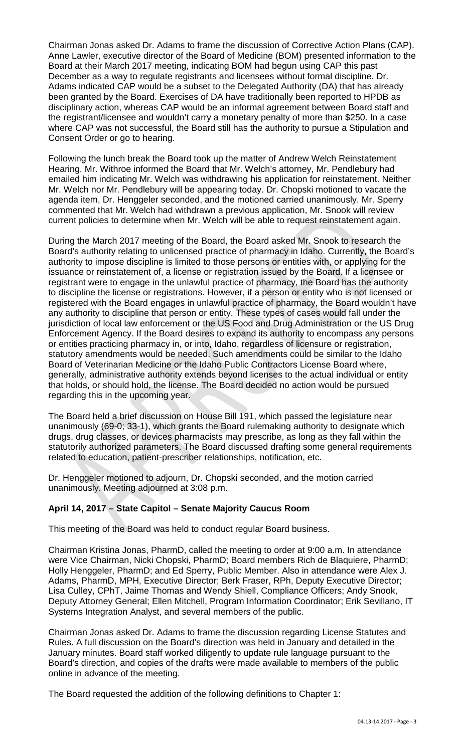Chairman Jonas asked Dr. Adams to frame the discussion of Corrective Action Plans (CAP). Anne Lawler, executive director of the Board of Medicine (BOM) presented information to the Board at their March 2017 meeting, indicating BOM had begun using CAP this past December as a way to regulate registrants and licensees without formal discipline. Dr. Adams indicated CAP would be a subset to the Delegated Authority (DA) that has already been granted by the Board. Exercises of DA have traditionally been reported to HPDB as disciplinary action, whereas CAP would be an informal agreement between Board staff and the registrant/licensee and wouldn't carry a monetary penalty of more than \$250. In a case where CAP was not successful, the Board still has the authority to pursue a Stipulation and Consent Order or go to hearing.

Following the lunch break the Board took up the matter of Andrew Welch Reinstatement Hearing. Mr. Withroe informed the Board that Mr. Welch's attorney, Mr. Pendlebury had emailed him indicating Mr. Welch was withdrawing his application for reinstatement. Neither Mr. Welch nor Mr. Pendlebury will be appearing today. Dr. Chopski motioned to vacate the agenda item, Dr. Henggeler seconded, and the motioned carried unanimously. Mr. Sperry commented that Mr. Welch had withdrawn a previous application, Mr. Snook will review current policies to determine when Mr. Welch will be able to request reinstatement again.

During the March 2017 meeting of the Board, the Board asked Mr. Snook to research the Board's authority relating to unlicensed practice of pharmacy in Idaho. Currently, the Board's authority to impose discipline is limited to those persons or entities with, or applying for the issuance or reinstatement of, a license or registration issued by the Board. If a licensee or registrant were to engage in the unlawful practice of pharmacy, the Board has the authority to discipline the license or registrations. However, if a person or entity who is not licensed or registered with the Board engages in unlawful practice of pharmacy, the Board wouldn't have any authority to discipline that person or entity. These types of cases would fall under the jurisdiction of local law enforcement or the US Food and Drug Administration or the US Drug Enforcement Agency. If the Board desires to expand its authority to encompass any persons or entities practicing pharmacy in, or into, Idaho, regardless of licensure or registration, statutory amendments would be needed. Such amendments could be similar to the Idaho Board of Veterinarian Medicine or the Idaho Public Contractors License Board where, generally, administrative authority extends beyond licenses to the actual individual or entity that holds, or should hold, the license. The Board decided no action would be pursued regarding this in the upcoming year.

The Board held a brief discussion on House Bill 191, which passed the legislature near unanimously (69-0; 33-1), which grants the Board rulemaking authority to designate which drugs, drug classes, or devices pharmacists may prescribe, as long as they fall within the statutorily authorized parameters. The Board discussed drafting some general requirements related to education, patient-prescriber relationships, notification, etc.

Dr. Henggeler motioned to adjourn, Dr. Chopski seconded, and the motion carried unanimously. Meeting adjourned at 3:08 p.m.

### **April 14, 2017 – State Capitol – Senate Majority Caucus Room**

This meeting of the Board was held to conduct regular Board business.

Chairman Kristina Jonas, PharmD, called the meeting to order at 9:00 a.m. In attendance were Vice Chairman, Nicki Chopski, PharmD; Board members Rich de Blaquiere, PharmD; Holly Henggeler, PharmD; and Ed Sperry, Public Member. Also in attendance were Alex J. Adams, PharmD, MPH, Executive Director; Berk Fraser, RPh, Deputy Executive Director; Lisa Culley, CPhT, Jaime Thomas and Wendy Shiell, Compliance Officers; Andy Snook, Deputy Attorney General; Ellen Mitchell, Program Information Coordinator; Erik Sevillano, IT Systems Integration Analyst, and several members of the public.

Chairman Jonas asked Dr. Adams to frame the discussion regarding License Statutes and Rules. A full discussion on the Board's direction was held in January and detailed in the January minutes. Board staff worked diligently to update rule language pursuant to the Board's direction, and copies of the drafts were made available to members of the public online in advance of the meeting.

The Board requested the addition of the following definitions to Chapter 1: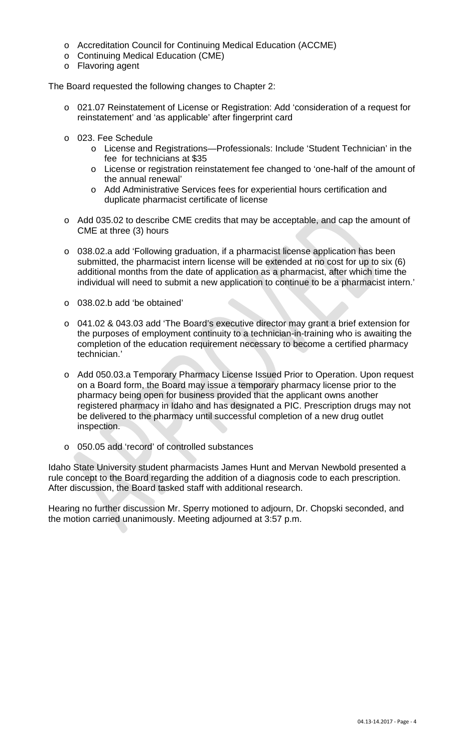- o Accreditation Council for Continuing Medical Education (ACCME)
- o Continuing Medical Education (CME)
- o Flavoring agent

The Board requested the following changes to Chapter 2:

- o 021.07 Reinstatement of License or Registration: Add 'consideration of a request for reinstatement' and 'as applicable' after fingerprint card
- o 023. Fee Schedule
	- o License and Registrations—Professionals: Include 'Student Technician' in the fee for technicians at \$35
	- o License or registration reinstatement fee changed to 'one-half of the amount of the annual renewal'
	- o Add Administrative Services fees for experiential hours certification and duplicate pharmacist certificate of license
- o Add 035.02 to describe CME credits that may be acceptable, and cap the amount of CME at three (3) hours
- o 038.02.a add 'Following graduation, if a pharmacist license application has been submitted, the pharmacist intern license will be extended at no cost for up to six (6) additional months from the date of application as a pharmacist, after which time the individual will need to submit a new application to continue to be a pharmacist intern.'
- o 038.02.b add 'be obtained'
- o 041.02 & 043.03 add 'The Board's executive director may grant a brief extension for the purposes of employment continuity to a technician-in-training who is awaiting the completion of the education requirement necessary to become a certified pharmacy technician.'
- o Add 050.03.a Temporary Pharmacy License Issued Prior to Operation. Upon request on a Board form, the Board may issue a temporary pharmacy license prior to the pharmacy being open for business provided that the applicant owns another registered pharmacy in Idaho and has designated a PIC. Prescription drugs may not be delivered to the pharmacy until successful completion of a new drug outlet inspection.
- o 050.05 add 'record' of controlled substances

Idaho State University student pharmacists James Hunt and Mervan Newbold presented a rule concept to the Board regarding the addition of a diagnosis code to each prescription. After discussion, the Board tasked staff with additional research.

Hearing no further discussion Mr. Sperry motioned to adjourn, Dr. Chopski seconded, and the motion carried unanimously. Meeting adjourned at 3:57 p.m.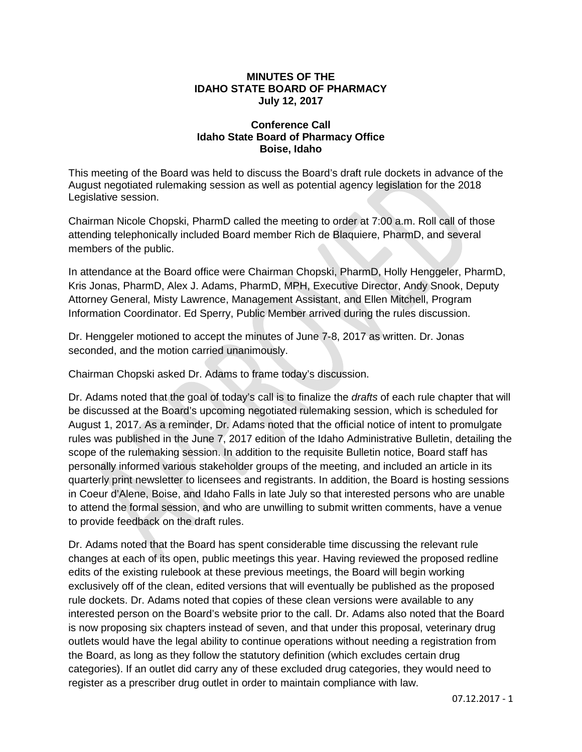#### **MINUTES OF THE IDAHO STATE BOARD OF PHARMACY July 12, 2017**

#### **Conference Call Idaho State Board of Pharmacy Office Boise, Idaho**

This meeting of the Board was held to discuss the Board's draft rule dockets in advance of the August negotiated rulemaking session as well as potential agency legislation for the 2018 Legislative session.

Chairman Nicole Chopski, PharmD called the meeting to order at 7:00 a.m. Roll call of those attending telephonically included Board member Rich de Blaquiere, PharmD, and several members of the public.

In attendance at the Board office were Chairman Chopski, PharmD, Holly Henggeler, PharmD, Kris Jonas, PharmD, Alex J. Adams, PharmD, MPH, Executive Director, Andy Snook, Deputy Attorney General, Misty Lawrence, Management Assistant, and Ellen Mitchell, Program Information Coordinator. Ed Sperry, Public Member arrived during the rules discussion.

Dr. Henggeler motioned to accept the minutes of June 7-8, 2017 as written. Dr. Jonas seconded, and the motion carried unanimously.

Chairman Chopski asked Dr. Adams to frame today's discussion.

Dr. Adams noted that the goal of today's call is to finalize the *drafts* of each rule chapter that will be discussed at the Board's upcoming negotiated rulemaking session, which is scheduled for August 1, 2017. As a reminder, Dr. Adams noted that the official notice of intent to promulgate rules was published in the June 7, 2017 edition of the Idaho Administrative Bulletin, detailing the scope of the rulemaking session. In addition to the requisite Bulletin notice, Board staff has personally informed various stakeholder groups of the meeting, and included an article in its quarterly print newsletter to licensees and registrants. In addition, the Board is hosting sessions in Coeur d'Alene, Boise, and Idaho Falls in late July so that interested persons who are unable to attend the formal session, and who are unwilling to submit written comments, have a venue to provide feedback on the draft rules.

Dr. Adams noted that the Board has spent considerable time discussing the relevant rule changes at each of its open, public meetings this year. Having reviewed the proposed redline edits of the existing rulebook at these previous meetings, the Board will begin working exclusively off of the clean, edited versions that will eventually be published as the proposed rule dockets. Dr. Adams noted that copies of these clean versions were available to any interested person on the Board's website prior to the call. Dr. Adams also noted that the Board is now proposing six chapters instead of seven, and that under this proposal, veterinary drug outlets would have the legal ability to continue operations without needing a registration from the Board, as long as they follow the statutory definition (which excludes certain drug categories). If an outlet did carry any of these excluded drug categories, they would need to register as a prescriber drug outlet in order to maintain compliance with law.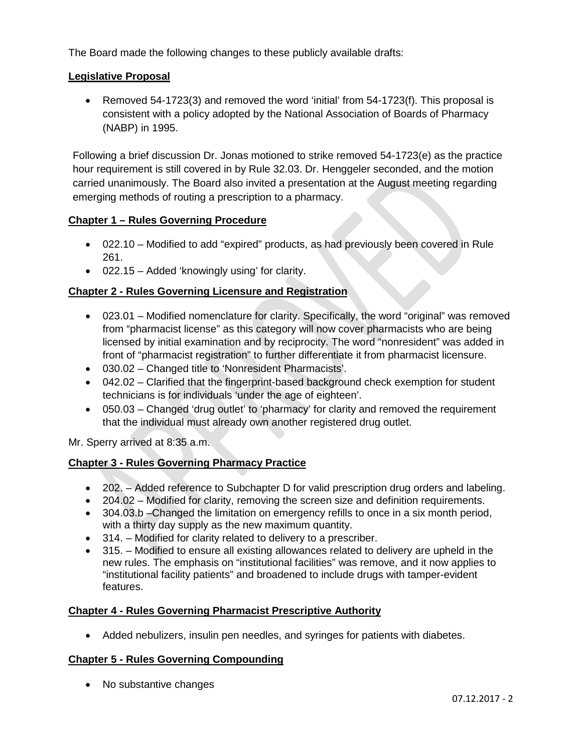The Board made the following changes to these publicly available drafts:

#### **Legislative Proposal**

• Removed 54-1723(3) and removed the word 'initial' from 54-1723(f). This proposal is consistent with a policy adopted by the National Association of Boards of Pharmacy (NABP) in 1995.

Following a brief discussion Dr. Jonas motioned to strike removed 54-1723(e) as the practice hour requirement is still covered in by Rule 32.03. Dr. Henggeler seconded, and the motion carried unanimously. The Board also invited a presentation at the August meeting regarding emerging methods of routing a prescription to a pharmacy.

#### **Chapter 1 – Rules Governing Procedure**

- 022.10 Modified to add "expired" products, as had previously been covered in Rule 261.
- 022.15 Added 'knowingly using' for clarity.

#### **Chapter 2 - Rules Governing Licensure and Registration**

- 023.01 Modified nomenclature for clarity. Specifically, the word "original" was removed from "pharmacist license" as this category will now cover pharmacists who are being licensed by initial examination and by reciprocity. The word "nonresident" was added in front of "pharmacist registration" to further differentiate it from pharmacist licensure.
- 030.02 Changed title to 'Nonresident Pharmacists'.
- 042.02 Clarified that the fingerprint-based background check exemption for student technicians is for individuals 'under the age of eighteen'.
- 050.03 Changed 'drug outlet' to 'pharmacy' for clarity and removed the requirement that the individual must already own another registered drug outlet.

Mr. Sperry arrived at 8:35 a.m.

#### **Chapter 3 - Rules Governing Pharmacy Practice**

- 202. Added reference to Subchapter D for valid prescription drug orders and labeling.
- 204.02 Modified for clarity, removing the screen size and definition requirements.
- 304.03.b –Changed the limitation on emergency refills to once in a six month period. with a thirty day supply as the new maximum quantity.
- 314. Modified for clarity related to delivery to a prescriber.
- 315. Modified to ensure all existing allowances related to delivery are upheld in the new rules. The emphasis on "institutional facilities" was remove, and it now applies to "institutional facility patients" and broadened to include drugs with tamper-evident features.

#### **Chapter 4 - Rules Governing Pharmacist Prescriptive Authority**

• Added nebulizers, insulin pen needles, and syringes for patients with diabetes.

#### **Chapter 5 - Rules Governing Compounding**

• No substantive changes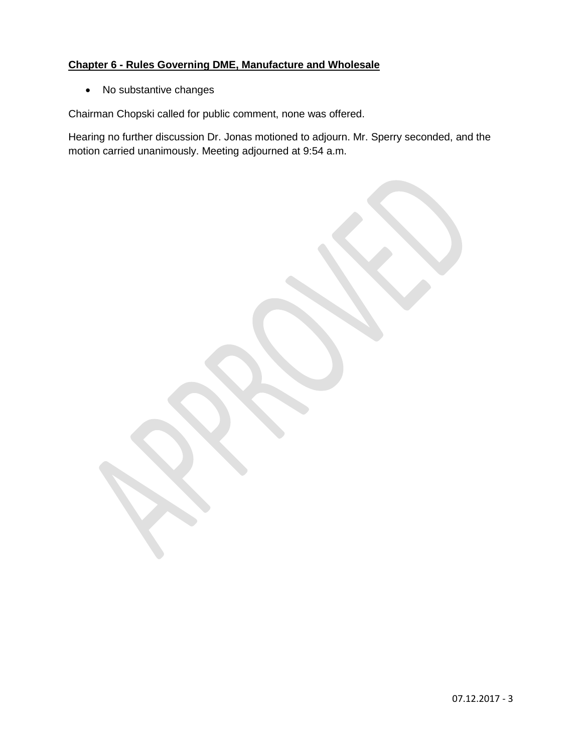## **Chapter 6 - Rules Governing DME, Manufacture and Wholesale**

• No substantive changes

Chairman Chopski called for public comment, none was offered.

Hearing no further discussion Dr. Jonas motioned to adjourn. Mr. Sperry seconded, and the motion carried unanimously. Meeting adjourned at 9:54 a.m.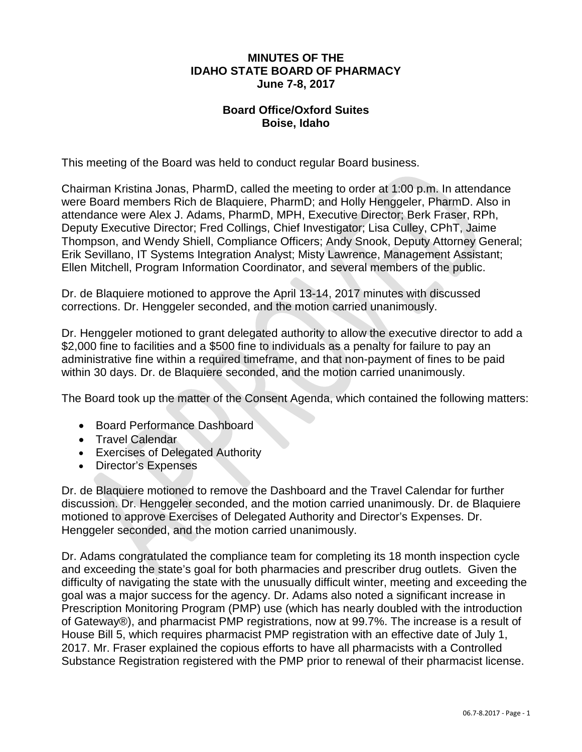#### **MINUTES OF THE IDAHO STATE BOARD OF PHARMACY June 7-8, 2017**

#### **Board Office/Oxford Suites Boise, Idaho**

This meeting of the Board was held to conduct regular Board business.

Chairman Kristina Jonas, PharmD, called the meeting to order at 1:00 p.m. In attendance were Board members Rich de Blaquiere, PharmD; and Holly Henggeler, PharmD. Also in attendance were Alex J. Adams, PharmD, MPH, Executive Director; Berk Fraser, RPh, Deputy Executive Director; Fred Collings, Chief Investigator; Lisa Culley, CPhT, Jaime Thompson, and Wendy Shiell, Compliance Officers; Andy Snook, Deputy Attorney General; Erik Sevillano, IT Systems Integration Analyst; Misty Lawrence, Management Assistant; Ellen Mitchell, Program Information Coordinator, and several members of the public.

Dr. de Blaquiere motioned to approve the April 13-14, 2017 minutes with discussed corrections. Dr. Henggeler seconded, and the motion carried unanimously.

Dr. Henggeler motioned to grant delegated authority to allow the executive director to add a \$2,000 fine to facilities and a \$500 fine to individuals as a penalty for failure to pay an administrative fine within a required timeframe, and that non-payment of fines to be paid within 30 days. Dr. de Blaquiere seconded, and the motion carried unanimously.

The Board took up the matter of the Consent Agenda, which contained the following matters:

- Board Performance Dashboard
- Travel Calendar
- Exercises of Delegated Authority
- Director's Expenses

Dr. de Blaquiere motioned to remove the Dashboard and the Travel Calendar for further discussion. Dr. Henggeler seconded, and the motion carried unanimously. Dr. de Blaquiere motioned to approve Exercises of Delegated Authority and Director's Expenses. Dr. Henggeler seconded, and the motion carried unanimously.

Dr. Adams congratulated the compliance team for completing its 18 month inspection cycle and exceeding the state's goal for both pharmacies and prescriber drug outlets. Given the difficulty of navigating the state with the unusually difficult winter, meeting and exceeding the goal was a major success for the agency. Dr. Adams also noted a significant increase in Prescription Monitoring Program (PMP) use (which has nearly doubled with the introduction of Gateway®), and pharmacist PMP registrations, now at 99.7%. The increase is a result of House Bill 5, which requires pharmacist PMP registration with an effective date of July 1, 2017. Mr. Fraser explained the copious efforts to have all pharmacists with a Controlled Substance Registration registered with the PMP prior to renewal of their pharmacist license.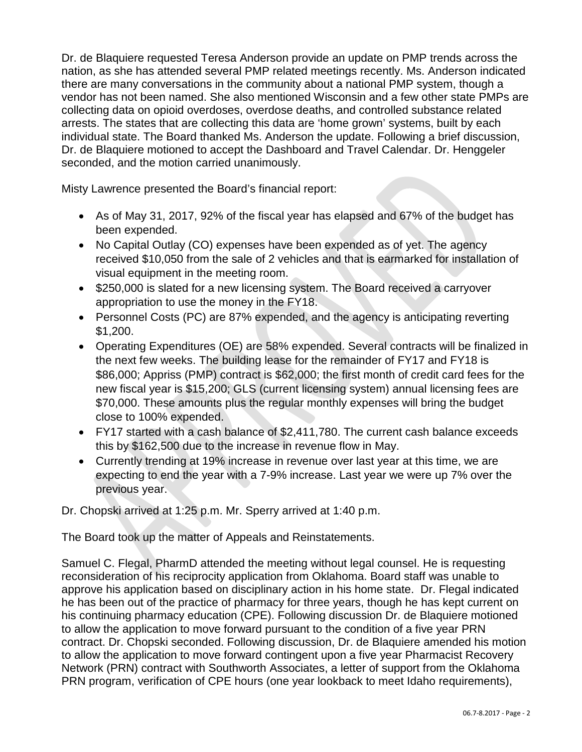Dr. de Blaquiere requested Teresa Anderson provide an update on PMP trends across the nation, as she has attended several PMP related meetings recently. Ms. Anderson indicated there are many conversations in the community about a national PMP system, though a vendor has not been named. She also mentioned Wisconsin and a few other state PMPs are collecting data on opioid overdoses, overdose deaths, and controlled substance related arrests. The states that are collecting this data are 'home grown' systems, built by each individual state. The Board thanked Ms. Anderson the update. Following a brief discussion, Dr. de Blaquiere motioned to accept the Dashboard and Travel Calendar. Dr. Henggeler seconded, and the motion carried unanimously.

Misty Lawrence presented the Board's financial report:

- As of May 31, 2017, 92% of the fiscal year has elapsed and 67% of the budget has been expended.
- No Capital Outlay (CO) expenses have been expended as of yet. The agency received \$10,050 from the sale of 2 vehicles and that is earmarked for installation of visual equipment in the meeting room.
- \$250,000 is slated for a new licensing system. The Board received a carryover appropriation to use the money in the FY18.
- Personnel Costs (PC) are 87% expended, and the agency is anticipating reverting \$1,200.
- Operating Expenditures (OE) are 58% expended. Several contracts will be finalized in the next few weeks. The building lease for the remainder of FY17 and FY18 is \$86,000; Appriss (PMP) contract is \$62,000; the first month of credit card fees for the new fiscal year is \$15,200; GLS (current licensing system) annual licensing fees are \$70,000. These amounts plus the regular monthly expenses will bring the budget close to 100% expended.
- FY17 started with a cash balance of \$2,411,780. The current cash balance exceeds this by \$162,500 due to the increase in revenue flow in May.
- Currently trending at 19% increase in revenue over last year at this time, we are expecting to end the year with a 7-9% increase. Last year we were up 7% over the previous year.

Dr. Chopski arrived at 1:25 p.m. Mr. Sperry arrived at 1:40 p.m.

The Board took up the matter of Appeals and Reinstatements.

Samuel C. Flegal, PharmD attended the meeting without legal counsel. He is requesting reconsideration of his reciprocity application from Oklahoma. Board staff was unable to approve his application based on disciplinary action in his home state. Dr. Flegal indicated he has been out of the practice of pharmacy for three years, though he has kept current on his continuing pharmacy education (CPE). Following discussion Dr. de Blaquiere motioned to allow the application to move forward pursuant to the condition of a five year PRN contract. Dr. Chopski seconded. Following discussion, Dr. de Blaquiere amended his motion to allow the application to move forward contingent upon a five year Pharmacist Recovery Network (PRN) contract with Southworth Associates, a letter of support from the Oklahoma PRN program, verification of CPE hours (one year lookback to meet Idaho requirements),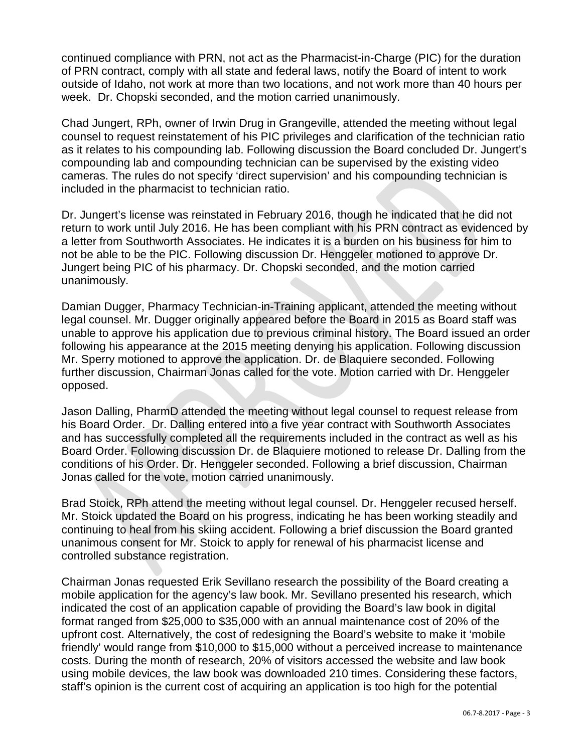continued compliance with PRN, not act as the Pharmacist-in-Charge (PIC) for the duration of PRN contract, comply with all state and federal laws, notify the Board of intent to work outside of Idaho, not work at more than two locations, and not work more than 40 hours per week. Dr. Chopski seconded, and the motion carried unanimously.

Chad Jungert, RPh, owner of Irwin Drug in Grangeville, attended the meeting without legal counsel to request reinstatement of his PIC privileges and clarification of the technician ratio as it relates to his compounding lab. Following discussion the Board concluded Dr. Jungert's compounding lab and compounding technician can be supervised by the existing video cameras. The rules do not specify 'direct supervision' and his compounding technician is included in the pharmacist to technician ratio.

Dr. Jungert's license was reinstated in February 2016, though he indicated that he did not return to work until July 2016. He has been compliant with his PRN contract as evidenced by a letter from Southworth Associates. He indicates it is a burden on his business for him to not be able to be the PIC. Following discussion Dr. Henggeler motioned to approve Dr. Jungert being PIC of his pharmacy. Dr. Chopski seconded, and the motion carried unanimously.

Damian Dugger, Pharmacy Technician-in-Training applicant, attended the meeting without legal counsel. Mr. Dugger originally appeared before the Board in 2015 as Board staff was unable to approve his application due to previous criminal history. The Board issued an order following his appearance at the 2015 meeting denying his application. Following discussion Mr. Sperry motioned to approve the application. Dr. de Blaquiere seconded. Following further discussion, Chairman Jonas called for the vote. Motion carried with Dr. Henggeler opposed.

Jason Dalling, PharmD attended the meeting without legal counsel to request release from his Board Order. Dr. Dalling entered into a five year contract with Southworth Associates and has successfully completed all the requirements included in the contract as well as his Board Order. Following discussion Dr. de Blaquiere motioned to release Dr. Dalling from the conditions of his Order. Dr. Henggeler seconded. Following a brief discussion, Chairman Jonas called for the vote, motion carried unanimously.

Brad Stoick, RPh attend the meeting without legal counsel. Dr. Henggeler recused herself. Mr. Stoick updated the Board on his progress, indicating he has been working steadily and continuing to heal from his skiing accident. Following a brief discussion the Board granted unanimous consent for Mr. Stoick to apply for renewal of his pharmacist license and controlled substance registration.

Chairman Jonas requested Erik Sevillano research the possibility of the Board creating a mobile application for the agency's law book. Mr. Sevillano presented his research, which indicated the cost of an application capable of providing the Board's law book in digital format ranged from \$25,000 to \$35,000 with an annual maintenance cost of 20% of the upfront cost. Alternatively, the cost of redesigning the Board's website to make it 'mobile friendly' would range from \$10,000 to \$15,000 without a perceived increase to maintenance costs. During the month of research, 20% of visitors accessed the website and law book using mobile devices, the law book was downloaded 210 times. Considering these factors, staff's opinion is the current cost of acquiring an application is too high for the potential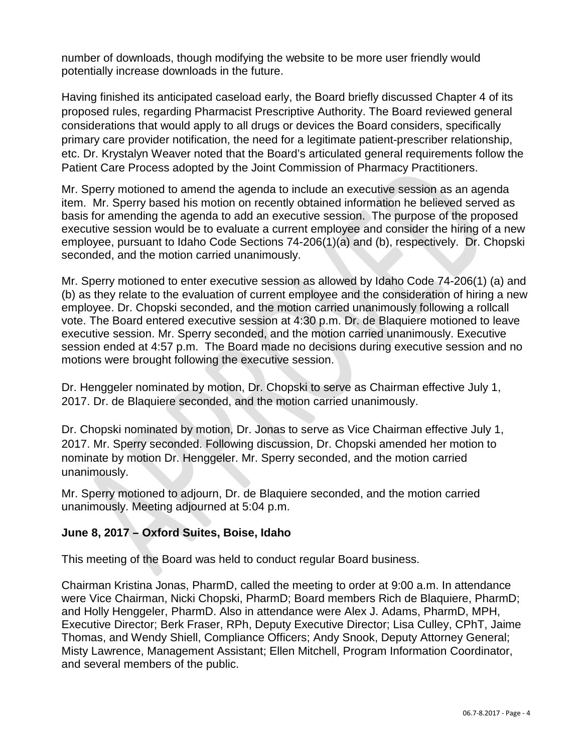number of downloads, though modifying the website to be more user friendly would potentially increase downloads in the future.

Having finished its anticipated caseload early, the Board briefly discussed Chapter 4 of its proposed rules, regarding Pharmacist Prescriptive Authority. The Board reviewed general considerations that would apply to all drugs or devices the Board considers, specifically primary care provider notification, the need for a legitimate patient-prescriber relationship, etc. Dr. Krystalyn Weaver noted that the Board's articulated general requirements follow the Patient Care Process adopted by the Joint Commission of Pharmacy Practitioners.

Mr. Sperry motioned to amend the agenda to include an executive session as an agenda item. Mr. Sperry based his motion on recently obtained information he believed served as basis for amending the agenda to add an executive session. The purpose of the proposed executive session would be to evaluate a current employee and consider the hiring of a new employee, pursuant to Idaho Code Sections 74-206(1)(a) and (b), respectively. Dr. Chopski seconded, and the motion carried unanimously.

Mr. Sperry motioned to enter executive session as allowed by Idaho Code 74-206(1) (a) and (b) as they relate to the evaluation of current employee and the consideration of hiring a new employee. Dr. Chopski seconded, and the motion carried unanimously following a rollcall vote. The Board entered executive session at 4:30 p.m. Dr. de Blaquiere motioned to leave executive session. Mr. Sperry seconded, and the motion carried unanimously. Executive session ended at 4:57 p.m. The Board made no decisions during executive session and no motions were brought following the executive session.

Dr. Henggeler nominated by motion, Dr. Chopski to serve as Chairman effective July 1, 2017. Dr. de Blaquiere seconded, and the motion carried unanimously.

Dr. Chopski nominated by motion, Dr. Jonas to serve as Vice Chairman effective July 1, 2017. Mr. Sperry seconded. Following discussion, Dr. Chopski amended her motion to nominate by motion Dr. Henggeler. Mr. Sperry seconded, and the motion carried unanimously.

Mr. Sperry motioned to adjourn, Dr. de Blaquiere seconded, and the motion carried unanimously. Meeting adjourned at 5:04 p.m.

#### **June 8, 2017 – Oxford Suites, Boise, Idaho**

This meeting of the Board was held to conduct regular Board business.

Chairman Kristina Jonas, PharmD, called the meeting to order at 9:00 a.m. In attendance were Vice Chairman, Nicki Chopski, PharmD; Board members Rich de Blaquiere, PharmD; and Holly Henggeler, PharmD. Also in attendance were Alex J. Adams, PharmD, MPH, Executive Director; Berk Fraser, RPh, Deputy Executive Director; Lisa Culley, CPhT, Jaime Thomas, and Wendy Shiell, Compliance Officers; Andy Snook, Deputy Attorney General; Misty Lawrence, Management Assistant; Ellen Mitchell, Program Information Coordinator, and several members of the public.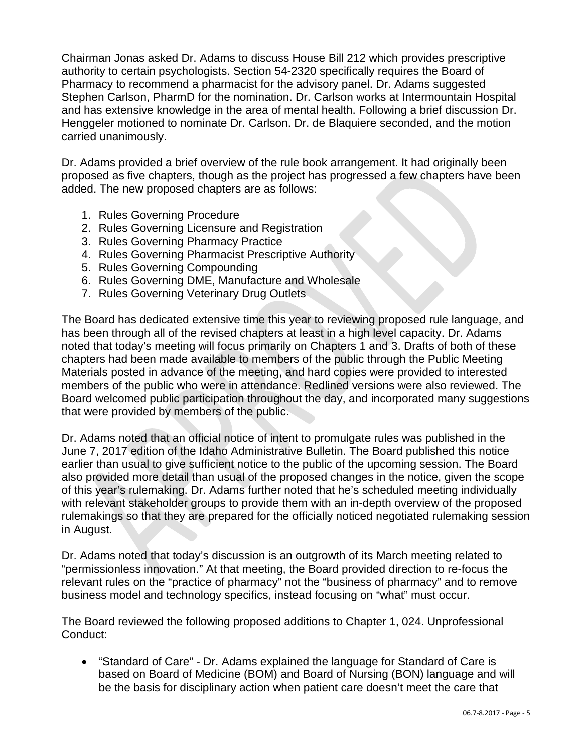Chairman Jonas asked Dr. Adams to discuss House Bill 212 which provides prescriptive authority to certain psychologists. Section 54-2320 specifically requires the Board of Pharmacy to recommend a pharmacist for the advisory panel. Dr. Adams suggested Stephen Carlson, PharmD for the nomination. Dr. Carlson works at Intermountain Hospital and has extensive knowledge in the area of mental health. Following a brief discussion Dr. Henggeler motioned to nominate Dr. Carlson. Dr. de Blaquiere seconded, and the motion carried unanimously.

Dr. Adams provided a brief overview of the rule book arrangement. It had originally been proposed as five chapters, though as the project has progressed a few chapters have been added. The new proposed chapters are as follows:

- 1. Rules Governing Procedure
- 2. Rules Governing Licensure and Registration
- 3. Rules Governing Pharmacy Practice
- 4. Rules Governing Pharmacist Prescriptive Authority
- 5. Rules Governing Compounding
- 6. Rules Governing DME, Manufacture and Wholesale
- 7. Rules Governing Veterinary Drug Outlets

The Board has dedicated extensive time this year to reviewing proposed rule language, and has been through all of the revised chapters at least in a high level capacity. Dr. Adams noted that today's meeting will focus primarily on Chapters 1 and 3. Drafts of both of these chapters had been made available to members of the public through the Public Meeting Materials posted in advance of the meeting, and hard copies were provided to interested members of the public who were in attendance. Redlined versions were also reviewed. The Board welcomed public participation throughout the day, and incorporated many suggestions that were provided by members of the public.

Dr. Adams noted that an official notice of intent to promulgate rules was published in the June 7, 2017 edition of the Idaho Administrative Bulletin. The Board published this notice earlier than usual to give sufficient notice to the public of the upcoming session. The Board also provided more detail than usual of the proposed changes in the notice, given the scope of this year's rulemaking. Dr. Adams further noted that he's scheduled meeting individually with relevant stakeholder groups to provide them with an in-depth overview of the proposed rulemakings so that they are prepared for the officially noticed negotiated rulemaking session in August.

Dr. Adams noted that today's discussion is an outgrowth of its March meeting related to "permissionless innovation." At that meeting, the Board provided direction to re-focus the relevant rules on the "practice of pharmacy" not the "business of pharmacy" and to remove business model and technology specifics, instead focusing on "what" must occur.

The Board reviewed the following proposed additions to Chapter 1, 024. Unprofessional Conduct:

• "Standard of Care" - Dr. Adams explained the language for Standard of Care is based on Board of Medicine (BOM) and Board of Nursing (BON) language and will be the basis for disciplinary action when patient care doesn't meet the care that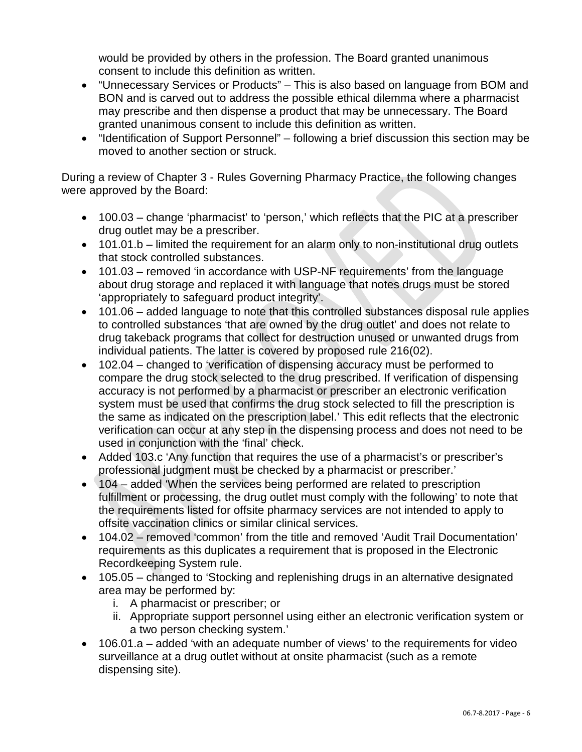would be provided by others in the profession. The Board granted unanimous consent to include this definition as written.

- "Unnecessary Services or Products" This is also based on language from BOM and BON and is carved out to address the possible ethical dilemma where a pharmacist may prescribe and then dispense a product that may be unnecessary. The Board granted unanimous consent to include this definition as written.
- "Identification of Support Personnel" following a brief discussion this section may be moved to another section or struck.

During a review of Chapter 3 - Rules Governing Pharmacy Practice, the following changes were approved by the Board:

- 100.03 change 'pharmacist' to 'person,' which reflects that the PIC at a prescriber drug outlet may be a prescriber.
- 101.01.b limited the requirement for an alarm only to non-institutional drug outlets that stock controlled substances.
- 101.03 removed 'in accordance with USP-NF requirements' from the language about drug storage and replaced it with language that notes drugs must be stored 'appropriately to safeguard product integrity'.
- 101.06 added language to note that this controlled substances disposal rule applies to controlled substances 'that are owned by the drug outlet' and does not relate to drug takeback programs that collect for destruction unused or unwanted drugs from individual patients. The latter is covered by proposed rule 216(02).
- 102.04 changed to 'verification of dispensing accuracy must be performed to compare the drug stock selected to the drug prescribed. If verification of dispensing accuracy is not performed by a pharmacist or prescriber an electronic verification system must be used that confirms the drug stock selected to fill the prescription is the same as indicated on the prescription label.' This edit reflects that the electronic verification can occur at any step in the dispensing process and does not need to be used in conjunction with the 'final' check.
- Added 103.c 'Any function that requires the use of a pharmacist's or prescriber's professional judgment must be checked by a pharmacist or prescriber.'
- 104 added 'When the services being performed are related to prescription fulfillment or processing, the drug outlet must comply with the following' to note that the requirements listed for offsite pharmacy services are not intended to apply to offsite vaccination clinics or similar clinical services.
- 104.02 removed 'common' from the title and removed 'Audit Trail Documentation' requirements as this duplicates a requirement that is proposed in the Electronic Recordkeeping System rule.
- 105.05 changed to 'Stocking and replenishing drugs in an alternative designated area may be performed by:
	- i. A pharmacist or prescriber; or
	- ii. Appropriate support personnel using either an electronic verification system or a two person checking system.'
- 106.01.a added 'with an adequate number of views' to the requirements for video surveillance at a drug outlet without at onsite pharmacist (such as a remote dispensing site).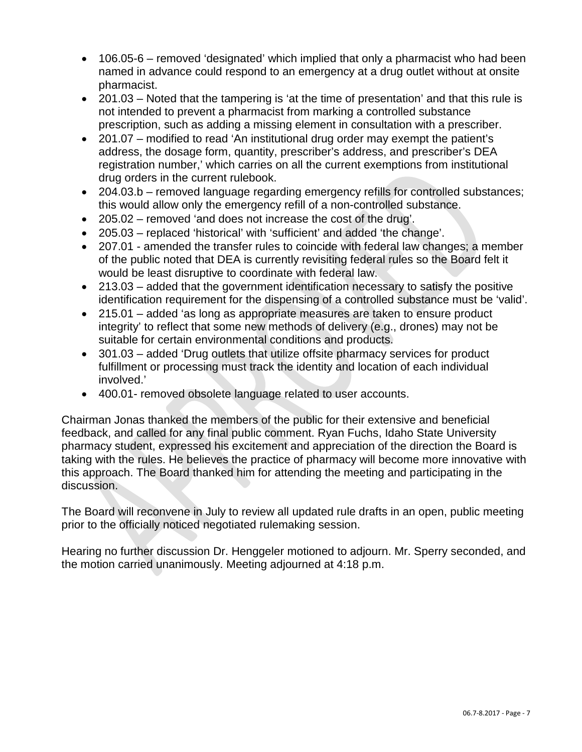- 106.05-6 removed 'designated' which implied that only a pharmacist who had been named in advance could respond to an emergency at a drug outlet without at onsite pharmacist.
- 201.03 Noted that the tampering is 'at the time of presentation' and that this rule is not intended to prevent a pharmacist from marking a controlled substance prescription, such as adding a missing element in consultation with a prescriber.
- 201.07 modified to read 'An institutional drug order may exempt the patient's address, the dosage form, quantity, prescriber's address, and prescriber's DEA registration number,' which carries on all the current exemptions from institutional drug orders in the current rulebook.
- 204.03.b removed language regarding emergency refills for controlled substances; this would allow only the emergency refill of a non-controlled substance.
- 205.02 removed 'and does not increase the cost of the drug'.
- 205.03 replaced 'historical' with 'sufficient' and added 'the change'.
- 207.01 amended the transfer rules to coincide with federal law changes; a member of the public noted that DEA is currently revisiting federal rules so the Board felt it would be least disruptive to coordinate with federal law.
- 213.03 added that the government identification necessary to satisfy the positive identification requirement for the dispensing of a controlled substance must be 'valid'.
- 215.01 added 'as long as appropriate measures are taken to ensure product integrity' to reflect that some new methods of delivery (e.g., drones) may not be suitable for certain environmental conditions and products.
- 301.03 added 'Drug outlets that utilize offsite pharmacy services for product fulfillment or processing must track the identity and location of each individual involved.'
- 400.01- removed obsolete language related to user accounts.

Chairman Jonas thanked the members of the public for their extensive and beneficial feedback, and called for any final public comment. Ryan Fuchs, Idaho State University pharmacy student, expressed his excitement and appreciation of the direction the Board is taking with the rules. He believes the practice of pharmacy will become more innovative with this approach. The Board thanked him for attending the meeting and participating in the discussion.

The Board will reconvene in July to review all updated rule drafts in an open, public meeting prior to the officially noticed negotiated rulemaking session.

Hearing no further discussion Dr. Henggeler motioned to adjourn. Mr. Sperry seconded, and the motion carried unanimously. Meeting adjourned at 4:18 p.m.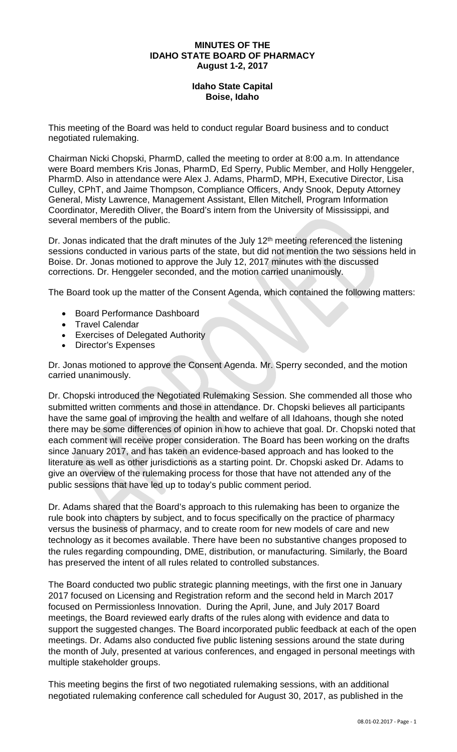#### **MINUTES OF THE IDAHO STATE BOARD OF PHARMACY August 1-2, 2017**

#### **Idaho State Capital Boise, Idaho**

This meeting of the Board was held to conduct regular Board business and to conduct negotiated rulemaking.

Chairman Nicki Chopski, PharmD, called the meeting to order at 8:00 a.m. In attendance were Board members Kris Jonas, PharmD, Ed Sperry, Public Member, and Holly Henggeler, PharmD. Also in attendance were Alex J. Adams, PharmD, MPH, Executive Director, Lisa Culley, CPhT, and Jaime Thompson, Compliance Officers, Andy Snook, Deputy Attorney General, Misty Lawrence, Management Assistant, Ellen Mitchell, Program Information Coordinator, Meredith Oliver, the Board's intern from the University of Mississippi, and several members of the public.

Dr. Jonas indicated that the draft minutes of the July  $12<sup>th</sup>$  meeting referenced the listening sessions conducted in various parts of the state, but did not mention the two sessions held in Boise. Dr. Jonas motioned to approve the July 12, 2017 minutes with the discussed corrections. Dr. Henggeler seconded, and the motion carried unanimously.

The Board took up the matter of the Consent Agenda, which contained the following matters:

- Board Performance Dashboard
- Travel Calendar
- **Exercises of Delegated Authority**
- Director's Expenses

Dr. Jonas motioned to approve the Consent Agenda. Mr. Sperry seconded, and the motion carried unanimously.

Dr. Chopski introduced the Negotiated Rulemaking Session. She commended all those who submitted written comments and those in attendance. Dr. Chopski believes all participants have the same goal of improving the health and welfare of all Idahoans, though she noted there may be some differences of opinion in how to achieve that goal. Dr. Chopski noted that each comment will receive proper consideration. The Board has been working on the drafts since January 2017, and has taken an evidence-based approach and has looked to the literature as well as other jurisdictions as a starting point. Dr. Chopski asked Dr. Adams to give an overview of the rulemaking process for those that have not attended any of the public sessions that have led up to today's public comment period.

Dr. Adams shared that the Board's approach to this rulemaking has been to organize the rule book into chapters by subject, and to focus specifically on the practice of pharmacy versus the business of pharmacy, and to create room for new models of care and new technology as it becomes available. There have been no substantive changes proposed to the rules regarding compounding, DME, distribution, or manufacturing. Similarly, the Board has preserved the intent of all rules related to controlled substances.

The Board conducted two public strategic planning meetings, with the first one in January 2017 focused on Licensing and Registration reform and the second held in March 2017 focused on Permissionless Innovation. During the April, June, and July 2017 Board meetings, the Board reviewed early drafts of the rules along with evidence and data to support the suggested changes. The Board incorporated public feedback at each of the open meetings. Dr. Adams also conducted five public listening sessions around the state during the month of July, presented at various conferences, and engaged in personal meetings with multiple stakeholder groups.

This meeting begins the first of two negotiated rulemaking sessions, with an additional negotiated rulemaking conference call scheduled for August 30, 2017, as published in the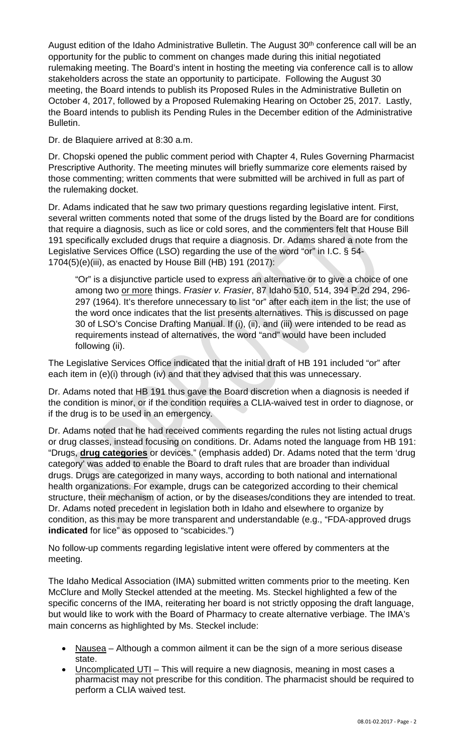August edition of the Idaho Administrative Bulletin. The August 30<sup>th</sup> conference call will be an opportunity for the public to comment on changes made during this initial negotiated rulemaking meeting. The Board's intent in hosting the meeting via conference call is to allow stakeholders across the state an opportunity to participate. Following the August 30 meeting, the Board intends to publish its Proposed Rules in the Administrative Bulletin on October 4, 2017, followed by a Proposed Rulemaking Hearing on October 25, 2017. Lastly, the Board intends to publish its Pending Rules in the December edition of the Administrative Bulletin.

Dr. de Blaquiere arrived at 8:30 a.m.

Dr. Chopski opened the public comment period with Chapter 4, Rules Governing Pharmacist Prescriptive Authority. The meeting minutes will briefly summarize core elements raised by those commenting; written comments that were submitted will be archived in full as part of the rulemaking docket.

Dr. Adams indicated that he saw two primary questions regarding legislative intent. First, several written comments noted that some of the drugs listed by the Board are for conditions that require a diagnosis, such as lice or cold sores, and the commenters felt that House Bill 191 specifically excluded drugs that require a diagnosis. Dr. Adams shared a note from the Legislative Services Office (LSO) regarding the use of the word "or" in I.C. § 54- 1704(5)(e)(iii), as enacted by House Bill (HB) 191 (2017):

"Or" is a disjunctive particle used to express an alternative or to give a choice of one among two or more things. *Frasier v. Frasier*, 87 Idaho 510, 514, 394 P.2d 294, 296- 297 (1964). It's therefore unnecessary to list "or" after each item in the list; the use of the word once indicates that the list presents alternatives. This is discussed on page 30 of LSO's Concise Drafting Manual. If (i), (ii), and (iii) were intended to be read as requirements instead of alternatives, the word "and" would have been included following (ii).

The Legislative Services Office indicated that the initial draft of HB 191 included "or" after each item in (e)(i) through (iv) and that they advised that this was unnecessary.

Dr. Adams noted that HB 191 thus gave the Board discretion when a diagnosis is needed if the condition is minor, or if the condition requires a CLIA-waived test in order to diagnose, or if the drug is to be used in an emergency.

Dr. Adams noted that he had received comments regarding the rules not listing actual drugs or drug classes, instead focusing on conditions. Dr. Adams noted the language from HB 191: "Drugs, **drug categories** or devices." (emphasis added) Dr. Adams noted that the term 'drug category' was added to enable the Board to draft rules that are broader than individual drugs. Drugs are categorized in many ways, according to both national and international health organizations. For example, drugs can be categorized according to their chemical structure, their mechanism of action, or by the diseases/conditions they are intended to treat. Dr. Adams noted precedent in legislation both in Idaho and elsewhere to organize by condition, as this may be more transparent and understandable (e.g., "FDA-approved drugs **indicated** for lice" as opposed to "scabicides.")

No follow-up comments regarding legislative intent were offered by commenters at the meeting.

The Idaho Medical Association (IMA) submitted written comments prior to the meeting. Ken McClure and Molly Steckel attended at the meeting. Ms. Steckel highlighted a few of the specific concerns of the IMA, reiterating her board is not strictly opposing the draft language, but would like to work with the Board of Pharmacy to create alternative verbiage. The IMA's main concerns as highlighted by Ms. Steckel include:

- Nausea Although a common ailment it can be the sign of a more serious disease state.
- Uncomplicated UTI This will require a new diagnosis, meaning in most cases a pharmacist may not prescribe for this condition. The pharmacist should be required to perform a CLIA waived test.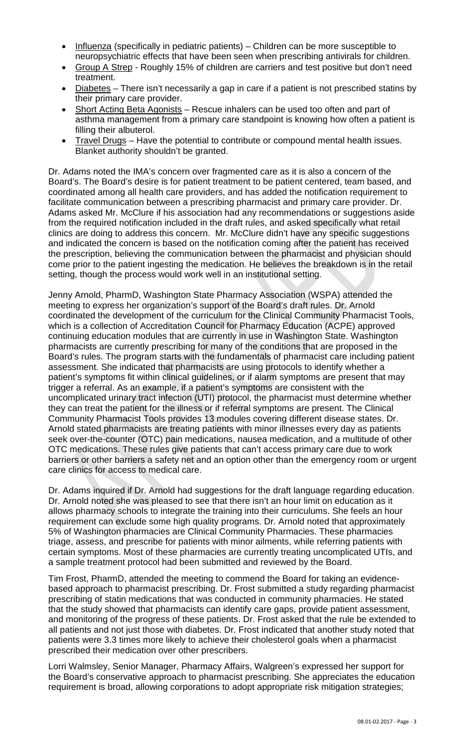- Influenza (specifically in pediatric patients) Children can be more susceptible to neuropsychiatric effects that have been seen when prescribing antivirals for children.
- Group A Strep Roughly 15% of children are carriers and test positive but don't need treatment.
- Diabetes There isn't necessarily a gap in care if a patient is not prescribed statins by their primary care provider.
- Short Acting Beta Agonists Rescue inhalers can be used too often and part of asthma management from a primary care standpoint is knowing how often a patient is filling their albuterol.
- Travel Drugs Have the potential to contribute or compound mental health issues. Blanket authority shouldn't be granted.

Dr. Adams noted the IMA's concern over fragmented care as it is also a concern of the Board's. The Board's desire is for patient treatment to be patient centered, team based, and coordinated among all health care providers, and has added the notification requirement to facilitate communication between a prescribing pharmacist and primary care provider. Dr. Adams asked Mr. McClure if his association had any recommendations or suggestions aside from the required notification included in the draft rules, and asked specifically what retail clinics are doing to address this concern. Mr. McClure didn't have any specific suggestions and indicated the concern is based on the notification coming after the patient has received the prescription, believing the communication between the pharmacist and physician should come prior to the patient ingesting the medication. He believes the breakdown is in the retail setting, though the process would work well in an institutional setting.

Jenny Arnold, PharmD, Washington State Pharmacy Association (WSPA) attended the meeting to express her organization's support of the Board's draft rules. Dr. Arnold coordinated the development of the curriculum for the Clinical Community Pharmacist Tools, which is a collection of Accreditation Council for Pharmacy Education (ACPE) approved continuing education modules that are currently in use in Washington State. Washington pharmacists are currently prescribing for many of the conditions that are proposed in the Board's rules. The program starts with the fundamentals of pharmacist care including patient assessment. She indicated that pharmacists are using protocols to identify whether a patient's symptoms fit within clinical guidelines, or if alarm symptoms are present that may trigger a referral. As an example, if a patient's symptoms are consistent with the uncomplicated urinary tract infection (UTI) protocol, the pharmacist must determine whether they can treat the patient for the illness or if referral symptoms are present. The Clinical Community Pharmacist Tools provides 13 modules covering different disease states. Dr. Arnold stated pharmacists are treating patients with minor illnesses every day as patients seek over-the-counter (OTC) pain medications, nausea medication, and a multitude of other OTC medications. These rules give patients that can't access primary care due to work barriers or other barriers a safety net and an option other than the emergency room or urgent care clinics for access to medical care.

Dr. Adams inquired if Dr. Arnold had suggestions for the draft language regarding education. Dr. Arnold noted she was pleased to see that there isn't an hour limit on education as it allows pharmacy schools to integrate the training into their curriculums. She feels an hour requirement can exclude some high quality programs. Dr. Arnold noted that approximately 5% of Washington pharmacies are Clinical Community Pharmacies. These pharmacies triage, assess, and prescribe for patients with minor ailments, while referring patients with certain symptoms. Most of these pharmacies are currently treating uncomplicated UTIs, and a sample treatment protocol had been submitted and reviewed by the Board.

Tim Frost, PharmD, attended the meeting to commend the Board for taking an evidencebased approach to pharmacist prescribing. Dr. Frost submitted a study regarding pharmacist prescribing of statin medications that was conducted in community pharmacies. He stated that the study showed that pharmacists can identify care gaps, provide patient assessment, and monitoring of the progress of these patients. Dr. Frost asked that the rule be extended to all patients and not just those with diabetes. Dr. Frost indicated that another study noted that patients were 3.3 times more likely to achieve their cholesterol goals when a pharmacist prescribed their medication over other prescribers.

Lorri Walmsley, Senior Manager, Pharmacy Affairs, Walgreen's expressed her support for the Board's conservative approach to pharmacist prescribing. She appreciates the education requirement is broad, allowing corporations to adopt appropriate risk mitigation strategies;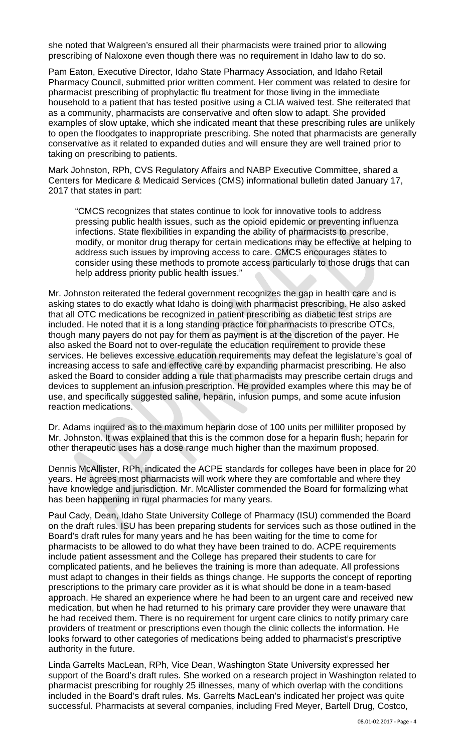she noted that Walgreen's ensured all their pharmacists were trained prior to allowing prescribing of Naloxone even though there was no requirement in Idaho law to do so.

Pam Eaton, Executive Director, Idaho State Pharmacy Association, and Idaho Retail Pharmacy Council, submitted prior written comment. Her comment was related to desire for pharmacist prescribing of prophylactic flu treatment for those living in the immediate household to a patient that has tested positive using a CLIA waived test. She reiterated that as a community, pharmacists are conservative and often slow to adapt. She provided examples of slow uptake, which she indicated meant that these prescribing rules are unlikely to open the floodgates to inappropriate prescribing. She noted that pharmacists are generally conservative as it related to expanded duties and will ensure they are well trained prior to taking on prescribing to patients.

Mark Johnston, RPh, CVS Regulatory Affairs and NABP Executive Committee, shared a Centers for Medicare & Medicaid Services (CMS) informational bulletin dated January 17, 2017 that states in part:

"CMCS recognizes that states continue to look for innovative tools to address pressing public health issues, such as the opioid epidemic or preventing influenza infections. State flexibilities in expanding the ability of pharmacists to prescribe, modify, or monitor drug therapy for certain medications may be effective at helping to address such issues by improving access to care. CMCS encourages states to consider using these methods to promote access particularly to those drugs that can help address priority public health issues."

Mr. Johnston reiterated the federal government recognizes the gap in health care and is asking states to do exactly what Idaho is doing with pharmacist prescribing. He also asked that all OTC medications be recognized in patient prescribing as diabetic test strips are included. He noted that it is a long standing practice for pharmacists to prescribe OTCs, though many payers do not pay for them as payment is at the discretion of the payer. He also asked the Board not to over-regulate the education requirement to provide these services. He believes excessive education requirements may defeat the legislature's goal of increasing access to safe and effective care by expanding pharmacist prescribing. He also asked the Board to consider adding a rule that pharmacists may prescribe certain drugs and devices to supplement an infusion prescription. He provided examples where this may be of use, and specifically suggested saline, heparin, infusion pumps, and some acute infusion reaction medications.

Dr. Adams inquired as to the maximum heparin dose of 100 units per milliliter proposed by Mr. Johnston. It was explained that this is the common dose for a heparin flush; heparin for other therapeutic uses has a dose range much higher than the maximum proposed.

Dennis McAllister, RPh, indicated the ACPE standards for colleges have been in place for 20 years. He agrees most pharmacists will work where they are comfortable and where they have knowledge and jurisdiction. Mr. McAllister commended the Board for formalizing what has been happening in rural pharmacies for many years.

Paul Cady, Dean, Idaho State University College of Pharmacy (ISU) commended the Board on the draft rules. ISU has been preparing students for services such as those outlined in the Board's draft rules for many years and he has been waiting for the time to come for pharmacists to be allowed to do what they have been trained to do. ACPE requirements include patient assessment and the College has prepared their students to care for complicated patients, and he believes the training is more than adequate. All professions must adapt to changes in their fields as things change. He supports the concept of reporting prescriptions to the primary care provider as it is what should be done in a team-based approach. He shared an experience where he had been to an urgent care and received new medication, but when he had returned to his primary care provider they were unaware that he had received them. There is no requirement for urgent care clinics to notify primary care providers of treatment or prescriptions even though the clinic collects the information. He looks forward to other categories of medications being added to pharmacist's prescriptive authority in the future.

Linda Garrelts MacLean, RPh, Vice Dean, Washington State University expressed her support of the Board's draft rules. She worked on a research project in Washington related to pharmacist prescribing for roughly 25 illnesses, many of which overlap with the conditions included in the Board's draft rules. Ms. Garrelts MacLean's indicated her project was quite successful. Pharmacists at several companies, including Fred Meyer, Bartell Drug, Costco,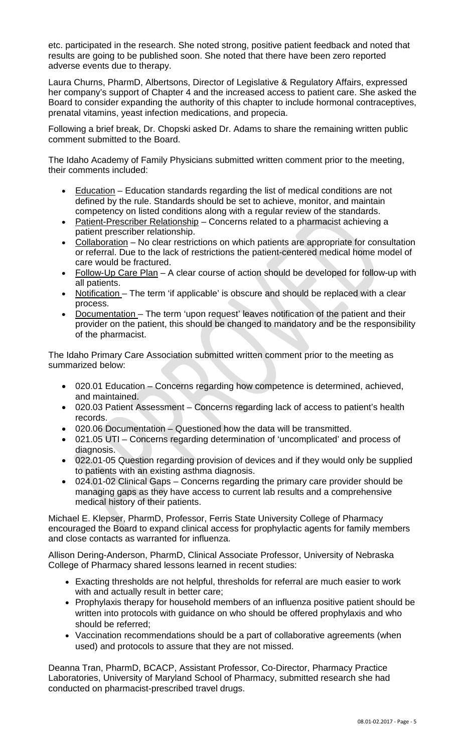etc. participated in the research. She noted strong, positive patient feedback and noted that results are going to be published soon. She noted that there have been zero reported adverse events due to therapy.

Laura Churns, PharmD, Albertsons, Director of Legislative & Regulatory Affairs, expressed her company's support of Chapter 4 and the increased access to patient care. She asked the Board to consider expanding the authority of this chapter to include hormonal contraceptives, prenatal vitamins, yeast infection medications, and propecia.

Following a brief break, Dr. Chopski asked Dr. Adams to share the remaining written public comment submitted to the Board.

The Idaho Academy of Family Physicians submitted written comment prior to the meeting, their comments included:

- Education Education standards regarding the list of medical conditions are not defined by the rule. Standards should be set to achieve, monitor, and maintain competency on listed conditions along with a regular review of the standards.
- Patient-Prescriber Relationship Concerns related to a pharmacist achieving a patient prescriber relationship.
- Collaboration No clear restrictions on which patients are appropriate for consultation or referral. Due to the lack of restrictions the patient-centered medical home model of care would be fractured.
- Follow-Up Care Plan A clear course of action should be developed for follow-up with all patients.
- Notification The term 'if applicable' is obscure and should be replaced with a clear process.
- Documentation The term 'upon request' leaves notification of the patient and their provider on the patient, this should be changed to mandatory and be the responsibility of the pharmacist.

The Idaho Primary Care Association submitted written comment prior to the meeting as summarized below:

- 020.01 Education Concerns regarding how competence is determined, achieved, and maintained.
- 020.03 Patient Assessment Concerns regarding lack of access to patient's health records.
- 020.06 Documentation Questioned how the data will be transmitted.
- 021.05 UTI Concerns regarding determination of 'uncomplicated' and process of diagnosis.
- 022.01-05 Question regarding provision of devices and if they would only be supplied to patients with an existing asthma diagnosis.
- 024.01-02 Clinical Gaps Concerns regarding the primary care provider should be managing gaps as they have access to current lab results and a comprehensive medical history of their patients.

Michael E. Klepser, PharmD, Professor, Ferris State University College of Pharmacy encouraged the Board to expand clinical access for prophylactic agents for family members and close contacts as warranted for influenza.

Allison Dering-Anderson, PharmD, Clinical Associate Professor, University of Nebraska College of Pharmacy shared lessons learned in recent studies:

- Exacting thresholds are not helpful, thresholds for referral are much easier to work with and actually result in better care;
- Prophylaxis therapy for household members of an influenza positive patient should be written into protocols with guidance on who should be offered prophylaxis and who should be referred;
- Vaccination recommendations should be a part of collaborative agreements (when used) and protocols to assure that they are not missed.

Deanna Tran, PharmD, BCACP, Assistant Professor, Co-Director, Pharmacy Practice Laboratories, University of Maryland School of Pharmacy, submitted research she had conducted on pharmacist-prescribed travel drugs.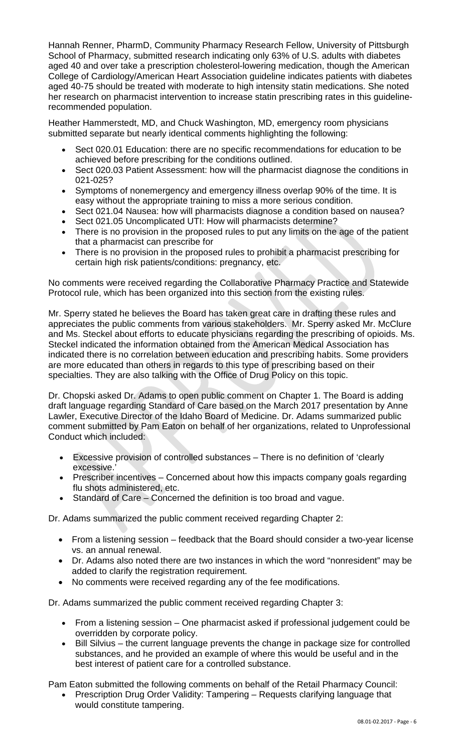Hannah Renner, PharmD, Community Pharmacy Research Fellow, University of Pittsburgh School of Pharmacy, submitted research indicating only 63% of U.S. adults with diabetes aged 40 and over take a prescription cholesterol-lowering medication, though the American College of Cardiology/American Heart Association guideline indicates patients with diabetes aged 40-75 should be treated with moderate to high intensity statin medications. She noted her research on pharmacist intervention to increase statin prescribing rates in this guidelinerecommended population.

Heather Hammerstedt, MD, and Chuck Washington, MD, emergency room physicians submitted separate but nearly identical comments highlighting the following:

- Sect 020.01 Education: there are no specific recommendations for education to be achieved before prescribing for the conditions outlined.
- Sect 020.03 Patient Assessment: how will the pharmacist diagnose the conditions in 021-025?
- Symptoms of nonemergency and emergency illness overlap 90% of the time. It is easy without the appropriate training to miss a more serious condition.
- Sect 021.04 Nausea: how will pharmacists diagnose a condition based on nausea?
- Sect 021.05 Uncomplicated UTI: How will pharmacists determine?
- There is no provision in the proposed rules to put any limits on the age of the patient that a pharmacist can prescribe for
- There is no provision in the proposed rules to prohibit a pharmacist prescribing for certain high risk patients/conditions: pregnancy, etc.

No comments were received regarding the Collaborative Pharmacy Practice and Statewide Protocol rule, which has been organized into this section from the existing rules.

Mr. Sperry stated he believes the Board has taken great care in drafting these rules and appreciates the public comments from various stakeholders. Mr. Sperry asked Mr. McClure and Ms. Steckel about efforts to educate physicians regarding the prescribing of opioids. Ms. Steckel indicated the information obtained from the American Medical Association has indicated there is no correlation between education and prescribing habits. Some providers are more educated than others in regards to this type of prescribing based on their specialties. They are also talking with the Office of Drug Policy on this topic.

Dr. Chopski asked Dr. Adams to open public comment on Chapter 1. The Board is adding draft language regarding Standard of Care based on the March 2017 presentation by Anne Lawler, Executive Director of the Idaho Board of Medicine. Dr. Adams summarized public comment submitted by Pam Eaton on behalf of her organizations, related to Unprofessional Conduct which included:

- Excessive provision of controlled substances There is no definition of 'clearly excessive.'
- Prescriber incentives Concerned about how this impacts company goals regarding flu shots administered, etc.
- Standard of Care Concerned the definition is too broad and vague.

Dr. Adams summarized the public comment received regarding Chapter 2:

- From a listening session feedback that the Board should consider a two-year license vs. an annual renewal.
- Dr. Adams also noted there are two instances in which the word "nonresident" may be added to clarify the registration requirement.
- No comments were received regarding any of the fee modifications.

Dr. Adams summarized the public comment received regarding Chapter 3:

- From a listening session One pharmacist asked if professional judgement could be overridden by corporate policy.
- Bill Silvius the current language prevents the change in package size for controlled substances, and he provided an example of where this would be useful and in the best interest of patient care for a controlled substance.

Pam Eaton submitted the following comments on behalf of the Retail Pharmacy Council:

• Prescription Drug Order Validity: Tampering – Requests clarifying language that would constitute tampering.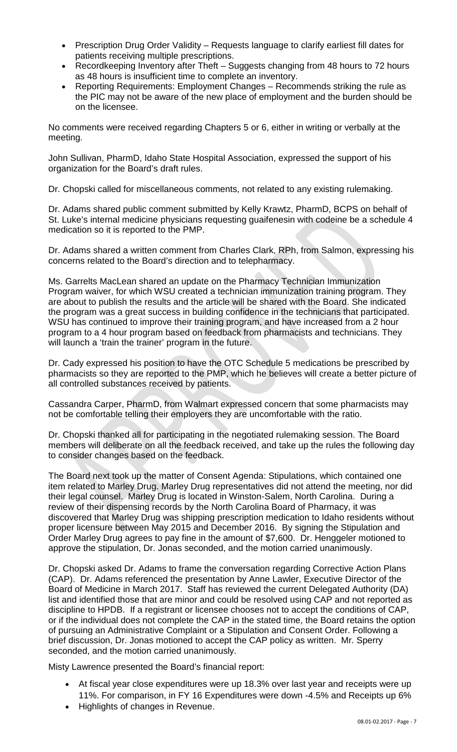- Prescription Drug Order Validity Requests language to clarify earliest fill dates for patients receiving multiple prescriptions.
- Recordkeeping Inventory after Theft Suggests changing from 48 hours to 72 hours as 48 hours is insufficient time to complete an inventory.
- Reporting Requirements: Employment Changes Recommends striking the rule as the PIC may not be aware of the new place of employment and the burden should be on the licensee.

No comments were received regarding Chapters 5 or 6, either in writing or verbally at the meeting.

John Sullivan, PharmD, Idaho State Hospital Association, expressed the support of his organization for the Board's draft rules.

Dr. Chopski called for miscellaneous comments, not related to any existing rulemaking.

Dr. Adams shared public comment submitted by Kelly Krawtz, PharmD, BCPS on behalf of St. Luke's internal medicine physicians requesting guaifenesin with codeine be a schedule 4 medication so it is reported to the PMP.

Dr. Adams shared a written comment from Charles Clark, RPh, from Salmon, expressing his concerns related to the Board's direction and to telepharmacy.

Ms. Garrelts MacLean shared an update on the Pharmacy Technician Immunization Program waiver, for which WSU created a technician immunization training program. They are about to publish the results and the article will be shared with the Board. She indicated the program was a great success in building confidence in the technicians that participated. WSU has continued to improve their training program, and have increased from a 2 hour program to a 4 hour program based on feedback from pharmacists and technicians. They will launch a 'train the trainer' program in the future.

Dr. Cady expressed his position to have the OTC Schedule 5 medications be prescribed by pharmacists so they are reported to the PMP, which he believes will create a better picture of all controlled substances received by patients.

Cassandra Carper, PharmD, from Walmart expressed concern that some pharmacists may not be comfortable telling their employers they are uncomfortable with the ratio.

Dr. Chopski thanked all for participating in the negotiated rulemaking session. The Board members will deliberate on all the feedback received, and take up the rules the following day to consider changes based on the feedback.

The Board next took up the matter of Consent Agenda: Stipulations, which contained one item related to Marley Drug. Marley Drug representatives did not attend the meeting, nor did their legal counsel. Marley Drug is located in Winston-Salem, North Carolina. During a review of their dispensing records by the North Carolina Board of Pharmacy, it was discovered that Marley Drug was shipping prescription medication to Idaho residents without proper licensure between May 2015 and December 2016. By signing the Stipulation and Order Marley Drug agrees to pay fine in the amount of \$7,600. Dr. Henggeler motioned to approve the stipulation, Dr. Jonas seconded, and the motion carried unanimously.

Dr. Chopski asked Dr. Adams to frame the conversation regarding Corrective Action Plans (CAP). Dr. Adams referenced the presentation by Anne Lawler, Executive Director of the Board of Medicine in March 2017. Staff has reviewed the current Delegated Authority (DA) list and identified those that are minor and could be resolved using CAP and not reported as discipline to HPDB. If a registrant or licensee chooses not to accept the conditions of CAP, or if the individual does not complete the CAP in the stated time, the Board retains the option of pursuing an Administrative Complaint or a Stipulation and Consent Order. Following a brief discussion, Dr. Jonas motioned to accept the CAP policy as written. Mr. Sperry seconded, and the motion carried unanimously.

Misty Lawrence presented the Board's financial report:

- At fiscal year close expenditures were up 18.3% over last year and receipts were up 11%. For comparison, in FY 16 Expenditures were down -4.5% and Receipts up 6%
- Highlights of changes in Revenue.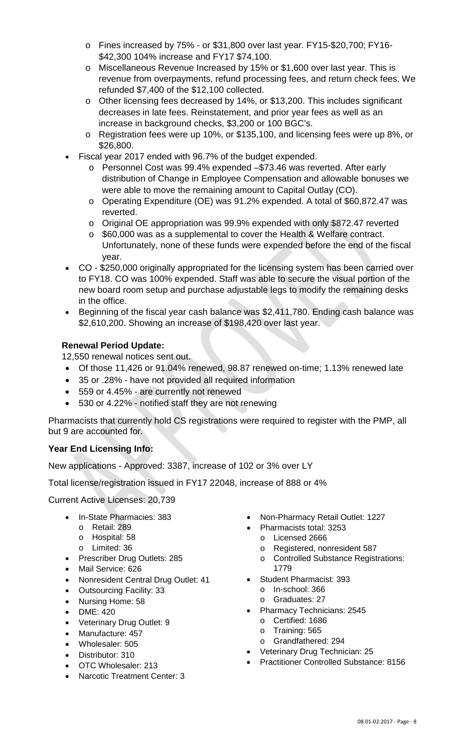- o Fines increased by 75% or \$31,800 over last year. FY15-\$20,700; FY16- \$42,300 104% increase and FY17 \$74,100.
- o Miscellaneous Revenue Increased by 15% or \$1,600 over last year. This is revenue from overpayments, refund processing fees, and return check fees. We refunded \$7,400 of the \$12,100 collected.
- o Other licensing fees decreased by 14%, or \$13,200. This includes significant decreases in late fees. Reinstatement, and prior year fees as well as an increase in background checks, \$3,200 or 100 BGC's.
- o Registration fees were up 10%, or \$135,100, and licensing fees were up 8%, or \$26,800.
- Fiscal year 2017 ended with 96.7% of the budget expended.
	- o Personnel Cost was 99.4% expended –\$73.46 was reverted. After early distribution of Change in Employee Compensation and allowable bonuses we were able to move the remaining amount to Capital Outlay (CO).
	- o Operating Expenditure (OE) was 91.2% expended. A total of \$60,872.47 was reverted.
	- o Original OE appropriation was 99.9% expended with only \$872.47 reverted
	- o \$60,000 was as a supplemental to cover the Health & Welfare contract. Unfortunately, none of these funds were expended before the end of the fiscal year.
- CO \$250,000 originally appropriated for the licensing system has been carried over to FY18. CO was 100% expended. Staff was able to secure the visual portion of the new board room setup and purchase adjustable legs to modify the remaining desks in the office.
- Beginning of the fiscal year cash balance was \$2,411,780. Ending cash balance was \$2,610,200. Showing an increase of \$198,420 over last year.

# **Renewal Period Update:**

12,550 renewal notices sent out.

- Of those 11,426 or 91.04% renewed, 98.87 renewed on-time; 1.13% renewed late
- 35 or .28% have not provided all required information
- 559 or 4.45% are currently not renewed
- 530 or 4.22% notified staff they are not renewing

Pharmacists that currently hold CS registrations were required to register with the PMP, all but 9 are accounted for.

# **Year End Licensing Info:**

New applications - Approved: 3387, increase of 102 or 3% over LY

Total license/registration issued in FY17 22048, increase of 888 or 4%

Current Active Licenses: 20,739

- In-State Pharmacies: 383
	- o Retail: 289
	- o Hospital: 58
	- o Limited: 36
- Prescriber Drug Outlets: 285
- Mail Service: 626
- Nonresident Central Drug Outlet: 41
- Outsourcing Facility: 33
- Nursing Home: 58
- DME: 420
- Veterinary Drug Outlet: 9
- Manufacture: 457
- Wholesaler: 505
- Distributor: 310
- OTC Wholesaler: 213
- Narcotic Treatment Center: 3
- Non-Pharmacy Retail Outlet: 1227
- Pharmacists total: 3253
	- o Licensed 2666
	- o Registered, nonresident 587
	- o Controlled Substance Registrations: 1779
- Student Pharmacist: 393
	- o In-school: 366
	- o Graduates: 27
- Pharmacy Technicians: 2545
	- o Certified: 1686
	- o Training: 565
	- o Grandfathered: 294
- Veterinary Drug Technician: 25
- Practitioner Controlled Substance: 8156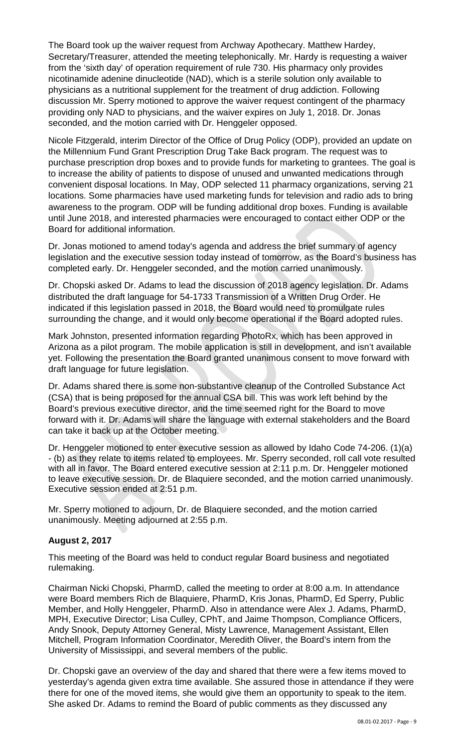The Board took up the waiver request from Archway Apothecary. Matthew Hardey, Secretary/Treasurer, attended the meeting telephonically. Mr. Hardy is requesting a waiver from the 'sixth day' of operation requirement of rule 730. His pharmacy only provides nicotinamide adenine dinucleotide (NAD), which is a sterile solution only available to physicians as a nutritional supplement for the treatment of drug addiction. Following discussion Mr. Sperry motioned to approve the waiver request contingent of the pharmacy providing only NAD to physicians, and the waiver expires on July 1, 2018. Dr. Jonas seconded, and the motion carried with Dr. Henggeler opposed.

Nicole Fitzgerald, interim Director of the Office of Drug Policy (ODP), provided an update on the Millennium Fund Grant Prescription Drug Take Back program. The request was to purchase prescription drop boxes and to provide funds for marketing to grantees. The goal is to increase the ability of patients to dispose of unused and unwanted medications through convenient disposal locations. In May, ODP selected 11 pharmacy organizations, serving 21 locations. Some pharmacies have used marketing funds for television and radio ads to bring awareness to the program. ODP will be funding additional drop boxes. Funding is available until June 2018, and interested pharmacies were encouraged to contact either ODP or the Board for additional information.

Dr. Jonas motioned to amend today's agenda and address the brief summary of agency legislation and the executive session today instead of tomorrow, as the Board's business has completed early. Dr. Henggeler seconded, and the motion carried unanimously.

Dr. Chopski asked Dr. Adams to lead the discussion of 2018 agency legislation. Dr. Adams distributed the draft language for 54-1733 Transmission of a Written Drug Order. He indicated if this legislation passed in 2018, the Board would need to promulgate rules surrounding the change, and it would only become operational if the Board adopted rules.

Mark Johnston, presented information regarding PhotoRx, which has been approved in Arizona as a pilot program. The mobile application is still in development, and isn't available yet. Following the presentation the Board granted unanimous consent to move forward with draft language for future legislation.

Dr. Adams shared there is some non-substantive cleanup of the Controlled Substance Act (CSA) that is being proposed for the annual CSA bill. This was work left behind by the Board's previous executive director, and the time seemed right for the Board to move forward with it. Dr. Adams will share the language with external stakeholders and the Board can take it back up at the October meeting.

Dr. Henggeler motioned to enter executive session as allowed by Idaho Code 74-206. (1)(a) - (b) as they relate to items related to employees. Mr. Sperry seconded, roll call vote resulted with all in favor. The Board entered executive session at 2:11 p.m. Dr. Henggeler motioned to leave executive session. Dr. de Blaquiere seconded, and the motion carried unanimously. Executive session ended at 2:51 p.m.

Mr. Sperry motioned to adjourn, Dr. de Blaquiere seconded, and the motion carried unanimously. Meeting adjourned at 2:55 p.m.

### **August 2, 2017**

This meeting of the Board was held to conduct regular Board business and negotiated rulemaking.

Chairman Nicki Chopski, PharmD, called the meeting to order at 8:00 a.m. In attendance were Board members Rich de Blaquiere, PharmD, Kris Jonas, PharmD, Ed Sperry, Public Member, and Holly Henggeler, PharmD. Also in attendance were Alex J. Adams, PharmD, MPH, Executive Director; Lisa Culley, CPhT, and Jaime Thompson, Compliance Officers, Andy Snook, Deputy Attorney General, Misty Lawrence, Management Assistant, Ellen Mitchell, Program Information Coordinator, Meredith Oliver, the Board's intern from the University of Mississippi, and several members of the public.

Dr. Chopski gave an overview of the day and shared that there were a few items moved to yesterday's agenda given extra time available. She assured those in attendance if they were there for one of the moved items, she would give them an opportunity to speak to the item. She asked Dr. Adams to remind the Board of public comments as they discussed any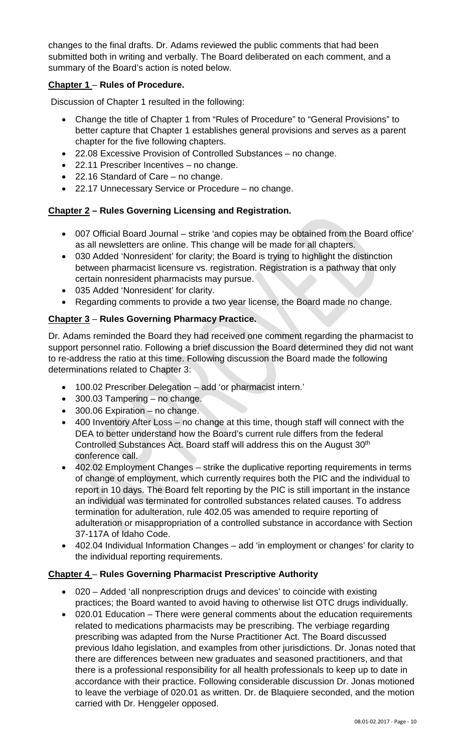changes to the final drafts. Dr. Adams reviewed the public comments that had been submitted both in writing and verbally. The Board deliberated on each comment, and a summary of the Board's action is noted below.

# **Chapter 1** – **Rules of Procedure.**

Discussion of Chapter 1 resulted in the following:

- Change the title of Chapter 1 from "Rules of Procedure" to "General Provisions" to better capture that Chapter 1 establishes general provisions and serves as a parent chapter for the five following chapters.
- 22.08 Excessive Provision of Controlled Substances no change.
- 22.11 Prescriber Incentives no change.
- 22.16 Standard of Care no change.
- 22.17 Unnecessary Service or Procedure no change.

# **Chapter 2 – Rules Governing Licensing and Registration.**

- 007 Official Board Journal strike 'and copies may be obtained from the Board office' as all newsletters are online. This change will be made for all chapters.
- 030 Added 'Nonresident' for clarity; the Board is trying to highlight the distinction between pharmacist licensure vs. registration. Registration is a pathway that only certain nonresident pharmacists may pursue.
- 035 Added 'Nonresident' for clarity.
- Regarding comments to provide a two year license, the Board made no change.

# **Chapter 3** – **Rules Governing Pharmacy Practice.**

Dr. Adams reminded the Board they had received one comment regarding the pharmacist to support personnel ratio. Following a brief discussion the Board determined they did not want to re-address the ratio at this time. Following discussion the Board made the following determinations related to Chapter 3:

- 100.02 Prescriber Delegation add 'or pharmacist intern.'
- 300.03 Tampering no change.
- 300.06 Expiration no change.
- 400 Inventory After Loss no change at this time, though staff will connect with the DEA to better understand how the Board's current rule differs from the federal Controlled Substances Act. Board staff will address this on the August 30<sup>th</sup> conference call.
- 402.02 Employment Changes strike the duplicative reporting requirements in terms of change of employment, which currently requires both the PIC and the individual to report in 10 days. The Board felt reporting by the PIC is still important in the instance an individual was terminated for controlled substances related causes. To address termination for adulteration, rule 402.05 was amended to require reporting of adulteration or misappropriation of a controlled substance in accordance with Section 37-117A of Idaho Code.
- 402.04 Individual Information Changes add 'in employment or changes' for clarity to the individual reporting requirements.

### **Chapter 4** – **Rules Governing Pharmacist Prescriptive Authority**

- 020 Added 'all nonprescription drugs and devices' to coincide with existing practices; the Board wanted to avoid having to otherwise list OTC drugs individually.
- 020.01 Education There were general comments about the education requirements related to medications pharmacists may be prescribing. The verbiage regarding prescribing was adapted from the Nurse Practitioner Act. The Board discussed previous Idaho legislation, and examples from other jurisdictions. Dr. Jonas noted that there are differences between new graduates and seasoned practitioners, and that there is a professional responsibility for all health professionals to keep up to date in accordance with their practice. Following considerable discussion Dr. Jonas motioned to leave the verbiage of 020.01 as written. Dr. de Blaquiere seconded, and the motion carried with Dr. Henggeler opposed.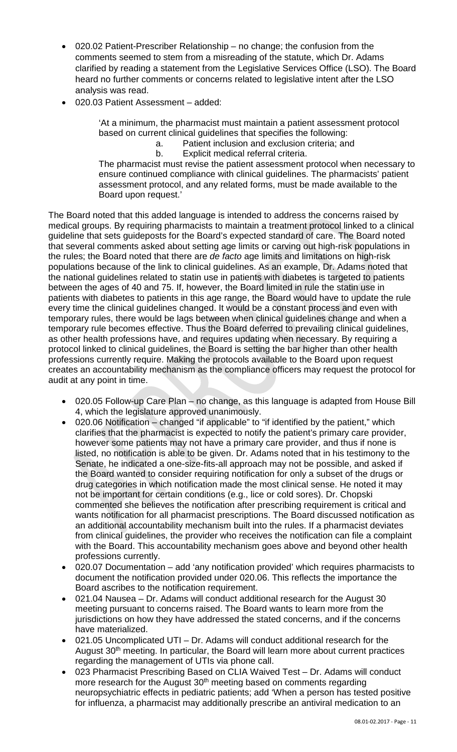- 020.02 Patient-Prescriber Relationship no change; the confusion from the comments seemed to stem from a misreading of the statute, which Dr. Adams clarified by reading a statement from the Legislative Services Office (LSO). The Board heard no further comments or concerns related to legislative intent after the LSO analysis was read.
- 020.03 Patient Assessment added:

'At a minimum, the pharmacist must maintain a patient assessment protocol based on current clinical guidelines that specifies the following:

- a. Patient inclusion and exclusion criteria; and
- b. Explicit medical referral criteria.

The pharmacist must revise the patient assessment protocol when necessary to ensure continued compliance with clinical guidelines. The pharmacists' patient assessment protocol, and any related forms, must be made available to the Board upon request.'

The Board noted that this added language is intended to address the concerns raised by medical groups. By requiring pharmacists to maintain a treatment protocol linked to a clinical guideline that sets guideposts for the Board's expected standard of care. The Board noted that several comments asked about setting age limits or carving out high-risk populations in the rules; the Board noted that there are *de facto* age limits and limitations on high-risk populations because of the link to clinical guidelines. As an example, Dr. Adams noted that the national guidelines related to statin use in patients with diabetes is targeted to patients between the ages of 40 and 75. If, however, the Board limited in rule the statin use in patients with diabetes to patients in this age range, the Board would have to update the rule every time the clinical guidelines changed. It would be a constant process and even with temporary rules, there would be lags between when clinical guidelines change and when a temporary rule becomes effective. Thus the Board deferred to prevailing clinical guidelines, as other health professions have, and requires updating when necessary. By requiring a protocol linked to clinical guidelines, the Board is setting the bar higher than other health professions currently require. Making the protocols available to the Board upon request creates an accountability mechanism as the compliance officers may request the protocol for audit at any point in time.

- 020.05 Follow-up Care Plan no change, as this language is adapted from House Bill 4, which the legislature approved unanimously.
- 020.06 Notification changed "if applicable" to "if identified by the patient," which clarifies that the pharmacist is expected to notify the patient's primary care provider, however some patients may not have a primary care provider, and thus if none is listed, no notification is able to be given. Dr. Adams noted that in his testimony to the Senate, he indicated a one-size-fits-all approach may not be possible, and asked if the Board wanted to consider requiring notification for only a subset of the drugs or drug categories in which notification made the most clinical sense. He noted it may not be important for certain conditions (e.g., lice or cold sores). Dr. Chopski commented she believes the notification after prescribing requirement is critical and wants notification for all pharmacist prescriptions. The Board discussed notification as an additional accountability mechanism built into the rules. If a pharmacist deviates from clinical guidelines, the provider who receives the notification can file a complaint with the Board. This accountability mechanism goes above and beyond other health professions currently.
- 020.07 Documentation add 'any notification provided' which requires pharmacists to document the notification provided under 020.06. This reflects the importance the Board ascribes to the notification requirement.
- 021.04 Nausea Dr. Adams will conduct additional research for the August 30 meeting pursuant to concerns raised. The Board wants to learn more from the jurisdictions on how they have addressed the stated concerns, and if the concerns have materialized.
- 021.05 Uncomplicated UTI Dr. Adams will conduct additional research for the August 30<sup>th</sup> meeting. In particular, the Board will learn more about current practices regarding the management of UTIs via phone call.
- 023 Pharmacist Prescribing Based on CLIA Waived Test Dr. Adams will conduct more research for the August 30<sup>th</sup> meeting based on comments regarding neuropsychiatric effects in pediatric patients; add 'When a person has tested positive for influenza, a pharmacist may additionally prescribe an antiviral medication to an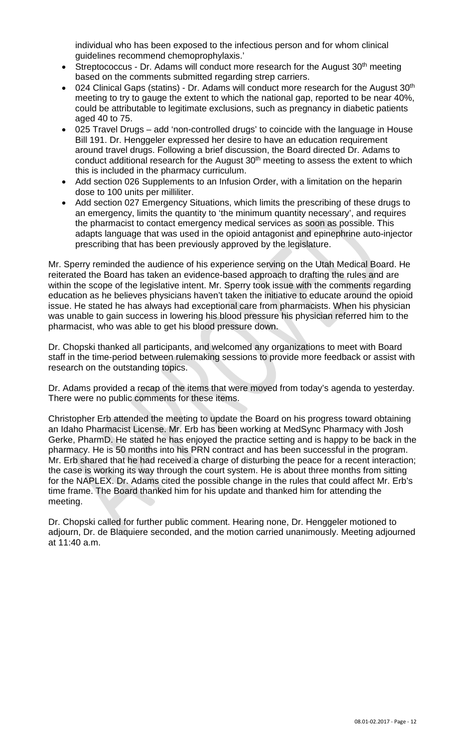individual who has been exposed to the infectious person and for whom clinical guidelines recommend chemoprophylaxis.'

- Streptococcus Dr. Adams will conduct more research for the August 30<sup>th</sup> meeting based on the comments submitted regarding strep carriers.
- 024 Clinical Gaps (statins) Dr. Adams will conduct more research for the August  $30<sup>th</sup>$ meeting to try to gauge the extent to which the national gap, reported to be near 40%, could be attributable to legitimate exclusions, such as pregnancy in diabetic patients aged 40 to 75.
- 025 Travel Drugs add 'non-controlled drugs' to coincide with the language in House Bill 191. Dr. Henggeler expressed her desire to have an education requirement around travel drugs. Following a brief discussion, the Board directed Dr. Adams to conduct additional research for the August  $30<sup>th</sup>$  meeting to assess the extent to which this is included in the pharmacy curriculum.
- Add section 026 Supplements to an Infusion Order, with a limitation on the heparin dose to 100 units per milliliter.
- Add section 027 Emergency Situations, which limits the prescribing of these drugs to an emergency, limits the quantity to 'the minimum quantity necessary', and requires the pharmacist to contact emergency medical services as soon as possible. This adapts language that was used in the opioid antagonist and epinephrine auto-injector prescribing that has been previously approved by the legislature.

Mr. Sperry reminded the audience of his experience serving on the Utah Medical Board. He reiterated the Board has taken an evidence-based approach to drafting the rules and are within the scope of the legislative intent. Mr. Sperry took issue with the comments regarding education as he believes physicians haven't taken the initiative to educate around the opioid issue. He stated he has always had exceptional care from pharmacists. When his physician was unable to gain success in lowering his blood pressure his physician referred him to the pharmacist, who was able to get his blood pressure down.

Dr. Chopski thanked all participants, and welcomed any organizations to meet with Board staff in the time-period between rulemaking sessions to provide more feedback or assist with research on the outstanding topics.

Dr. Adams provided a recap of the items that were moved from today's agenda to yesterday. There were no public comments for these items.

Christopher Erb attended the meeting to update the Board on his progress toward obtaining an Idaho Pharmacist License. Mr. Erb has been working at MedSync Pharmacy with Josh Gerke, PharmD. He stated he has enjoyed the practice setting and is happy to be back in the pharmacy. He is 50 months into his PRN contract and has been successful in the program. Mr. Erb shared that he had received a charge of disturbing the peace for a recent interaction; the case is working its way through the court system. He is about three months from sitting for the NAPLEX. Dr. Adams cited the possible change in the rules that could affect Mr. Erb's time frame. The Board thanked him for his update and thanked him for attending the meeting.

Dr. Chopski called for further public comment. Hearing none, Dr. Henggeler motioned to adjourn, Dr. de Blaquiere seconded, and the motion carried unanimously. Meeting adjourned at 11:40 a.m.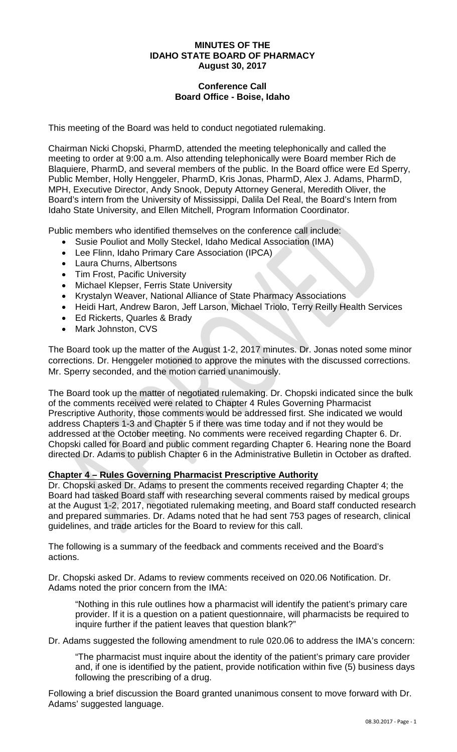#### **MINUTES OF THE IDAHO STATE BOARD OF PHARMACY August 30, 2017**

### **Conference Call Board Office - Boise, Idaho**

This meeting of the Board was held to conduct negotiated rulemaking.

Chairman Nicki Chopski, PharmD, attended the meeting telephonically and called the meeting to order at 9:00 a.m. Also attending telephonically were Board member Rich de Blaquiere, PharmD, and several members of the public. In the Board office were Ed Sperry, Public Member, Holly Henggeler, PharmD, Kris Jonas, PharmD, Alex J. Adams, PharmD, MPH, Executive Director, Andy Snook, Deputy Attorney General, Meredith Oliver, the Board's intern from the University of Mississippi, Dalila Del Real, the Board's Intern from Idaho State University, and Ellen Mitchell, Program Information Coordinator.

Public members who identified themselves on the conference call include:

- Susie Pouliot and Molly Steckel, Idaho Medical Association (IMA)
- Lee Flinn, Idaho Primary Care Association (IPCA)
- Laura Churns, Albertsons
- Tim Frost, Pacific University
- Michael Klepser, Ferris State University
- Krystalyn Weaver, National Alliance of State Pharmacy Associations
- Heidi Hart, Andrew Baron, Jeff Larson, Michael Triolo, Terry Reilly Health Services
- Ed Rickerts, Quarles & Brady
- Mark Johnston, CVS

The Board took up the matter of the August 1-2, 2017 minutes. Dr. Jonas noted some minor corrections. Dr. Henggeler motioned to approve the minutes with the discussed corrections. Mr. Sperry seconded, and the motion carried unanimously.

The Board took up the matter of negotiated rulemaking. Dr. Chopski indicated since the bulk of the comments received were related to Chapter 4 Rules Governing Pharmacist Prescriptive Authority, those comments would be addressed first. She indicated we would address Chapters 1-3 and Chapter 5 if there was time today and if not they would be addressed at the October meeting. No comments were received regarding Chapter 6. Dr. Chopski called for Board and public comment regarding Chapter 6. Hearing none the Board directed Dr. Adams to publish Chapter 6 in the Administrative Bulletin in October as drafted.

#### **Chapter 4 – Rules Governing Pharmacist Prescriptive Authority**

Dr. Chopski asked Dr. Adams to present the comments received regarding Chapter 4; the Board had tasked Board staff with researching several comments raised by medical groups at the August 1-2, 2017, negotiated rulemaking meeting, and Board staff conducted research and prepared summaries. Dr. Adams noted that he had sent 753 pages of research, clinical guidelines, and trade articles for the Board to review for this call.

The following is a summary of the feedback and comments received and the Board's actions.

Dr. Chopski asked Dr. Adams to review comments received on 020.06 Notification. Dr. Adams noted the prior concern from the IMA:

"Nothing in this rule outlines how a pharmacist will identify the patient's primary care provider. If it is a question on a patient questionnaire, will pharmacists be required to inquire further if the patient leaves that question blank?"

Dr. Adams suggested the following amendment to rule 020.06 to address the IMA's concern:

"The pharmacist must inquire about the identity of the patient's primary care provider and, if one is identified by the patient, provide notification within five (5) business days following the prescribing of a drug.

Following a brief discussion the Board granted unanimous consent to move forward with Dr. Adams' suggested language.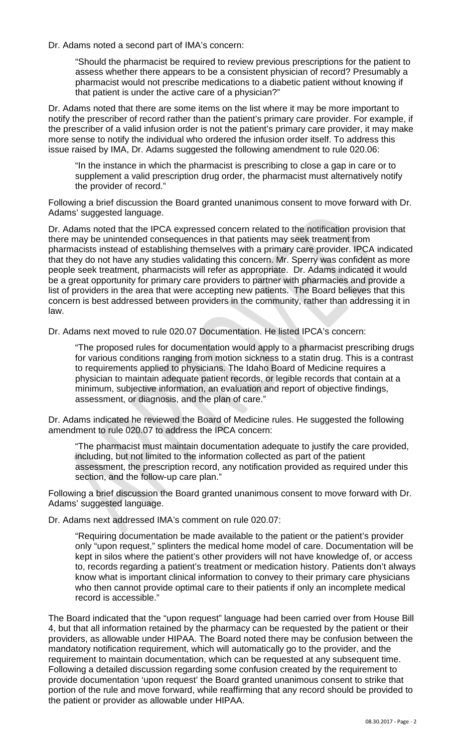#### Dr. Adams noted a second part of IMA's concern:

"Should the pharmacist be required to review previous prescriptions for the patient to assess whether there appears to be a consistent physician of record? Presumably a pharmacist would not prescribe medications to a diabetic patient without knowing if that patient is under the active care of a physician?"

Dr. Adams noted that there are some items on the list where it may be more important to notify the prescriber of record rather than the patient's primary care provider. For example, if the prescriber of a valid infusion order is not the patient's primary care provider, it may make more sense to notify the individual who ordered the infusion order itself. To address this issue raised by IMA, Dr. Adams suggested the following amendment to rule 020.06:

"In the instance in which the pharmacist is prescribing to close a gap in care or to supplement a valid prescription drug order, the pharmacist must alternatively notify the provider of record."

Following a brief discussion the Board granted unanimous consent to move forward with Dr. Adams' suggested language.

Dr. Adams noted that the IPCA expressed concern related to the notification provision that there may be unintended consequences in that patients may seek treatment from pharmacists instead of establishing themselves with a primary care provider. IPCA indicated that they do not have any studies validating this concern. Mr. Sperry was confident as more people seek treatment, pharmacists will refer as appropriate. Dr. Adams indicated it would be a great opportunity for primary care providers to partner with pharmacies and provide a list of providers in the area that were accepting new patients. The Board believes that this concern is best addressed between providers in the community, rather than addressing it in law.

Dr. Adams next moved to rule 020.07 Documentation. He listed IPCA's concern:

"The proposed rules for documentation would apply to a pharmacist prescribing drugs for various conditions ranging from motion sickness to a statin drug. This is a contrast to requirements applied to physicians. The Idaho Board of Medicine requires a physician to maintain adequate patient records, or legible records that contain at a minimum, subjective information, an evaluation and report of objective findings, assessment, or diagnosis, and the plan of care."

Dr. Adams indicated he reviewed the Board of Medicine rules. He suggested the following amendment to rule 020.07 to address the IPCA concern:

"The pharmacist must maintain documentation adequate to justify the care provided, including, but not limited to the information collected as part of the patient assessment, the prescription record, any notification provided as required under this section, and the follow-up care plan."

Following a brief discussion the Board granted unanimous consent to move forward with Dr. Adams' suggested language.

Dr. Adams next addressed IMA's comment on rule 020.07:

"Requiring documentation be made available to the patient or the patient's provider only "upon request," splinters the medical home model of care. Documentation will be kept in silos where the patient's other providers will not have knowledge of, or access to, records regarding a patient's treatment or medication history. Patients don't always know what is important clinical information to convey to their primary care physicians who then cannot provide optimal care to their patients if only an incomplete medical record is accessible."

The Board indicated that the "upon request" language had been carried over from House Bill 4, but that all information retained by the pharmacy can be requested by the patient or their providers, as allowable under HIPAA. The Board noted there may be confusion between the mandatory notification requirement, which will automatically go to the provider, and the requirement to maintain documentation, which can be requested at any subsequent time. Following a detailed discussion regarding some confusion created by the requirement to provide documentation 'upon request' the Board granted unanimous consent to strike that portion of the rule and move forward, while reaffirming that any record should be provided to the patient or provider as allowable under HIPAA.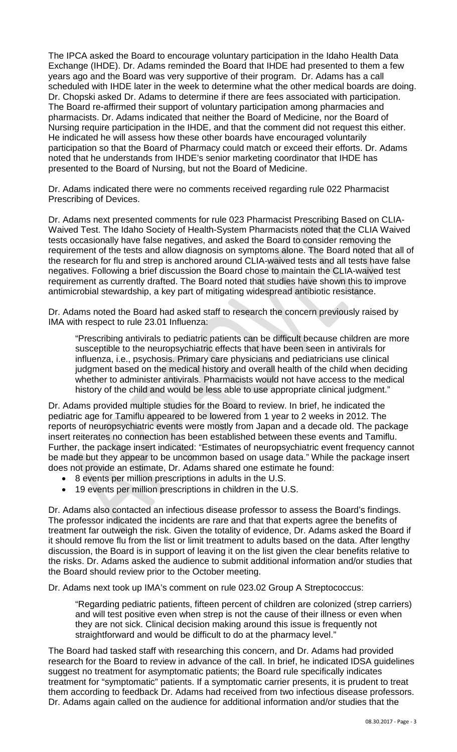The IPCA asked the Board to encourage voluntary participation in the Idaho Health Data Exchange (IHDE). Dr. Adams reminded the Board that IHDE had presented to them a few years ago and the Board was very supportive of their program. Dr. Adams has a call scheduled with IHDE later in the week to determine what the other medical boards are doing. Dr. Chopski asked Dr. Adams to determine if there are fees associated with participation. The Board re-affirmed their support of voluntary participation among pharmacies and pharmacists. Dr. Adams indicated that neither the Board of Medicine, nor the Board of Nursing require participation in the IHDE, and that the comment did not request this either. He indicated he will assess how these other boards have encouraged voluntarily participation so that the Board of Pharmacy could match or exceed their efforts. Dr. Adams noted that he understands from IHDE's senior marketing coordinator that IHDE has presented to the Board of Nursing, but not the Board of Medicine.

Dr. Adams indicated there were no comments received regarding rule 022 Pharmacist Prescribing of Devices.

Dr. Adams next presented comments for rule 023 Pharmacist Prescribing Based on CLIA-Waived Test. The Idaho Society of Health-System Pharmacists noted that the CLIA Waived tests occasionally have false negatives, and asked the Board to consider removing the requirement of the tests and allow diagnosis on symptoms alone. The Board noted that all of the research for flu and strep is anchored around CLIA-waived tests and all tests have false negatives. Following a brief discussion the Board chose to maintain the CLIA-waived test requirement as currently drafted. The Board noted that studies have shown this to improve antimicrobial stewardship, a key part of mitigating widespread antibiotic resistance.

Dr. Adams noted the Board had asked staff to research the concern previously raised by IMA with respect to rule 23.01 Influenza:

"Prescribing antivirals to pediatric patients can be difficult because children are more susceptible to the neuropsychiatric effects that have been seen in antivirals for influenza, i.e., psychosis. Primary care physicians and pediatricians use clinical judgment based on the medical history and overall health of the child when deciding whether to administer antivirals. Pharmacists would not have access to the medical history of the child and would be less able to use appropriate clinical judgment."

Dr. Adams provided multiple studies for the Board to review. In brief, he indicated the pediatric age for Tamiflu appeared to be lowered from 1 year to 2 weeks in 2012. The reports of neuropsychiatric events were mostly from Japan and a decade old. The package insert reiterates no connection has been established between these events and Tamiflu. Further, the package insert indicated: "Estimates of neuropsychiatric event frequency cannot be made but they appear to be uncommon based on usage data." While the package insert does not provide an estimate, Dr. Adams shared one estimate he found:

- 8 events per million prescriptions in adults in the U.S.
- 19 events per million prescriptions in children in the U.S.

Dr. Adams also contacted an infectious disease professor to assess the Board's findings. The professor indicated the incidents are rare and that that experts agree the benefits of treatment far outweigh the risk. Given the totality of evidence, Dr. Adams asked the Board if it should remove flu from the list or limit treatment to adults based on the data. After lengthy discussion, the Board is in support of leaving it on the list given the clear benefits relative to the risks. Dr. Adams asked the audience to submit additional information and/or studies that the Board should review prior to the October meeting.

Dr. Adams next took up IMA's comment on rule 023.02 Group A Streptococcus:

"Regarding pediatric patients, fifteen percent of children are colonized (strep carriers) and will test positive even when strep is not the cause of their illness or even when they are not sick. Clinical decision making around this issue is frequently not straightforward and would be difficult to do at the pharmacy level."

The Board had tasked staff with researching this concern, and Dr. Adams had provided research for the Board to review in advance of the call. In brief, he indicated IDSA guidelines suggest no treatment for asymptomatic patients; the Board rule specifically indicates treatment for "symptomatic" patients. If a symptomatic carrier presents, it is prudent to treat them according to feedback Dr. Adams had received from two infectious disease professors. Dr. Adams again called on the audience for additional information and/or studies that the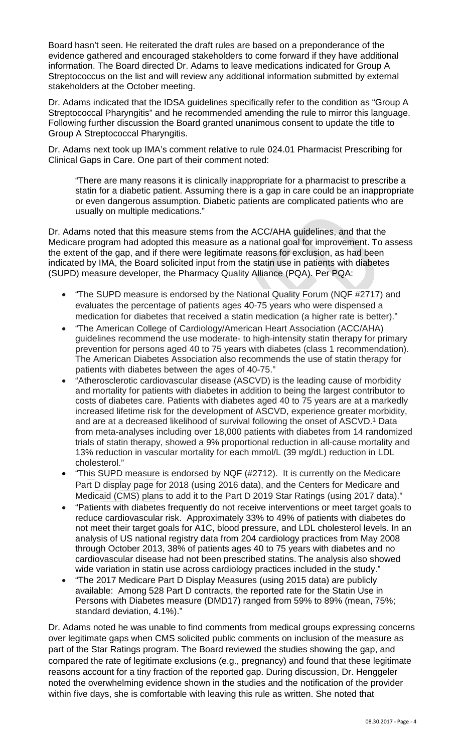Board hasn't seen. He reiterated the draft rules are based on a preponderance of the evidence gathered and encouraged stakeholders to come forward if they have additional information. The Board directed Dr. Adams to leave medications indicated for Group A Streptococcus on the list and will review any additional information submitted by external stakeholders at the October meeting.

Dr. Adams indicated that the IDSA guidelines specifically refer to the condition as "Group A Streptococcal Pharyngitis" and he recommended amending the rule to mirror this language. Following further discussion the Board granted unanimous consent to update the title to Group A Streptococcal Pharyngitis.

Dr. Adams next took up IMA's comment relative to rule 024.01 Pharmacist Prescribing for Clinical Gaps in Care. One part of their comment noted:

"There are many reasons it is clinically inappropriate for a pharmacist to prescribe a statin for a diabetic patient. Assuming there is a gap in care could be an inappropriate or even dangerous assumption. Diabetic patients are complicated patients who are usually on multiple medications."

Dr. Adams noted that this measure stems from the ACC/AHA guidelines, and that the Medicare program had adopted this measure as a national goal for improvement. To assess the extent of the gap, and if there were legitimate reasons for exclusion, as had been indicated by IMA, the Board solicited input from the statin use in patients with diabetes (SUPD) measure developer, the Pharmacy Quality Alliance (PQA). Per PQA:

- "The SUPD measure is endorsed by the National Quality Forum (NQF #2717) and evaluates the percentage of patients ages 40-75 years who were dispensed a medication for diabetes that received a statin medication (a higher rate is better)."
- "The American College of Cardiology/American Heart Association (ACC/AHA) guidelines recommend the use moderate- to high-intensity statin therapy for primary prevention for persons aged 40 to 75 years with diabetes (class 1 recommendation). The American Diabetes Association also recommends the use of statin therapy for patients with diabetes between the ages of 40-75."
- "Atherosclerotic cardiovascular disease (ASCVD) is the leading cause of morbidity and mortality for patients with diabetes in addition to being the largest contributor to costs of diabetes care. Patients with diabetes aged 40 to 75 years are at a markedly increased lifetime risk for the development of ASCVD, experience greater morbidity, and are at a decreased likelihood of survival following the onset of ASCVD.<sup>1</sup> Data from meta-analyses including over 18,000 patients with diabetes from 14 randomized trials of statin therapy, showed a 9% proportional reduction in all-cause mortality and 13% reduction in vascular mortality for each mmol/L (39 mg/dL) reduction in LDL cholesterol."
- "This SUPD measure is endorsed by NQF (#2712). It is currently on the Medicare Part D display page for 2018 (using 2016 data), and the Centers for Medicare and Medicaid (CMS) plans to add it to the Part D 2019 Star Ratings (using 2017 data)."
- "Patients with diabetes frequently do not receive interventions or meet target goals to reduce cardiovascular risk. Approximately 33% to 49% of patients with diabetes do not meet their target goals for A1C, blood pressure, and LDL cholesterol levels. In an analysis of US national registry data from 204 cardiology practices from May 2008 through October 2013, 38% of patients ages 40 to 75 years with diabetes and no cardiovascular disease had not been prescribed statins. The analysis also showed wide variation in statin use across cardiology practices included in the study."
- "The 2017 Medicare Part D Display Measures (using 2015 data) are publicly available: Among 528 Part D contracts, the reported rate for the Statin Use in Persons with Diabetes measure (DMD17) ranged from 59% to 89% (mean, 75%; standard deviation, 4.1%)."

Dr. Adams noted he was unable to find comments from medical groups expressing concerns over legitimate gaps when CMS solicited public comments on inclusion of the measure as part of the Star Ratings program. The Board reviewed the studies showing the gap, and compared the rate of legitimate exclusions (e.g., pregnancy) and found that these legitimate reasons account for a tiny fraction of the reported gap. During discussion, Dr. Henggeler noted the overwhelming evidence shown in the studies and the notification of the provider within five days, she is comfortable with leaving this rule as written. She noted that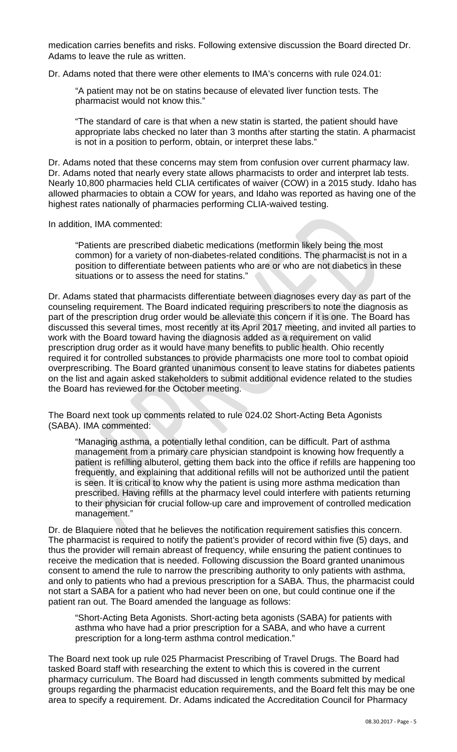medication carries benefits and risks. Following extensive discussion the Board directed Dr. Adams to leave the rule as written.

Dr. Adams noted that there were other elements to IMA's concerns with rule 024.01:

"A patient may not be on statins because of elevated liver function tests. The pharmacist would not know this."

"The standard of care is that when a new statin is started, the patient should have appropriate labs checked no later than 3 months after starting the statin. A pharmacist is not in a position to perform, obtain, or interpret these labs."

Dr. Adams noted that these concerns may stem from confusion over current pharmacy law. Dr. Adams noted that nearly every state allows pharmacists to order and interpret lab tests. Nearly 10,800 pharmacies held CLIA certificates of waiver (COW) in a 2015 study. Idaho has allowed pharmacies to obtain a COW for years, and Idaho was reported as having one of the highest rates nationally of pharmacies performing CLIA-waived testing.

In addition, IMA commented:

"Patients are prescribed diabetic medications (metformin likely being the most common) for a variety of non-diabetes-related conditions. The pharmacist is not in a position to differentiate between patients who are or who are not diabetics in these situations or to assess the need for statins."

Dr. Adams stated that pharmacists differentiate between diagnoses every day as part of the counseling requirement. The Board indicated requiring prescribers to note the diagnosis as part of the prescription drug order would be alleviate this concern if it is one. The Board has discussed this several times, most recently at its April 2017 meeting, and invited all parties to work with the Board toward having the diagnosis added as a requirement on valid prescription drug order as it would have many benefits to public health. Ohio recently required it for controlled substances to provide pharmacists one more tool to combat opioid overprescribing. The Board granted unanimous consent to leave statins for diabetes patients on the list and again asked stakeholders to submit additional evidence related to the studies the Board has reviewed for the October meeting.

The Board next took up comments related to rule 024.02 Short-Acting Beta Agonists (SABA). IMA commented:

"Managing asthma, a potentially lethal condition, can be difficult. Part of asthma management from a primary care physician standpoint is knowing how frequently a patient is refilling albuterol, getting them back into the office if refills are happening too frequently, and explaining that additional refills will not be authorized until the patient is seen. It is critical to know why the patient is using more asthma medication than prescribed. Having refills at the pharmacy level could interfere with patients returning to their physician for crucial follow-up care and improvement of controlled medication management."

Dr. de Blaquiere noted that he believes the notification requirement satisfies this concern. The pharmacist is required to notify the patient's provider of record within five (5) days, and thus the provider will remain abreast of frequency, while ensuring the patient continues to receive the medication that is needed. Following discussion the Board granted unanimous consent to amend the rule to narrow the prescribing authority to only patients with asthma, and only to patients who had a previous prescription for a SABA. Thus, the pharmacist could not start a SABA for a patient who had never been on one, but could continue one if the patient ran out. The Board amended the language as follows:

"Short-Acting Beta Agonists. Short-acting beta agonists (SABA) for patients with asthma who have had a prior prescription for a SABA, and who have a current prescription for a long-term asthma control medication."

The Board next took up rule 025 Pharmacist Prescribing of Travel Drugs. The Board had tasked Board staff with researching the extent to which this is covered in the current pharmacy curriculum. The Board had discussed in length comments submitted by medical groups regarding the pharmacist education requirements, and the Board felt this may be one area to specify a requirement. Dr. Adams indicated the Accreditation Council for Pharmacy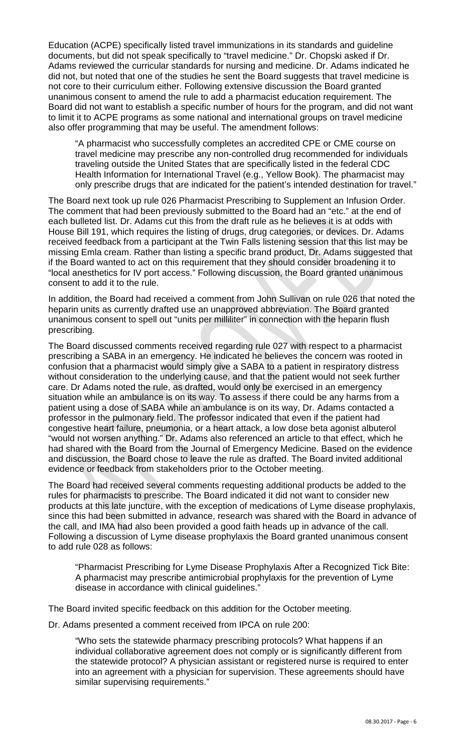Education (ACPE) specifically listed travel immunizations in its standards and guideline documents, but did not speak specifically to "travel medicine." Dr. Chopski asked if Dr. Adams reviewed the curricular standards for nursing and medicine. Dr. Adams indicated he did not, but noted that one of the studies he sent the Board suggests that travel medicine is not core to their curriculum either. Following extensive discussion the Board granted unanimous consent to amend the rule to add a pharmacist education requirement. The Board did not want to establish a specific number of hours for the program, and did not want to limit it to ACPE programs as some national and international groups on travel medicine also offer programming that may be useful. The amendment follows:

"A pharmacist who successfully completes an accredited CPE or CME course on travel medicine may prescribe any non-controlled drug recommended for individuals traveling outside the United States that are specifically listed in the federal CDC Health Information for International Travel (e.g., Yellow Book). The pharmacist may only prescribe drugs that are indicated for the patient's intended destination for travel."

The Board next took up rule 026 Pharmacist Prescribing to Supplement an Infusion Order. The comment that had been previously submitted to the Board had an "etc." at the end of each bulleted list. Dr. Adams cut this from the draft rule as he believes it is at odds with House Bill 191, which requires the listing of drugs, drug categories, or devices. Dr. Adams received feedback from a participant at the Twin Falls listening session that this list may be missing Emla cream. Rather than listing a specific brand product, Dr. Adams suggested that if the Board wanted to act on this requirement that they should consider broadening it to "local anesthetics for IV port access." Following discussion, the Board granted unanimous consent to add it to the rule.

In addition, the Board had received a comment from John Sullivan on rule 026 that noted the heparin units as currently drafted use an unapproved abbreviation. The Board granted unanimous consent to spell out "units per milliliter" in connection with the heparin flush prescribing.

The Board discussed comments received regarding rule 027 with respect to a pharmacist prescribing a SABA in an emergency. He indicated he believes the concern was rooted in confusion that a pharmacist would simply give a SABA to a patient in respiratory distress without consideration to the underlying cause, and that the patient would not seek further care. Dr Adams noted the rule, as drafted, would only be exercised in an emergency situation while an ambulance is on its way. To assess if there could be any harms from a patient using a dose of SABA while an ambulance is on its way, Dr. Adams contacted a professor in the pulmonary field. The professor indicated that even if the patient had congestive heart failure, pneumonia, or a heart attack, a low dose beta agonist albuterol "would not worsen anything." Dr. Adams also referenced an article to that effect, which he had shared with the Board from the Journal of Emergency Medicine. Based on the evidence and discussion, the Board chose to leave the rule as drafted. The Board invited additional evidence or feedback from stakeholders prior to the October meeting.

The Board had received several comments requesting additional products be added to the rules for pharmacists to prescribe. The Board indicated it did not want to consider new products at this late juncture, with the exception of medications of Lyme disease prophylaxis, since this had been submitted in advance, research was shared with the Board in advance of the call, and IMA had also been provided a good faith heads up in advance of the call. Following a discussion of Lyme disease prophylaxis the Board granted unanimous consent to add rule 028 as follows:

"Pharmacist Prescribing for Lyme Disease Prophylaxis After a Recognized Tick Bite: A pharmacist may prescribe antimicrobial prophylaxis for the prevention of Lyme disease in accordance with clinical guidelines."

The Board invited specific feedback on this addition for the October meeting.

Dr. Adams presented a comment received from IPCA on rule 200:

"Who sets the statewide pharmacy prescribing protocols? What happens if an individual collaborative agreement does not comply or is significantly different from the statewide protocol? A physician assistant or registered nurse is required to enter into an agreement with a physician for supervision. These agreements should have similar supervising requirements."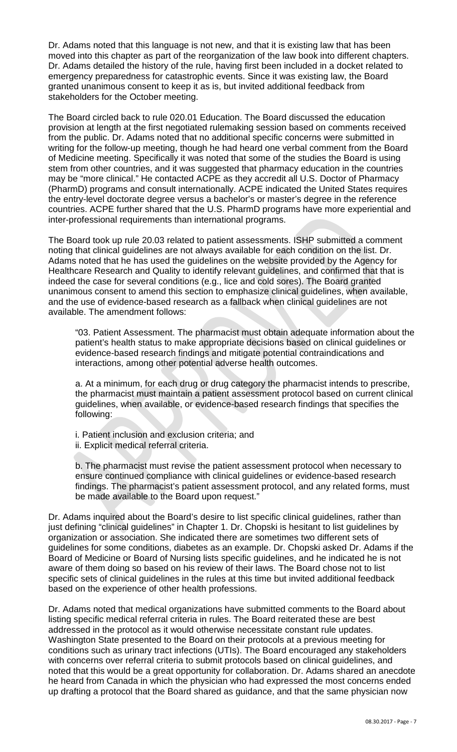Dr. Adams noted that this language is not new, and that it is existing law that has been moved into this chapter as part of the reorganization of the law book into different chapters. Dr. Adams detailed the history of the rule, having first been included in a docket related to emergency preparedness for catastrophic events. Since it was existing law, the Board granted unanimous consent to keep it as is, but invited additional feedback from stakeholders for the October meeting.

The Board circled back to rule 020.01 Education. The Board discussed the education provision at length at the first negotiated rulemaking session based on comments received from the public. Dr. Adams noted that no additional specific concerns were submitted in writing for the follow-up meeting, though he had heard one verbal comment from the Board of Medicine meeting. Specifically it was noted that some of the studies the Board is using stem from other countries, and it was suggested that pharmacy education in the countries may be "more clinical." He contacted ACPE as they accredit all U.S. Doctor of Pharmacy (PharmD) programs and consult internationally. ACPE indicated the United States requires the entry-level doctorate degree versus a bachelor's or master's degree in the reference countries. ACPE further shared that the U.S. PharmD programs have more experiential and inter-professional requirements than international programs.

The Board took up rule 20.03 related to patient assessments. ISHP submitted a comment noting that clinical guidelines are not always available for each condition on the list. Dr. Adams noted that he has used the guidelines on the website provided by the Agency for Healthcare Research and Quality to identify relevant guidelines, and confirmed that that is indeed the case for several conditions (e.g., lice and cold sores). The Board granted unanimous consent to amend this section to emphasize clinical guidelines, when available, and the use of evidence-based research as a fallback when clinical guidelines are not available. The amendment follows:

"03. Patient Assessment. The pharmacist must obtain adequate information about the patient's health status to make appropriate decisions based on clinical guidelines or evidence-based research findings and mitigate potential contraindications and interactions, among other potential adverse health outcomes.

a. At a minimum, for each drug or drug category the pharmacist intends to prescribe, the pharmacist must maintain a patient assessment protocol based on current clinical guidelines, when available, or evidence-based research findings that specifies the following:

- i. Patient inclusion and exclusion criteria; and
- ii. Explicit medical referral criteria.

b. The pharmacist must revise the patient assessment protocol when necessary to ensure continued compliance with clinical guidelines or evidence-based research findings. The pharmacist's patient assessment protocol, and any related forms, must be made available to the Board upon request."

Dr. Adams inquired about the Board's desire to list specific clinical guidelines, rather than just defining "clinical guidelines" in Chapter 1. Dr. Chopski is hesitant to list guidelines by organization or association. She indicated there are sometimes two different sets of guidelines for some conditions, diabetes as an example. Dr. Chopski asked Dr. Adams if the Board of Medicine or Board of Nursing lists specific guidelines, and he indicated he is not aware of them doing so based on his review of their laws. The Board chose not to list specific sets of clinical guidelines in the rules at this time but invited additional feedback based on the experience of other health professions.

Dr. Adams noted that medical organizations have submitted comments to the Board about listing specific medical referral criteria in rules. The Board reiterated these are best addressed in the protocol as it would otherwise necessitate constant rule updates. Washington State presented to the Board on their protocols at a previous meeting for conditions such as urinary tract infections (UTIs). The Board encouraged any stakeholders with concerns over referral criteria to submit protocols based on clinical guidelines, and noted that this would be a great opportunity for collaboration. Dr. Adams shared an anecdote he heard from Canada in which the physician who had expressed the most concerns ended up drafting a protocol that the Board shared as guidance, and that the same physician now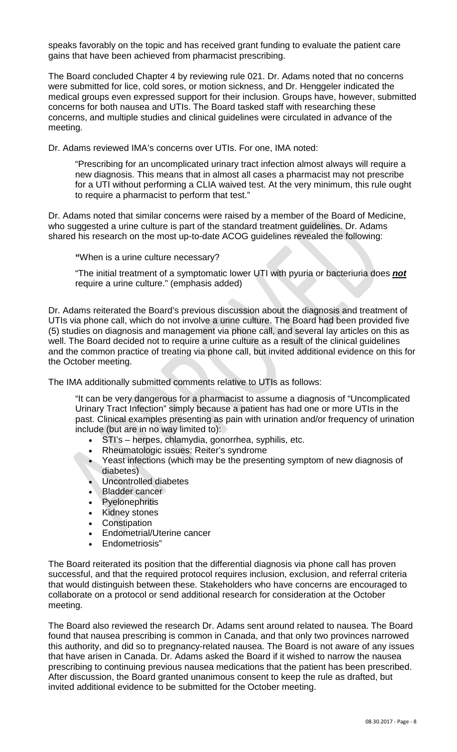speaks favorably on the topic and has received grant funding to evaluate the patient care gains that have been achieved from pharmacist prescribing.

The Board concluded Chapter 4 by reviewing rule 021. Dr. Adams noted that no concerns were submitted for lice, cold sores, or motion sickness, and Dr. Henggeler indicated the medical groups even expressed support for their inclusion. Groups have, however, submitted concerns for both nausea and UTIs. The Board tasked staff with researching these concerns, and multiple studies and clinical guidelines were circulated in advance of the meeting.

Dr. Adams reviewed IMA's concerns over UTIs. For one, IMA noted:

"Prescribing for an uncomplicated urinary tract infection almost always will require a new diagnosis. This means that in almost all cases a pharmacist may not prescribe for a UTI without performing a CLIA waived test. At the very minimum, this rule ought to require a pharmacist to perform that test."

Dr. Adams noted that similar concerns were raised by a member of the Board of Medicine, who suggested a urine culture is part of the standard treatment guidelines. Dr. Adams shared his research on the most up-to-date ACOG guidelines revealed the following:

**"**When is a urine culture necessary?

"The initial treatment of a symptomatic lower UTI with pyuria or bacteriuria does *not* require a urine culture." (emphasis added)

Dr. Adams reiterated the Board's previous discussion about the diagnosis and treatment of UTIs via phone call, which do not involve a urine culture. The Board had been provided five (5) studies on diagnosis and management via phone call, and several lay articles on this as well. The Board decided not to require a urine culture as a result of the clinical guidelines and the common practice of treating via phone call, but invited additional evidence on this for the October meeting.

The IMA additionally submitted comments relative to UTIs as follows:

"It can be very dangerous for a pharmacist to assume a diagnosis of "Uncomplicated Urinary Tract Infection" simply because a patient has had one or more UTIs in the past. Clinical examples presenting as pain with urination and/or frequency of urination include (but are in no way limited to):

- STI's herpes, chlamydia, gonorrhea, syphilis, etc.
- Rheumatologic issues: Reiter's syndrome
- Yeast infections (which may be the presenting symptom of new diagnosis of diabetes)
- Uncontrolled diabetes
- Bladder cancer
- **Pyelonephritis**
- **Kidney stones**
- **Constipation**
- Endometrial/Uterine cancer
- Endometriosis"

The Board reiterated its position that the differential diagnosis via phone call has proven successful, and that the required protocol requires inclusion, exclusion, and referral criteria that would distinguish between these. Stakeholders who have concerns are encouraged to collaborate on a protocol or send additional research for consideration at the October meeting.

The Board also reviewed the research Dr. Adams sent around related to nausea. The Board found that nausea prescribing is common in Canada, and that only two provinces narrowed this authority, and did so to pregnancy-related nausea. The Board is not aware of any issues that have arisen in Canada. Dr. Adams asked the Board if it wished to narrow the nausea prescribing to continuing previous nausea medications that the patient has been prescribed. After discussion, the Board granted unanimous consent to keep the rule as drafted, but invited additional evidence to be submitted for the October meeting.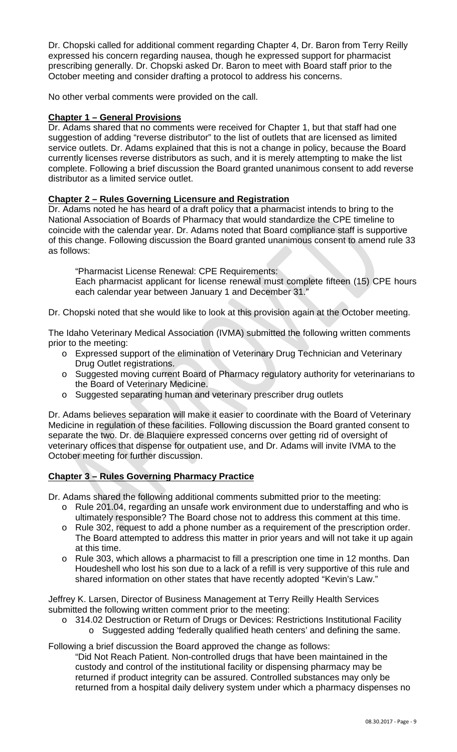Dr. Chopski called for additional comment regarding Chapter 4, Dr. Baron from Terry Reilly expressed his concern regarding nausea, though he expressed support for pharmacist prescribing generally. Dr. Chopski asked Dr. Baron to meet with Board staff prior to the October meeting and consider drafting a protocol to address his concerns.

No other verbal comments were provided on the call.

#### **Chapter 1 – General Provisions**

Dr. Adams shared that no comments were received for Chapter 1, but that staff had one suggestion of adding "reverse distributor" to the list of outlets that are licensed as limited service outlets. Dr. Adams explained that this is not a change in policy, because the Board currently licenses reverse distributors as such, and it is merely attempting to make the list complete. Following a brief discussion the Board granted unanimous consent to add reverse distributor as a limited service outlet.

#### **Chapter 2 – Rules Governing Licensure and Registration**

Dr. Adams noted he has heard of a draft policy that a pharmacist intends to bring to the National Association of Boards of Pharmacy that would standardize the CPE timeline to coincide with the calendar year. Dr. Adams noted that Board compliance staff is supportive of this change. Following discussion the Board granted unanimous consent to amend rule 33 as follows:

"Pharmacist License Renewal: CPE Requirements:

Each pharmacist applicant for license renewal must complete fifteen (15) CPE hours each calendar year between January 1 and December 31."

Dr. Chopski noted that she would like to look at this provision again at the October meeting.

The Idaho Veterinary Medical Association (IVMA) submitted the following written comments prior to the meeting:

- o Expressed support of the elimination of Veterinary Drug Technician and Veterinary Drug Outlet registrations.
- o Suggested moving current Board of Pharmacy regulatory authority for veterinarians to the Board of Veterinary Medicine.
- o Suggested separating human and veterinary prescriber drug outlets

Dr. Adams believes separation will make it easier to coordinate with the Board of Veterinary Medicine in regulation of these facilities. Following discussion the Board granted consent to separate the two. Dr. de Blaquiere expressed concerns over getting rid of oversight of veterinary offices that dispense for outpatient use, and Dr. Adams will invite IVMA to the October meeting for further discussion.

### **Chapter 3 – Rules Governing Pharmacy Practice**

Dr. Adams shared the following additional comments submitted prior to the meeting:

- o Rule 201.04, regarding an unsafe work environment due to understaffing and who is ultimately responsible? The Board chose not to address this comment at this time.
- o Rule 302, request to add a phone number as a requirement of the prescription order. The Board attempted to address this matter in prior years and will not take it up again at this time.
- o Rule 303, which allows a pharmacist to fill a prescription one time in 12 months. Dan Houdeshell who lost his son due to a lack of a refill is very supportive of this rule and shared information on other states that have recently adopted "Kevin's Law."

Jeffrey K. Larsen, Director of Business Management at Terry Reilly Health Services submitted the following written comment prior to the meeting:

- o 314.02 Destruction or Return of Drugs or Devices: Restrictions Institutional Facility
	- o Suggested adding 'federally qualified heath centers' and defining the same.

Following a brief discussion the Board approved the change as follows:

"Did Not Reach Patient. Non-controlled drugs that have been maintained in the custody and control of the institutional facility or dispensing pharmacy may be returned if product integrity can be assured. Controlled substances may only be returned from a hospital daily delivery system under which a pharmacy dispenses no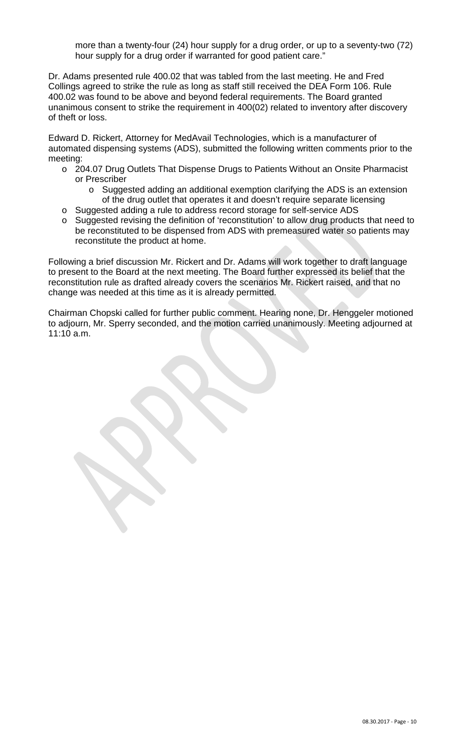more than a twenty-four (24) hour supply for a drug order, or up to a seventy-two (72) hour supply for a drug order if warranted for good patient care."

Dr. Adams presented rule 400.02 that was tabled from the last meeting. He and Fred Collings agreed to strike the rule as long as staff still received the DEA Form 106. Rule 400.02 was found to be above and beyond federal requirements. The Board granted unanimous consent to strike the requirement in 400(02) related to inventory after discovery of theft or loss.

Edward D. Rickert, Attorney for MedAvail Technologies, which is a manufacturer of automated dispensing systems (ADS), submitted the following written comments prior to the meeting:

- o 204.07 Drug Outlets That Dispense Drugs to Patients Without an Onsite Pharmacist or Prescriber
	- o Suggested adding an additional exemption clarifying the ADS is an extension of the drug outlet that operates it and doesn't require separate licensing
- o Suggested adding a rule to address record storage for self-service ADS
- o Suggested revising the definition of 'reconstitution' to allow drug products that need to be reconstituted to be dispensed from ADS with premeasured water so patients may reconstitute the product at home.

Following a brief discussion Mr. Rickert and Dr. Adams will work together to draft language to present to the Board at the next meeting. The Board further expressed its belief that the reconstitution rule as drafted already covers the scenarios Mr. Rickert raised, and that no change was needed at this time as it is already permitted.

Chairman Chopski called for further public comment. Hearing none, Dr. Henggeler motioned to adjourn, Mr. Sperry seconded, and the motion carried unanimously. Meeting adjourned at 11:10 a.m.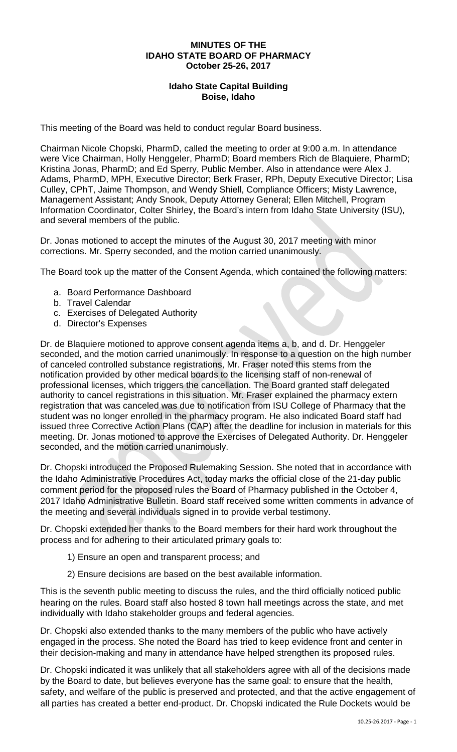#### **MINUTES OF THE IDAHO STATE BOARD OF PHARMACY October 25-26, 2017**

### **Idaho State Capital Building Boise, Idaho**

This meeting of the Board was held to conduct regular Board business.

Chairman Nicole Chopski, PharmD, called the meeting to order at 9:00 a.m. In attendance were Vice Chairman, Holly Henggeler, PharmD; Board members Rich de Blaquiere, PharmD; Kristina Jonas, PharmD; and Ed Sperry, Public Member. Also in attendance were Alex J. Adams, PharmD, MPH, Executive Director; Berk Fraser, RPh, Deputy Executive Director; Lisa Culley, CPhT, Jaime Thompson, and Wendy Shiell, Compliance Officers; Misty Lawrence, Management Assistant; Andy Snook, Deputy Attorney General; Ellen Mitchell, Program Information Coordinator, Colter Shirley, the Board's intern from Idaho State University (ISU), and several members of the public.

Dr. Jonas motioned to accept the minutes of the August 30, 2017 meeting with minor corrections. Mr. Sperry seconded, and the motion carried unanimously.

The Board took up the matter of the Consent Agenda, which contained the following matters:

- a. Board Performance Dashboard
- b. Travel Calendar
- c. Exercises of Delegated Authority
- d. Director's Expenses

Dr. de Blaquiere motioned to approve consent agenda items a, b, and d. Dr. Henggeler seconded, and the motion carried unanimously. In response to a question on the high number of canceled controlled substance registrations, Mr. Fraser noted this stems from the notification provided by other medical boards to the licensing staff of non-renewal of professional licenses, which triggers the cancellation. The Board granted staff delegated authority to cancel registrations in this situation. Mr. Fraser explained the pharmacy extern registration that was canceled was due to notification from ISU College of Pharmacy that the student was no longer enrolled in the pharmacy program. He also indicated Board staff had issued three Corrective Action Plans (CAP) after the deadline for inclusion in materials for this meeting. Dr. Jonas motioned to approve the Exercises of Delegated Authority. Dr. Henggeler seconded, and the motion carried unanimously.

Dr. Chopski introduced the Proposed Rulemaking Session. She noted that in accordance with the Idaho Administrative Procedures Act, today marks the official close of the 21-day public comment period for the proposed rules the Board of Pharmacy published in the October 4, 2017 Idaho Administrative Bulletin. Board staff received some written comments in advance of the meeting and several individuals signed in to provide verbal testimony.

Dr. Chopski extended her thanks to the Board members for their hard work throughout the process and for adhering to their articulated primary goals to:

- 1) Ensure an open and transparent process; and
- 2) Ensure decisions are based on the best available information.

This is the seventh public meeting to discuss the rules, and the third officially noticed public hearing on the rules. Board staff also hosted 8 town hall meetings across the state, and met individually with Idaho stakeholder groups and federal agencies.

Dr. Chopski also extended thanks to the many members of the public who have actively engaged in the process. She noted the Board has tried to keep evidence front and center in their decision-making and many in attendance have helped strengthen its proposed rules.

Dr. Chopski indicated it was unlikely that all stakeholders agree with all of the decisions made by the Board to date, but believes everyone has the same goal: to ensure that the health, safety, and welfare of the public is preserved and protected, and that the active engagement of all parties has created a better end-product. Dr. Chopski indicated the Rule Dockets would be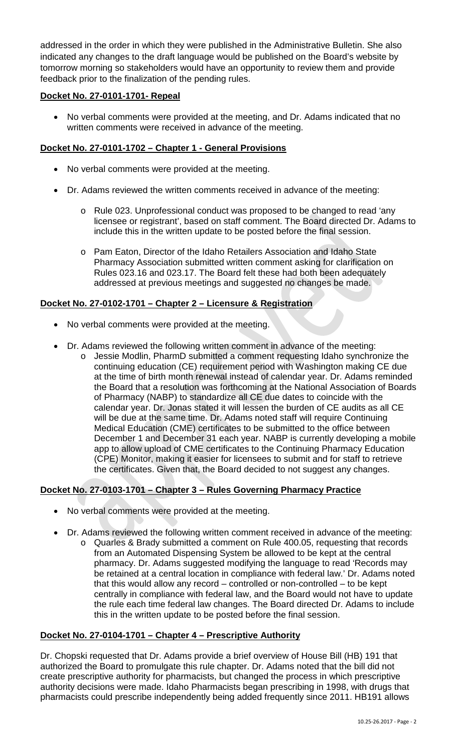addressed in the order in which they were published in the Administrative Bulletin. She also indicated any changes to the draft language would be published on the Board's website by tomorrow morning so stakeholders would have an opportunity to review them and provide feedback prior to the finalization of the pending rules.

### **Docket No. 27-0101-1701- Repeal**

• No verbal comments were provided at the meeting, and Dr. Adams indicated that no written comments were received in advance of the meeting.

## **Docket No. 27-0101-1702 – Chapter 1 - General Provisions**

- No verbal comments were provided at the meeting.
- Dr. Adams reviewed the written comments received in advance of the meeting:
	- o Rule 023. Unprofessional conduct was proposed to be changed to read 'any licensee or registrant', based on staff comment. The Board directed Dr. Adams to include this in the written update to be posted before the final session.
	- o Pam Eaton, Director of the Idaho Retailers Association and Idaho State Pharmacy Association submitted written comment asking for clarification on Rules 023.16 and 023.17. The Board felt these had both been adequately addressed at previous meetings and suggested no changes be made.

### **Docket No. 27-0102-1701 – Chapter 2 – Licensure & Registration**

- No verbal comments were provided at the meeting.
- Dr. Adams reviewed the following written comment in advance of the meeting:
	- o Jessie Modlin, PharmD submitted a comment requesting Idaho synchronize the continuing education (CE) requirement period with Washington making CE due at the time of birth month renewal instead of calendar year. Dr. Adams reminded the Board that a resolution was forthcoming at the National Association of Boards of Pharmacy (NABP) to standardize all CE due dates to coincide with the calendar year. Dr. Jonas stated it will lessen the burden of CE audits as all CE will be due at the same time. Dr. Adams noted staff will require Continuing Medical Education (CME) certificates to be submitted to the office between December 1 and December 31 each year. NABP is currently developing a mobile app to allow upload of CME certificates to the Continuing Pharmacy Education (CPE) Monitor, making it easier for licensees to submit and for staff to retrieve the certificates. Given that, the Board decided to not suggest any changes.

### **Docket No. 27-0103-1701 – Chapter 3 – Rules Governing Pharmacy Practice**

- No verbal comments were provided at the meeting.
- Dr. Adams reviewed the following written comment received in advance of the meeting:
	- o Quarles & Brady submitted a comment on Rule 400.05, requesting that records from an Automated Dispensing System be allowed to be kept at the central pharmacy. Dr. Adams suggested modifying the language to read 'Records may be retained at a central location in compliance with federal law.' Dr. Adams noted that this would allow any record – controlled or non-controlled – to be kept centrally in compliance with federal law, and the Board would not have to update the rule each time federal law changes. The Board directed Dr. Adams to include this in the written update to be posted before the final session.

### **Docket No. 27-0104-1701 – Chapter 4 – Prescriptive Authority**

Dr. Chopski requested that Dr. Adams provide a brief overview of House Bill (HB) 191 that authorized the Board to promulgate this rule chapter. Dr. Adams noted that the bill did not create prescriptive authority for pharmacists, but changed the process in which prescriptive authority decisions were made. Idaho Pharmacists began prescribing in 1998, with drugs that pharmacists could prescribe independently being added frequently since 2011. HB191 allows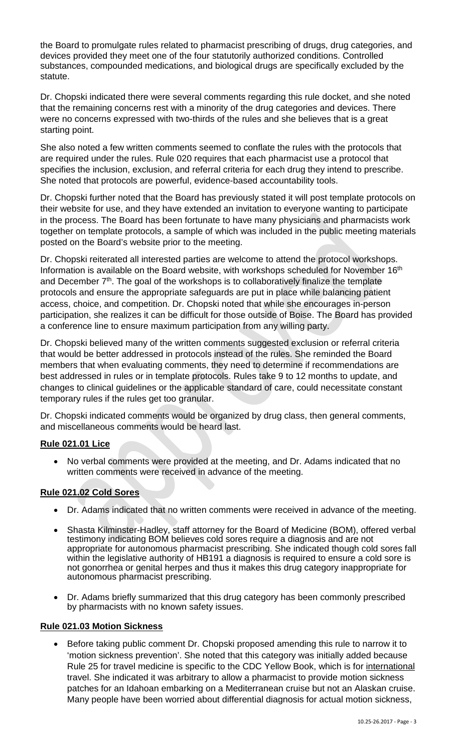the Board to promulgate rules related to pharmacist prescribing of drugs, drug categories, and devices provided they meet one of the four statutorily authorized conditions. Controlled substances, compounded medications, and biological drugs are specifically excluded by the statute.

Dr. Chopski indicated there were several comments regarding this rule docket, and she noted that the remaining concerns rest with a minority of the drug categories and devices. There were no concerns expressed with two-thirds of the rules and she believes that is a great starting point.

She also noted a few written comments seemed to conflate the rules with the protocols that are required under the rules. Rule 020 requires that each pharmacist use a protocol that specifies the inclusion, exclusion, and referral criteria for each drug they intend to prescribe. She noted that protocols are powerful, evidence-based accountability tools.

Dr. Chopski further noted that the Board has previously stated it will post template protocols on their website for use, and they have extended an invitation to everyone wanting to participate in the process. The Board has been fortunate to have many physicians and pharmacists work together on template protocols, a sample of which was included in the public meeting materials posted on the Board's website prior to the meeting.

Dr. Chopski reiterated all interested parties are welcome to attend the protocol workshops. Information is available on the Board website, with workshops scheduled for November 16<sup>th</sup> and December  $7<sup>th</sup>$ . The goal of the workshops is to collaboratively finalize the template protocols and ensure the appropriate safeguards are put in place while balancing patient access, choice, and competition. Dr. Chopski noted that while she encourages in-person participation, she realizes it can be difficult for those outside of Boise. The Board has provided a conference line to ensure maximum participation from any willing party.

Dr. Chopski believed many of the written comments suggested exclusion or referral criteria that would be better addressed in protocols instead of the rules. She reminded the Board members that when evaluating comments, they need to determine if recommendations are best addressed in rules or in template protocols. Rules take 9 to 12 months to update, and changes to clinical guidelines or the applicable standard of care, could necessitate constant temporary rules if the rules get too granular.

Dr. Chopski indicated comments would be organized by drug class, then general comments, and miscellaneous comments would be heard last.

# **Rule 021.01 Lice**

• No verbal comments were provided at the meeting, and Dr. Adams indicated that no written comments were received in advance of the meeting.

# **Rule 021.02 Cold Sores**

- Dr. Adams indicated that no written comments were received in advance of the meeting.
- Shasta Kilminster-Hadley, staff attorney for the Board of Medicine (BOM), offered verbal testimony indicating BOM believes cold sores require a diagnosis and are not appropriate for autonomous pharmacist prescribing. She indicated though cold sores fall within the legislative authority of HB191 a diagnosis is required to ensure a cold sore is not gonorrhea or genital herpes and thus it makes this drug category inappropriate for autonomous pharmacist prescribing.
- Dr. Adams briefly summarized that this drug category has been commonly prescribed by pharmacists with no known safety issues.

### **Rule 021.03 Motion Sickness**

• Before taking public comment Dr. Chopski proposed amending this rule to narrow it to 'motion sickness prevention'. She noted that this category was initially added because Rule 25 for travel medicine is specific to the CDC Yellow Book, which is for international travel. She indicated it was arbitrary to allow a pharmacist to provide motion sickness patches for an Idahoan embarking on a Mediterranean cruise but not an Alaskan cruise. Many people have been worried about differential diagnosis for actual motion sickness,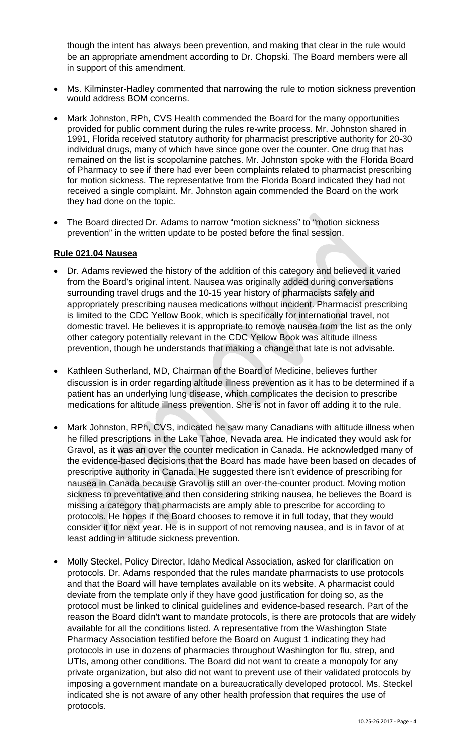though the intent has always been prevention, and making that clear in the rule would be an appropriate amendment according to Dr. Chopski. The Board members were all in support of this amendment.

- Ms. Kilminster-Hadley commented that narrowing the rule to motion sickness prevention would address BOM concerns.
- Mark Johnston, RPh, CVS Health commended the Board for the many opportunities provided for public comment during the rules re-write process. Mr. Johnston shared in 1991, Florida received statutory authority for pharmacist prescriptive authority for 20-30 individual drugs, many of which have since gone over the counter. One drug that has remained on the list is scopolamine patches. Mr. Johnston spoke with the Florida Board of Pharmacy to see if there had ever been complaints related to pharmacist prescribing for motion sickness. The representative from the Florida Board indicated they had not received a single complaint. Mr. Johnston again commended the Board on the work they had done on the topic.
- The Board directed Dr. Adams to narrow "motion sickness" to "motion sickness prevention" in the written update to be posted before the final session.

#### **Rule 021.04 Nausea**

- Dr. Adams reviewed the history of the addition of this category and believed it varied from the Board's original intent. Nausea was originally added during conversations surrounding travel drugs and the 10-15 year history of pharmacists safely and appropriately prescribing nausea medications without incident. Pharmacist prescribing is limited to the CDC Yellow Book, which is specifically for international travel, not domestic travel. He believes it is appropriate to remove nausea from the list as the only other category potentially relevant in the CDC Yellow Book was altitude illness prevention, though he understands that making a change that late is not advisable.
- Kathleen Sutherland, MD, Chairman of the Board of Medicine, believes further discussion is in order regarding altitude illness prevention as it has to be determined if a patient has an underlying lung disease, which complicates the decision to prescribe medications for altitude illness prevention. She is not in favor off adding it to the rule.
- Mark Johnston, RPh, CVS, indicated he saw many Canadians with altitude illness when he filled prescriptions in the Lake Tahoe, Nevada area. He indicated they would ask for Gravol, as it was an over the counter medication in Canada. He acknowledged many of the evidence-based decisions that the Board has made have been based on decades of prescriptive authority in Canada. He suggested there isn't evidence of prescribing for nausea in Canada because Gravol is still an over-the-counter product. Moving motion sickness to preventative and then considering striking nausea, he believes the Board is missing a category that pharmacists are amply able to prescribe for according to protocols. He hopes if the Board chooses to remove it in full today, that they would consider it for next year. He is in support of not removing nausea, and is in favor of at least adding in altitude sickness prevention.
- Molly Steckel, Policy Director, Idaho Medical Association, asked for clarification on protocols. Dr. Adams responded that the rules mandate pharmacists to use protocols and that the Board will have templates available on its website. A pharmacist could deviate from the template only if they have good justification for doing so, as the protocol must be linked to clinical guidelines and evidence-based research. Part of the reason the Board didn't want to mandate protocols, is there are protocols that are widely available for all the conditions listed. A representative from the Washington State Pharmacy Association testified before the Board on August 1 indicating they had protocols in use in dozens of pharmacies throughout Washington for flu, strep, and UTIs, among other conditions. The Board did not want to create a monopoly for any private organization, but also did not want to prevent use of their validated protocols by imposing a government mandate on a bureaucratically developed protocol. Ms. Steckel indicated she is not aware of any other health profession that requires the use of protocols.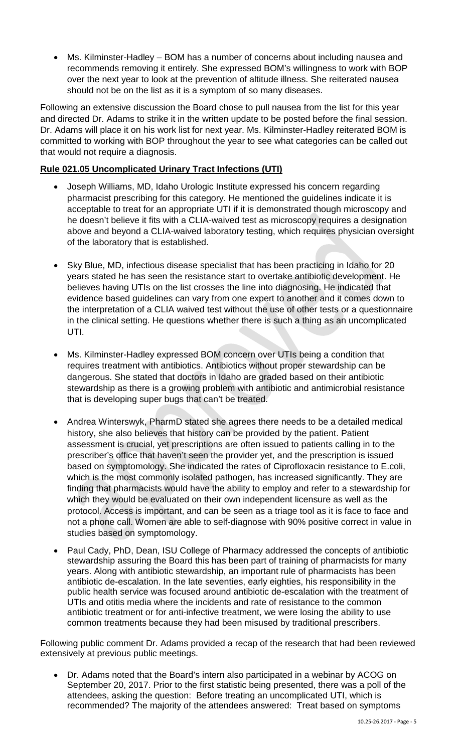• Ms. Kilminster-Hadley – BOM has a number of concerns about including nausea and recommends removing it entirely. She expressed BOM's willingness to work with BOP over the next year to look at the prevention of altitude illness. She reiterated nausea should not be on the list as it is a symptom of so many diseases.

Following an extensive discussion the Board chose to pull nausea from the list for this year and directed Dr. Adams to strike it in the written update to be posted before the final session. Dr. Adams will place it on his work list for next year. Ms. Kilminster-Hadley reiterated BOM is committed to working with BOP throughout the year to see what categories can be called out that would not require a diagnosis.

## **Rule 021.05 Uncomplicated Urinary Tract Infections (UTI)**

- Joseph Williams, MD, Idaho Urologic Institute expressed his concern regarding pharmacist prescribing for this category. He mentioned the guidelines indicate it is acceptable to treat for an appropriate UTI if it is demonstrated though microscopy and he doesn't believe it fits with a CLIA-waived test as microscopy requires a designation above and beyond a CLIA-waived laboratory testing, which requires physician oversight of the laboratory that is established.
- Sky Blue, MD, infectious disease specialist that has been practicing in Idaho for 20 years stated he has seen the resistance start to overtake antibiotic development. He believes having UTIs on the list crosses the line into diagnosing. He indicated that evidence based guidelines can vary from one expert to another and it comes down to the interpretation of a CLIA waived test without the use of other tests or a questionnaire in the clinical setting. He questions whether there is such a thing as an uncomplicated UTI.
- Ms. Kilminster-Hadley expressed BOM concern over UTIs being a condition that requires treatment with antibiotics. Antibiotics without proper stewardship can be dangerous. She stated that doctors in Idaho are graded based on their antibiotic stewardship as there is a growing problem with antibiotic and antimicrobial resistance that is developing super bugs that can't be treated.
- Andrea Winterswyk, PharmD stated she agrees there needs to be a detailed medical history, she also believes that history can be provided by the patient. Patient assessment is crucial, yet prescriptions are often issued to patients calling in to the prescriber's office that haven't seen the provider yet, and the prescription is issued based on symptomology. She indicated the rates of Ciprofloxacin resistance to E.coli, which is the most commonly isolated pathogen, has increased significantly. They are finding that pharmacists would have the ability to employ and refer to a stewardship for which they would be evaluated on their own independent licensure as well as the protocol. Access is important, and can be seen as a triage tool as it is face to face and not a phone call. Women are able to self-diagnose with 90% positive correct in value in studies based on symptomology.
- Paul Cady, PhD, Dean, ISU College of Pharmacy addressed the concepts of antibiotic stewardship assuring the Board this has been part of training of pharmacists for many years. Along with antibiotic stewardship, an important rule of pharmacists has been antibiotic de-escalation. In the late seventies, early eighties, his responsibility in the public health service was focused around antibiotic de-escalation with the treatment of UTIs and otitis media where the incidents and rate of resistance to the common antibiotic treatment or for anti-infective treatment, we were losing the ability to use common treatments because they had been misused by traditional prescribers.

Following public comment Dr. Adams provided a recap of the research that had been reviewed extensively at previous public meetings.

• Dr. Adams noted that the Board's intern also participated in a webinar by ACOG on September 20, 2017. Prior to the first statistic being presented, there was a poll of the attendees, asking the question: Before treating an uncomplicated UTI, which is recommended? The majority of the attendees answered: Treat based on symptoms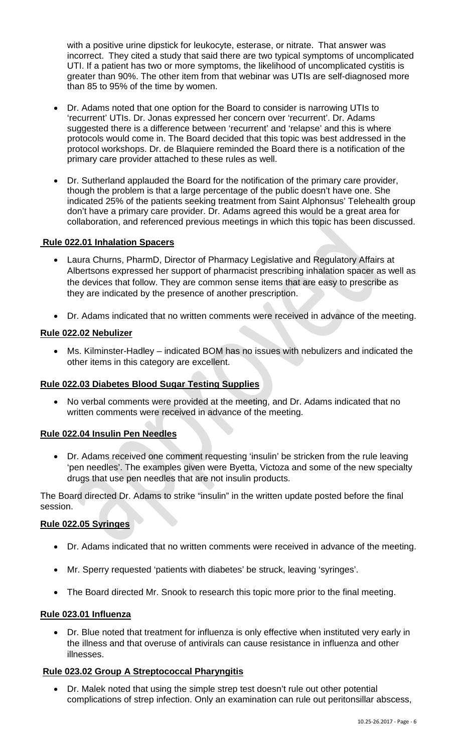with a positive urine dipstick for leukocyte, esterase, or nitrate. That answer was incorrect. They cited a study that said there are two typical symptoms of uncomplicated UTI. If a patient has two or more symptoms, the likelihood of uncomplicated cystitis is greater than 90%. The other item from that webinar was UTIs are self-diagnosed more than 85 to 95% of the time by women.

- Dr. Adams noted that one option for the Board to consider is narrowing UTIs to 'recurrent' UTIs. Dr. Jonas expressed her concern over 'recurrent'. Dr. Adams suggested there is a difference between 'recurrent' and 'relapse' and this is where protocols would come in. The Board decided that this topic was best addressed in the protocol workshops. Dr. de Blaquiere reminded the Board there is a notification of the primary care provider attached to these rules as well.
- Dr. Sutherland applauded the Board for the notification of the primary care provider, though the problem is that a large percentage of the public doesn't have one. She indicated 25% of the patients seeking treatment from Saint Alphonsus' Telehealth group don't have a primary care provider. Dr. Adams agreed this would be a great area for collaboration, and referenced previous meetings in which this topic has been discussed.

#### **Rule 022.01 Inhalation Spacers**

- Laura Churns, PharmD, Director of Pharmacy Legislative and Regulatory Affairs at Albertsons expressed her support of pharmacist prescribing inhalation spacer as well as the devices that follow. They are common sense items that are easy to prescribe as they are indicated by the presence of another prescription.
- Dr. Adams indicated that no written comments were received in advance of the meeting.

#### **Rule 022.02 Nebulizer**

• Ms. Kilminster-Hadley – indicated BOM has no issues with nebulizers and indicated the other items in this category are excellent.

### **Rule 022.03 Diabetes Blood Sugar Testing Supplies**

• No verbal comments were provided at the meeting, and Dr. Adams indicated that no written comments were received in advance of the meeting.

### **Rule 022.04 Insulin Pen Needles**

• Dr. Adams received one comment requesting 'insulin' be stricken from the rule leaving 'pen needles'. The examples given were Byetta, Victoza and some of the new specialty drugs that use pen needles that are not insulin products.

The Board directed Dr. Adams to strike "insulin" in the written update posted before the final session.

#### **Rule 022.05 Syringes**

- Dr. Adams indicated that no written comments were received in advance of the meeting.
- Mr. Sperry requested 'patients with diabetes' be struck, leaving 'syringes'.
- The Board directed Mr. Snook to research this topic more prior to the final meeting.

#### **Rule 023.01 Influenza**

• Dr. Blue noted that treatment for influenza is only effective when instituted very early in the illness and that overuse of antivirals can cause resistance in influenza and other illnesses.

#### **Rule 023.02 Group A Streptococcal Pharyngitis**

• Dr. Malek noted that using the simple strep test doesn't rule out other potential complications of strep infection. Only an examination can rule out peritonsillar abscess,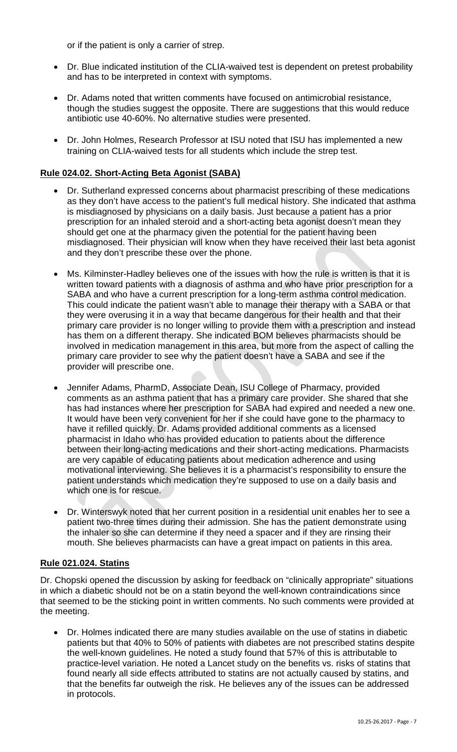or if the patient is only a carrier of strep.

- Dr. Blue indicated institution of the CLIA-waived test is dependent on pretest probability and has to be interpreted in context with symptoms.
- Dr. Adams noted that written comments have focused on antimicrobial resistance, though the studies suggest the opposite. There are suggestions that this would reduce antibiotic use 40-60%. No alternative studies were presented.
- Dr. John Holmes, Research Professor at ISU noted that ISU has implemented a new training on CLIA-waived tests for all students which include the strep test.

### **Rule 024.02. Short-Acting Beta Agonist (SABA)**

- Dr. Sutherland expressed concerns about pharmacist prescribing of these medications as they don't have access to the patient's full medical history. She indicated that asthma is misdiagnosed by physicians on a daily basis. Just because a patient has a prior prescription for an inhaled steroid and a short-acting beta agonist doesn't mean they should get one at the pharmacy given the potential for the patient having been misdiagnosed. Their physician will know when they have received their last beta agonist and they don't prescribe these over the phone.
- Ms. Kilminster-Hadley believes one of the issues with how the rule is written is that it is written toward patients with a diagnosis of asthma and who have prior prescription for a SABA and who have a current prescription for a long-term asthma control medication. This could indicate the patient wasn't able to manage their therapy with a SABA or that they were overusing it in a way that became dangerous for their health and that their primary care provider is no longer willing to provide them with a prescription and instead has them on a different therapy. She indicated BOM believes pharmacists should be involved in medication management in this area, but more from the aspect of calling the primary care provider to see why the patient doesn't have a SABA and see if the provider will prescribe one.
- Jennifer Adams, PharmD, Associate Dean, ISU College of Pharmacy, provided comments as an asthma patient that has a primary care provider. She shared that she has had instances where her prescription for SABA had expired and needed a new one. It would have been very convenient for her if she could have gone to the pharmacy to have it refilled quickly. Dr. Adams provided additional comments as a licensed pharmacist in Idaho who has provided education to patients about the difference between their long-acting medications and their short-acting medications. Pharmacists are very capable of educating patients about medication adherence and using motivational interviewing. She believes it is a pharmacist's responsibility to ensure the patient understands which medication they're supposed to use on a daily basis and which one is for rescue.
- Dr. Winterswyk noted that her current position in a residential unit enables her to see a patient two-three times during their admission. She has the patient demonstrate using the inhaler so she can determine if they need a spacer and if they are rinsing their mouth. She believes pharmacists can have a great impact on patients in this area.

#### **Rule 021.024. Statins**

Dr. Chopski opened the discussion by asking for feedback on "clinically appropriate" situations in which a diabetic should not be on a statin beyond the well-known contraindications since that seemed to be the sticking point in written comments. No such comments were provided at the meeting.

• Dr. Holmes indicated there are many studies available on the use of statins in diabetic patients but that 40% to 50% of patients with diabetes are not prescribed statins despite the well-known guidelines. He noted a study found that 57% of this is attributable to practice-level variation. He noted a Lancet study on the benefits vs. risks of statins that found nearly all side effects attributed to statins are not actually caused by statins, and that the benefits far outweigh the risk. He believes any of the issues can be addressed in protocols.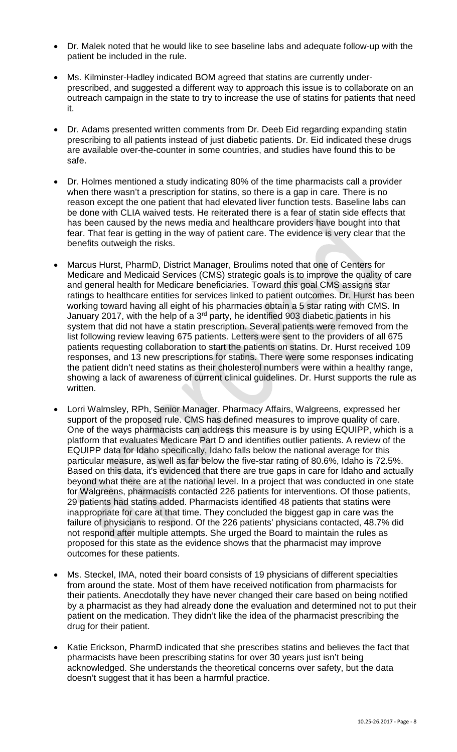- Dr. Malek noted that he would like to see baseline labs and adequate follow-up with the patient be included in the rule.
- Ms. Kilminster-Hadley indicated BOM agreed that statins are currently underprescribed, and suggested a different way to approach this issue is to collaborate on an outreach campaign in the state to try to increase the use of statins for patients that need it.
- Dr. Adams presented written comments from Dr. Deeb Eid regarding expanding statin prescribing to all patients instead of just diabetic patients. Dr. Eid indicated these drugs are available over-the-counter in some countries, and studies have found this to be safe.
- Dr. Holmes mentioned a study indicating 80% of the time pharmacists call a provider when there wasn't a prescription for statins, so there is a gap in care. There is no reason except the one patient that had elevated liver function tests. Baseline labs can be done with CLIA waived tests. He reiterated there is a fear of statin side effects that has been caused by the news media and healthcare providers have bought into that fear. That fear is getting in the way of patient care. The evidence is very clear that the benefits outweigh the risks.
- Marcus Hurst, PharmD, District Manager, Broulims noted that one of Centers for Medicare and Medicaid Services (CMS) strategic goals is to improve the quality of care and general health for Medicare beneficiaries. Toward this goal CMS assigns star ratings to healthcare entities for services linked to patient outcomes. Dr. Hurst has been working toward having all eight of his pharmacies obtain a 5 star rating with CMS. In January 2017, with the help of a  $3<sup>rd</sup>$  party, he identified 903 diabetic patients in his system that did not have a statin prescription. Several patients were removed from the list following review leaving 675 patients. Letters were sent to the providers of all 675 patients requesting collaboration to start the patients on statins. Dr. Hurst received 109 responses, and 13 new prescriptions for statins. There were some responses indicating the patient didn't need statins as their cholesterol numbers were within a healthy range, showing a lack of awareness of current clinical guidelines. Dr. Hurst supports the rule as written.
- Lorri Walmsley, RPh, Senior Manager, Pharmacy Affairs, Walgreens, expressed her support of the proposed rule. CMS has defined measures to improve quality of care. One of the ways pharmacists can address this measure is by using EQUIPP, which is a platform that evaluates Medicare Part D and identifies outlier patients. A review of the EQUIPP data for Idaho specifically, Idaho falls below the national average for this particular measure, as well as far below the five-star rating of 80.6%, Idaho is 72.5%. Based on this data, it's evidenced that there are true gaps in care for Idaho and actually beyond what there are at the national level. In a project that was conducted in one state for Walgreens, pharmacists contacted 226 patients for interventions. Of those patients, 29 patients had statins added. Pharmacists identified 48 patients that statins were inappropriate for care at that time. They concluded the biggest gap in care was the failure of physicians to respond. Of the 226 patients' physicians contacted, 48.7% did not respond after multiple attempts. She urged the Board to maintain the rules as proposed for this state as the evidence shows that the pharmacist may improve outcomes for these patients.
- Ms. Steckel, IMA, noted their board consists of 19 physicians of different specialties from around the state. Most of them have received notification from pharmacists for their patients. Anecdotally they have never changed their care based on being notified by a pharmacist as they had already done the evaluation and determined not to put their patient on the medication. They didn't like the idea of the pharmacist prescribing the drug for their patient.
- Katie Erickson, PharmD indicated that she prescribes statins and believes the fact that pharmacists have been prescribing statins for over 30 years just isn't being acknowledged. She understands the theoretical concerns over safety, but the data doesn't suggest that it has been a harmful practice.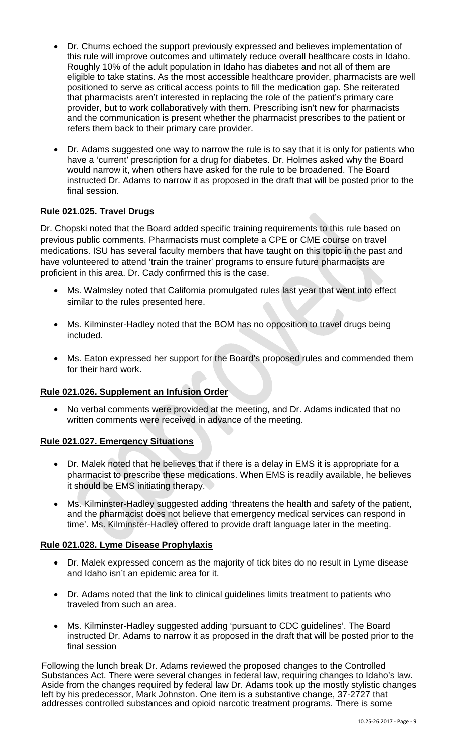- Dr. Churns echoed the support previously expressed and believes implementation of this rule will improve outcomes and ultimately reduce overall healthcare costs in Idaho. Roughly 10% of the adult population in Idaho has diabetes and not all of them are eligible to take statins. As the most accessible healthcare provider, pharmacists are well positioned to serve as critical access points to fill the medication gap. She reiterated that pharmacists aren't interested in replacing the role of the patient's primary care provider, but to work collaboratively with them. Prescribing isn't new for pharmacists and the communication is present whether the pharmacist prescribes to the patient or refers them back to their primary care provider.
- Dr. Adams suggested one way to narrow the rule is to say that it is only for patients who have a 'current' prescription for a drug for diabetes. Dr. Holmes asked why the Board would narrow it, when others have asked for the rule to be broadened. The Board instructed Dr. Adams to narrow it as proposed in the draft that will be posted prior to the final session.

# **Rule 021.025. Travel Drugs**

Dr. Chopski noted that the Board added specific training requirements to this rule based on previous public comments. Pharmacists must complete a CPE or CME course on travel medications. ISU has several faculty members that have taught on this topic in the past and have volunteered to attend 'train the trainer' programs to ensure future pharmacists are proficient in this area. Dr. Cady confirmed this is the case.

- Ms. Walmsley noted that California promulgated rules last year that went into effect similar to the rules presented here.
- Ms. Kilminster-Hadley noted that the BOM has no opposition to travel drugs being included.
- Ms. Eaton expressed her support for the Board's proposed rules and commended them for their hard work.

### **Rule 021.026. Supplement an Infusion Order**

• No verbal comments were provided at the meeting, and Dr. Adams indicated that no written comments were received in advance of the meeting.

### **Rule 021.027. Emergency Situations**

- Dr. Malek noted that he believes that if there is a delay in EMS it is appropriate for a pharmacist to prescribe these medications. When EMS is readily available, he believes it should be EMS initiating therapy.
- Ms. Kilminster-Hadley suggested adding 'threatens the health and safety of the patient, and the pharmacist does not believe that emergency medical services can respond in time'. Ms. Kilminster-Hadley offered to provide draft language later in the meeting.

### **Rule 021.028. Lyme Disease Prophylaxis**

- Dr. Malek expressed concern as the majority of tick bites do no result in Lyme disease and Idaho isn't an epidemic area for it.
- Dr. Adams noted that the link to clinical guidelines limits treatment to patients who traveled from such an area.
- Ms. Kilminster-Hadley suggested adding 'pursuant to CDC guidelines'. The Board instructed Dr. Adams to narrow it as proposed in the draft that will be posted prior to the final session

Following the lunch break Dr. Adams reviewed the proposed changes to the Controlled Substances Act. There were several changes in federal law, requiring changes to Idaho's law. Aside from the changes required by federal law Dr. Adams took up the mostly stylistic changes left by his predecessor, Mark Johnston. One item is a substantive change, 37-2727 that addresses controlled substances and opioid narcotic treatment programs. There is some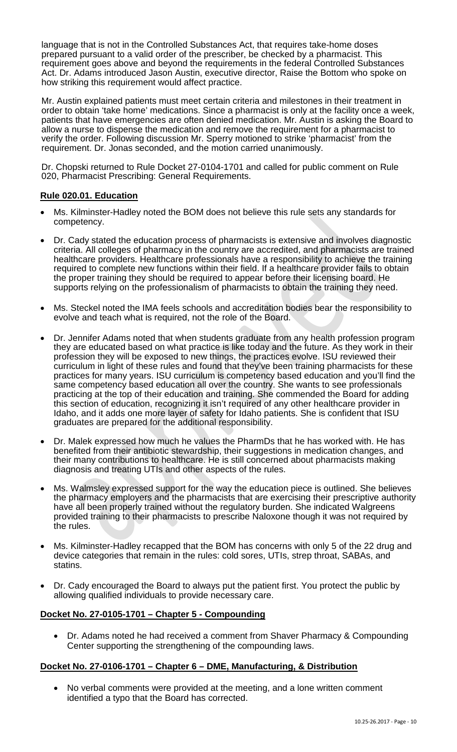language that is not in the Controlled Substances Act, that requires take-home doses prepared pursuant to a valid order of the prescriber, be checked by a pharmacist. This requirement goes above and beyond the requirements in the federal Controlled Substances Act. Dr. Adams introduced Jason Austin, executive director, Raise the Bottom who spoke on how striking this requirement would affect practice.

Mr. Austin explained patients must meet certain criteria and milestones in their treatment in order to obtain 'take home' medications. Since a pharmacist is only at the facility once a week, patients that have emergencies are often denied medication. Mr. Austin is asking the Board to allow a nurse to dispense the medication and remove the requirement for a pharmacist to verify the order. Following discussion Mr. Sperry motioned to strike 'pharmacist' from the requirement. Dr. Jonas seconded, and the motion carried unanimously.

Dr. Chopski returned to Rule Docket 27-0104-1701 and called for public comment on Rule 020, Pharmacist Prescribing: General Requirements.

#### **Rule 020.01. Education**

- Ms. Kilminster-Hadley noted the BOM does not believe this rule sets any standards for competency.
- Dr. Cady stated the education process of pharmacists is extensive and involves diagnostic criteria. All colleges of pharmacy in the country are accredited, and pharmacists are trained healthcare providers. Healthcare professionals have a responsibility to achieve the training required to complete new functions within their field. If a healthcare provider fails to obtain the proper training they should be required to appear before their licensing board. He supports relying on the professionalism of pharmacists to obtain the training they need.
- Ms. Steckel noted the IMA feels schools and accreditation bodies bear the responsibility to evolve and teach what is required, not the role of the Board.
- Dr. Jennifer Adams noted that when students graduate from any health profession program they are educated based on what practice is like today and the future. As they work in their profession they will be exposed to new things, the practices evolve. ISU reviewed their curriculum in light of these rules and found that they've been training pharmacists for these practices for many years. ISU curriculum is competency based education and you'll find the same competency based education all over the country. She wants to see professionals practicing at the top of their education and training. She commended the Board for adding this section of education, recognizing it isn't required of any other healthcare provider in Idaho, and it adds one more layer of safety for Idaho patients. She is confident that ISU graduates are prepared for the additional responsibility.
- Dr. Malek expressed how much he values the PharmDs that he has worked with. He has benefited from their antibiotic stewardship, their suggestions in medication changes, and their many contributions to healthcare. He is still concerned about pharmacists making diagnosis and treating UTIs and other aspects of the rules.
- Ms. Walmsley expressed support for the way the education piece is outlined. She believes the pharmacy employers and the pharmacists that are exercising their prescriptive authority have all been properly trained without the regulatory burden. She indicated Walgreens provided training to their pharmacists to prescribe Naloxone though it was not required by the rules.
- Ms. Kilminster-Hadley recapped that the BOM has concerns with only 5 of the 22 drug and device categories that remain in the rules: cold sores, UTIs, strep throat, SABAs, and statins.
- Dr. Cady encouraged the Board to always put the patient first. You protect the public by allowing qualified individuals to provide necessary care.

### **Docket No. 27-0105-1701 – Chapter 5 - Compounding**

• Dr. Adams noted he had received a comment from Shaver Pharmacy & Compounding Center supporting the strengthening of the compounding laws.

### **Docket No. 27-0106-1701 – Chapter 6 – DME, Manufacturing, & Distribution**

• No verbal comments were provided at the meeting, and a lone written comment identified a typo that the Board has corrected.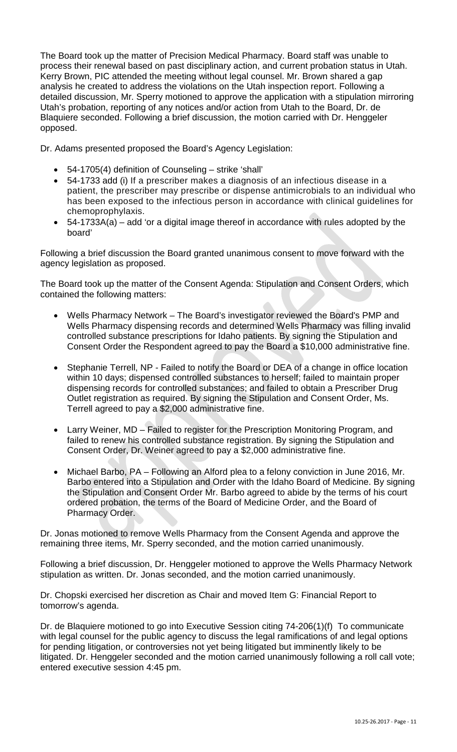The Board took up the matter of Precision Medical Pharmacy. Board staff was unable to process their renewal based on past disciplinary action, and current probation status in Utah. Kerry Brown, PIC attended the meeting without legal counsel. Mr. Brown shared a gap analysis he created to address the violations on the Utah inspection report. Following a detailed discussion, Mr. Sperry motioned to approve the application with a stipulation mirroring Utah's probation, reporting of any notices and/or action from Utah to the Board, Dr. de Blaquiere seconded. Following a brief discussion, the motion carried with Dr. Henggeler opposed.

Dr. Adams presented proposed the Board's Agency Legislation:

- 54-1705(4) definition of Counseling strike 'shall'
- 54-1733 add (i) If a prescriber makes a diagnosis of an infectious disease in a patient, the prescriber may prescribe or dispense antimicrobials to an individual who has been exposed to the infectious person in accordance with clinical guidelines for chemoprophylaxis.
- 54-1733A(a) add 'or a digital image thereof in accordance with rules adopted by the board'

Following a brief discussion the Board granted unanimous consent to move forward with the agency legislation as proposed.

The Board took up the matter of the Consent Agenda: Stipulation and Consent Orders, which contained the following matters:

- Wells Pharmacy Network The Board's investigator reviewed the Board's PMP and Wells Pharmacy dispensing records and determined Wells Pharmacy was filling invalid controlled substance prescriptions for Idaho patients. By signing the Stipulation and Consent Order the Respondent agreed to pay the Board a \$10,000 administrative fine.
- Stephanie Terrell, NP Failed to notify the Board or DEA of a change in office location within 10 days; dispensed controlled substances to herself; failed to maintain proper dispensing records for controlled substances; and failed to obtain a Prescriber Drug Outlet registration as required. By signing the Stipulation and Consent Order, Ms. Terrell agreed to pay a \$2,000 administrative fine.
- Larry Weiner, MD Failed to register for the Prescription Monitoring Program, and failed to renew his controlled substance registration. By signing the Stipulation and Consent Order, Dr. Weiner agreed to pay a \$2,000 administrative fine.
- Michael Barbo, PA Following an Alford plea to a felony conviction in June 2016, Mr. Barbo entered into a Stipulation and Order with the Idaho Board of Medicine. By signing the Stipulation and Consent Order Mr. Barbo agreed to abide by the terms of his court ordered probation, the terms of the Board of Medicine Order, and the Board of Pharmacy Order.

Dr. Jonas motioned to remove Wells Pharmacy from the Consent Agenda and approve the remaining three items, Mr. Sperry seconded, and the motion carried unanimously.

Following a brief discussion, Dr. Henggeler motioned to approve the Wells Pharmacy Network stipulation as written. Dr. Jonas seconded, and the motion carried unanimously.

Dr. Chopski exercised her discretion as Chair and moved Item G: Financial Report to tomorrow's agenda.

Dr. de Blaquiere motioned to go into Executive Session citing 74-206(1)(f) To communicate with legal counsel for the public agency to discuss the legal ramifications of and legal options for pending litigation, or controversies not yet being litigated but imminently likely to be litigated. Dr. Henggeler seconded and the motion carried unanimously following a roll call vote; entered executive session 4:45 pm.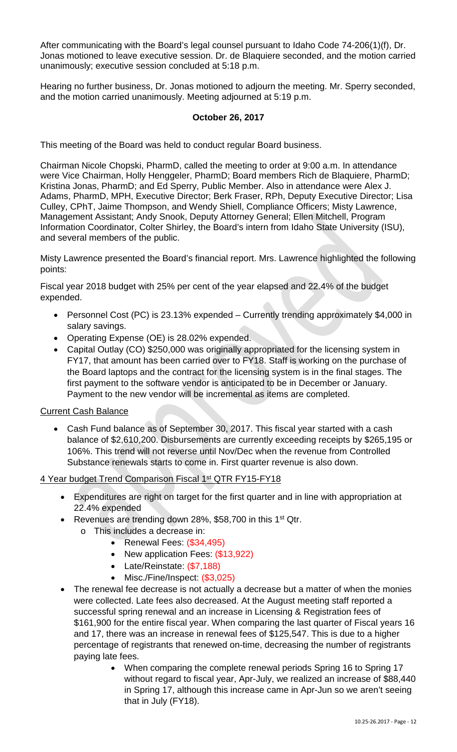After communicating with the Board's legal counsel pursuant to Idaho Code 74-206(1)(f), Dr. Jonas motioned to leave executive session. Dr. de Blaquiere seconded, and the motion carried unanimously; executive session concluded at 5:18 p.m.

Hearing no further business, Dr. Jonas motioned to adjourn the meeting. Mr. Sperry seconded, and the motion carried unanimously. Meeting adjourned at 5:19 p.m.

## **October 26, 2017**

This meeting of the Board was held to conduct regular Board business.

Chairman Nicole Chopski, PharmD, called the meeting to order at 9:00 a.m. In attendance were Vice Chairman, Holly Henggeler, PharmD; Board members Rich de Blaquiere, PharmD; Kristina Jonas, PharmD; and Ed Sperry, Public Member. Also in attendance were Alex J. Adams, PharmD, MPH, Executive Director; Berk Fraser, RPh, Deputy Executive Director; Lisa Culley, CPhT, Jaime Thompson, and Wendy Shiell, Compliance Officers; Misty Lawrence, Management Assistant; Andy Snook, Deputy Attorney General; Ellen Mitchell, Program Information Coordinator, Colter Shirley, the Board's intern from Idaho State University (ISU), and several members of the public.

Misty Lawrence presented the Board's financial report. Mrs. Lawrence highlighted the following points:

Fiscal year 2018 budget with 25% per cent of the year elapsed and 22.4% of the budget expended.

- Personnel Cost (PC) is 23.13% expended Currently trending approximately \$4,000 in salary savings.
- Operating Expense (OE) is 28.02% expended.
- Capital Outlay (CO) \$250,000 was originally appropriated for the licensing system in FY17, that amount has been carried over to FY18. Staff is working on the purchase of the Board laptops and the contract for the licensing system is in the final stages. The first payment to the software vendor is anticipated to be in December or January. Payment to the new vendor will be incremental as items are completed.

### Current Cash Balance

• Cash Fund balance as of September 30, 2017. This fiscal year started with a cash balance of \$2,610,200. Disbursements are currently exceeding receipts by \$265,195 or 106%. This trend will not reverse until Nov/Dec when the revenue from Controlled Substance renewals starts to come in. First quarter revenue is also down.

#### 4 Year budget Trend Comparison Fiscal 1<sup>st</sup> QTR FY15-FY18

- Expenditures are right on target for the first quarter and in line with appropriation at 22.4% expended
- Revenues are trending down 28%, \$58,700 in this 1<sup>st</sup> Qtr.
	- o This includes a decrease in:
		- Renewal Fees: (\$34,495)
		- New application Fees: (\$13,922)
		- Late/Reinstate: (\$7,188)
		- Misc./Fine/Inspect: (\$3,025)
- The renewal fee decrease is not actually a decrease but a matter of when the monies were collected. Late fees also decreased. At the August meeting staff reported a successful spring renewal and an increase in Licensing & Registration fees of \$161,900 for the entire fiscal year. When comparing the last quarter of Fiscal years 16 and 17, there was an increase in renewal fees of \$125,547. This is due to a higher percentage of registrants that renewed on-time, decreasing the number of registrants paying late fees.
	- When comparing the complete renewal periods Spring 16 to Spring 17 without regard to fiscal year, Apr-July, we realized an increase of \$88,440 in Spring 17, although this increase came in Apr-Jun so we aren't seeing that in July (FY18).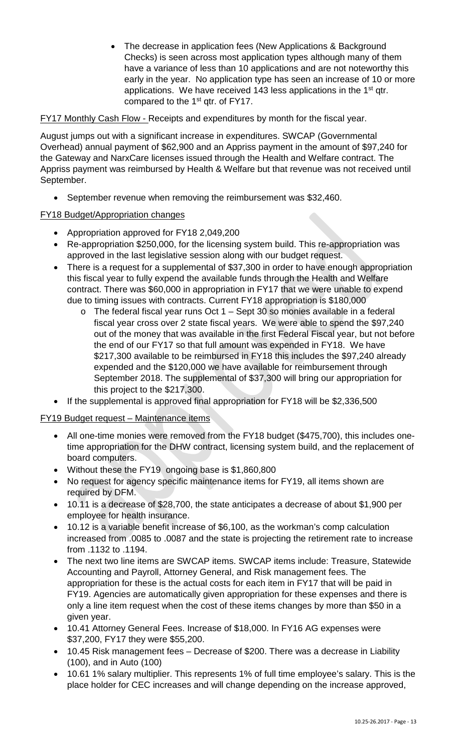• The decrease in application fees (New Applications & Background Checks) is seen across most application types although many of them have a variance of less than 10 applications and are not noteworthy this early in the year. No application type has seen an increase of 10 or more applications. We have received 143 less applications in the 1<sup>st</sup> qtr. compared to the 1<sup>st</sup> qtr. of FY17.

FY17 Monthly Cash Flow - Receipts and expenditures by month for the fiscal year.

August jumps out with a significant increase in expenditures. SWCAP (Governmental Overhead) annual payment of \$62,900 and an Appriss payment in the amount of \$97,240 for the Gateway and NarxCare licenses issued through the Health and Welfare contract. The Appriss payment was reimbursed by Health & Welfare but that revenue was not received until September.

• September revenue when removing the reimbursement was \$32,460.

# FY18 Budget/Appropriation changes

- Appropriation approved for FY18 2,049,200
- Re-appropriation \$250,000, for the licensing system build. This re-appropriation was approved in the last legislative session along with our budget request.
- There is a request for a supplemental of \$37,300 in order to have enough appropriation this fiscal year to fully expend the available funds through the Health and Welfare contract. There was \$60,000 in appropriation in FY17 that we were unable to expend due to timing issues with contracts. Current FY18 appropriation is \$180,000
	- o The federal fiscal year runs Oct 1 Sept 30 so monies available in a federal fiscal year cross over 2 state fiscal years. We were able to spend the \$97,240 out of the money that was available in the first Federal Fiscal year, but not before the end of our FY17 so that full amount was expended in FY18. We have \$217,300 available to be reimbursed in FY18 this includes the \$97,240 already expended and the \$120,000 we have available for reimbursement through September 2018. The supplemental of \$37,300 will bring our appropriation for this project to the \$217,300.
- If the supplemental is approved final appropriation for FY18 will be \$2,336,500

FY19 Budget request – Maintenance items

- All one-time monies were removed from the FY18 budget (\$475,700), this includes onetime appropriation for the DHW contract, licensing system build, and the replacement of board computers.
- Without these the FY19 ongoing base is \$1,860,800
- No request for agency specific maintenance items for FY19, all items shown are required by DFM.
- 10.11 is a decrease of \$28,700, the state anticipates a decrease of about \$1,900 per employee for health insurance.
- 10.12 is a variable benefit increase of \$6,100, as the workman's comp calculation increased from .0085 to .0087 and the state is projecting the retirement rate to increase from .1132 to .1194.
- The next two line items are SWCAP items. SWCAP items include: Treasure, Statewide Accounting and Payroll, Attorney General, and Risk management fees. The appropriation for these is the actual costs for each item in FY17 that will be paid in FY19. Agencies are automatically given appropriation for these expenses and there is only a line item request when the cost of these items changes by more than \$50 in a given year.
- 10.41 Attorney General Fees. Increase of \$18,000. In FY16 AG expenses were \$37,200, FY17 they were \$55,200.
- 10.45 Risk management fees Decrease of \$200. There was a decrease in Liability (100), and in Auto (100)
- 10.61 1% salary multiplier. This represents 1% of full time employee's salary. This is the place holder for CEC increases and will change depending on the increase approved,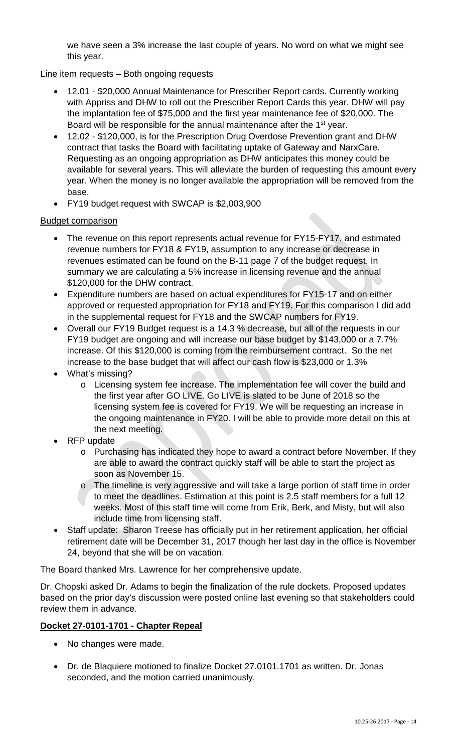we have seen a 3% increase the last couple of years. No word on what we might see this year.

### Line item requests – Both ongoing requests

- 12.01 \$20,000 Annual Maintenance for Prescriber Report cards. Currently working with Appriss and DHW to roll out the Prescriber Report Cards this year. DHW will pay the implantation fee of \$75,000 and the first year maintenance fee of \$20,000. The Board will be responsible for the annual maintenance after the 1<sup>st</sup> year.
- 12.02 \$120,000, is for the Prescription Drug Overdose Prevention grant and DHW contract that tasks the Board with facilitating uptake of Gateway and NarxCare. Requesting as an ongoing appropriation as DHW anticipates this money could be available for several years. This will alleviate the burden of requesting this amount every year. When the money is no longer available the appropriation will be removed from the base.
- FY19 budget request with SWCAP is \$2,003,900

#### Budget comparison

- The revenue on this report represents actual revenue for FY15-FY17, and estimated revenue numbers for FY18 & FY19, assumption to any increase or decrease in revenues estimated can be found on the B-11 page 7 of the budget request. In summary we are calculating a 5% increase in licensing revenue and the annual \$120,000 for the DHW contract.
- Expenditure numbers are based on actual expenditures for FY15-17 and on either approved or requested appropriation for FY18 and FY19. For this comparison I did add in the supplemental request for FY18 and the SWCAP numbers for FY19.
- Overall our FY19 Budget request is a 14.3 % decrease, but all of the requests in our FY19 budget are ongoing and will increase our base budget by \$143,000 or a 7.7% increase. Of this \$120,000 is coming from the reimbursement contract. So the net increase to the base budget that will affect our cash flow is \$23,000 or 1.3%
- What's missing?
	- o Licensing system fee increase. The implementation fee will cover the build and the first year after GO LIVE. Go LIVE is slated to be June of 2018 so the licensing system fee is covered for FY19. We will be requesting an increase in the ongoing maintenance in FY20. I will be able to provide more detail on this at the next meeting.
- RFP update
	- o Purchasing has indicated they hope to award a contract before November. If they are able to award the contract quickly staff will be able to start the project as soon as November 15.
	- o The timeline is very aggressive and will take a large portion of staff time in order to meet the deadlines. Estimation at this point is 2.5 staff members for a full 12 weeks. Most of this staff time will come from Erik, Berk, and Misty, but will also include time from licensing staff.
- Staff update: Sharon Treese has officially put in her retirement application, her official retirement date will be December 31, 2017 though her last day in the office is November 24, beyond that she will be on vacation.

The Board thanked Mrs. Lawrence for her comprehensive update.

Dr. Chopski asked Dr. Adams to begin the finalization of the rule dockets. Proposed updates based on the prior day's discussion were posted online last evening so that stakeholders could review them in advance.

### **Docket 27-0101-1701 - Chapter Repeal**

- No changes were made.
- Dr. de Blaquiere motioned to finalize Docket 27.0101.1701 as written. Dr. Jonas seconded, and the motion carried unanimously.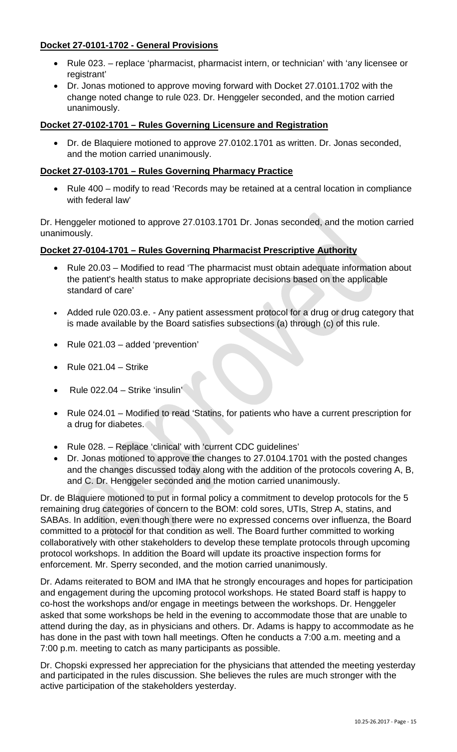# **Docket 27-0101-1702 - General Provisions**

- Rule 023. replace 'pharmacist, pharmacist intern, or technician' with 'any licensee or registrant'
- Dr. Jonas motioned to approve moving forward with Docket 27.0101.1702 with the change noted change to rule 023. Dr. Henggeler seconded, and the motion carried unanimously.

### **Docket 27-0102-1701 – Rules Governing Licensure and Registration**

• Dr. de Blaquiere motioned to approve 27.0102.1701 as written. Dr. Jonas seconded, and the motion carried unanimously.

### **Docket 27-0103-1701 – Rules Governing Pharmacy Practice**

• Rule 400 – modify to read 'Records may be retained at a central location in compliance with federal law'

Dr. Henggeler motioned to approve 27.0103.1701 Dr. Jonas seconded, and the motion carried unanimously.

### **Docket 27-0104-1701 – Rules Governing Pharmacist Prescriptive Authority**

- Rule 20.03 Modified to read 'The pharmacist must obtain adequate information about the patient's health status to make appropriate decisions based on the applicable standard of care'
- Added rule 020.03.e. Any patient assessment protocol for a drug or drug category that is made available by the Board satisfies subsections (a) through (c) of this rule.
- Rule 021.03 added 'prevention'
- Rule 021.04 Strike
- Rule 022.04 Strike 'insulin'
- Rule 024.01 Modified to read 'Statins, for patients who have a current prescription for a drug for diabetes.
- Rule 028. Replace 'clinical' with 'current CDC guidelines'
- Dr. Jonas motioned to approve the changes to 27.0104.1701 with the posted changes and the changes discussed today along with the addition of the protocols covering A, B, and C. Dr. Henggeler seconded and the motion carried unanimously.

Dr. de Blaquiere motioned to put in formal policy a commitment to develop protocols for the 5 remaining drug categories of concern to the BOM: cold sores, UTIs, Strep A, statins, and SABAs. In addition, even though there were no expressed concerns over influenza, the Board committed to a protocol for that condition as well. The Board further committed to working collaboratively with other stakeholders to develop these template protocols through upcoming protocol workshops. In addition the Board will update its proactive inspection forms for enforcement. Mr. Sperry seconded, and the motion carried unanimously.

Dr. Adams reiterated to BOM and IMA that he strongly encourages and hopes for participation and engagement during the upcoming protocol workshops. He stated Board staff is happy to co-host the workshops and/or engage in meetings between the workshops. Dr. Henggeler asked that some workshops be held in the evening to accommodate those that are unable to attend during the day, as in physicians and others. Dr. Adams is happy to accommodate as he has done in the past with town hall meetings. Often he conducts a 7:00 a.m. meeting and a 7:00 p.m. meeting to catch as many participants as possible.

Dr. Chopski expressed her appreciation for the physicians that attended the meeting yesterday and participated in the rules discussion. She believes the rules are much stronger with the active participation of the stakeholders yesterday.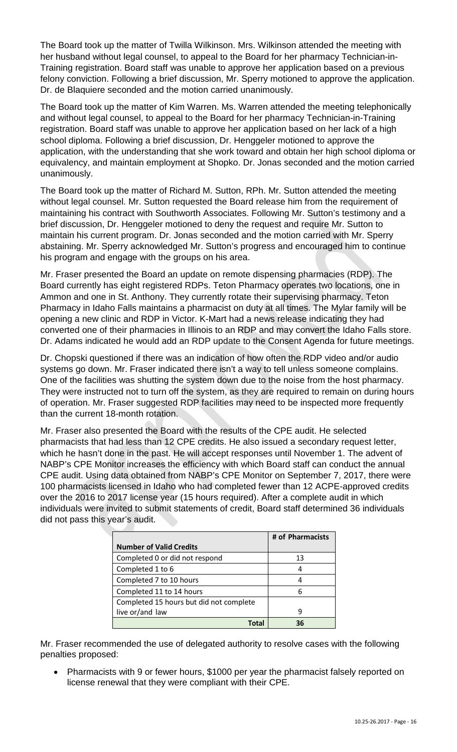The Board took up the matter of Twilla Wilkinson. Mrs. Wilkinson attended the meeting with her husband without legal counsel, to appeal to the Board for her pharmacy Technician-in-Training registration. Board staff was unable to approve her application based on a previous felony conviction. Following a brief discussion, Mr. Sperry motioned to approve the application. Dr. de Blaquiere seconded and the motion carried unanimously.

The Board took up the matter of Kim Warren. Ms. Warren attended the meeting telephonically and without legal counsel, to appeal to the Board for her pharmacy Technician-in-Training registration. Board staff was unable to approve her application based on her lack of a high school diploma. Following a brief discussion, Dr. Henggeler motioned to approve the application, with the understanding that she work toward and obtain her high school diploma or equivalency, and maintain employment at Shopko. Dr. Jonas seconded and the motion carried unanimously.

The Board took up the matter of Richard M. Sutton, RPh. Mr. Sutton attended the meeting without legal counsel. Mr. Sutton requested the Board release him from the requirement of maintaining his contract with Southworth Associates. Following Mr. Sutton's testimony and a brief discussion, Dr. Henggeler motioned to deny the request and require Mr. Sutton to maintain his current program. Dr. Jonas seconded and the motion carried with Mr. Sperry abstaining. Mr. Sperry acknowledged Mr. Sutton's progress and encouraged him to continue his program and engage with the groups on his area.

Mr. Fraser presented the Board an update on remote dispensing pharmacies (RDP). The Board currently has eight registered RDPs. Teton Pharmacy operates two locations, one in Ammon and one in St. Anthony. They currently rotate their supervising pharmacy. Teton Pharmacy in Idaho Falls maintains a pharmacist on duty at all times. The Mylar family will be opening a new clinic and RDP in Victor. K-Mart had a news release indicating they had converted one of their pharmacies in Illinois to an RDP and may convert the Idaho Falls store. Dr. Adams indicated he would add an RDP update to the Consent Agenda for future meetings.

Dr. Chopski questioned if there was an indication of how often the RDP video and/or audio systems go down. Mr. Fraser indicated there isn't a way to tell unless someone complains. One of the facilities was shutting the system down due to the noise from the host pharmacy. They were instructed not to turn off the system, as they are required to remain on during hours of operation. Mr. Fraser suggested RDP facilities may need to be inspected more frequently than the current 18-month rotation.

Mr. Fraser also presented the Board with the results of the CPE audit. He selected pharmacists that had less than 12 CPE credits. He also issued a secondary request letter, which he hasn't done in the past. He will accept responses until November 1. The advent of NABP's CPE Monitor increases the efficiency with which Board staff can conduct the annual CPE audit. Using data obtained from NABP's CPE Monitor on September 7, 2017, there were 100 pharmacists licensed in Idaho who had completed fewer than 12 ACPE-approved credits over the 2016 to 2017 license year (15 hours required). After a complete audit in which individuals were invited to submit statements of credit, Board staff determined 36 individuals did not pass this year's audit.

|                                         | # of Pharmacists |
|-----------------------------------------|------------------|
| <b>Number of Valid Credits</b>          |                  |
| Completed 0 or did not respond          | 13               |
| Completed 1 to 6                        |                  |
| Completed 7 to 10 hours                 |                  |
| Completed 11 to 14 hours                | 6                |
| Completed 15 hours but did not complete |                  |
| live or/and law                         | 9                |
|                                         |                  |

Mr. Fraser recommended the use of delegated authority to resolve cases with the following penalties proposed:

• Pharmacists with 9 or fewer hours, \$1000 per year the pharmacist falsely reported on license renewal that they were compliant with their CPE.